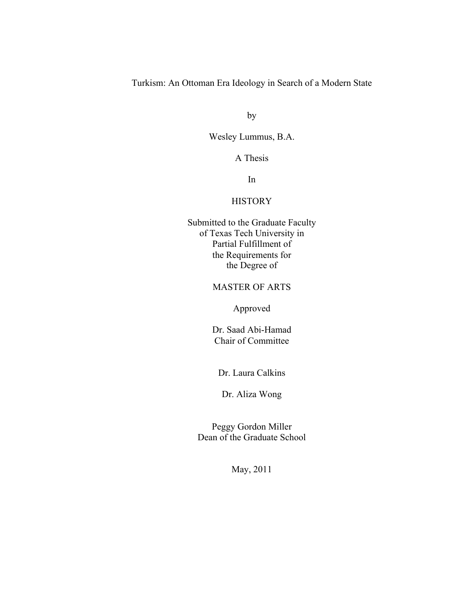Turkism: An Ottoman Era Ideology in Search of a Modern State

by

Wesley Lummus, B.A.

A Thesis

In

## **HISTORY**

Submitted to the Graduate Faculty of Texas Tech University in Partial Fulfillment of the Requirements for the Degree of

## MASTER OF ARTS

Approved

Dr. Saad Abi-Hamad Chair of Committee

Dr. Laura Calkins

Dr. Aliza Wong

Peggy Gordon Miller Dean of the Graduate School

May, 2011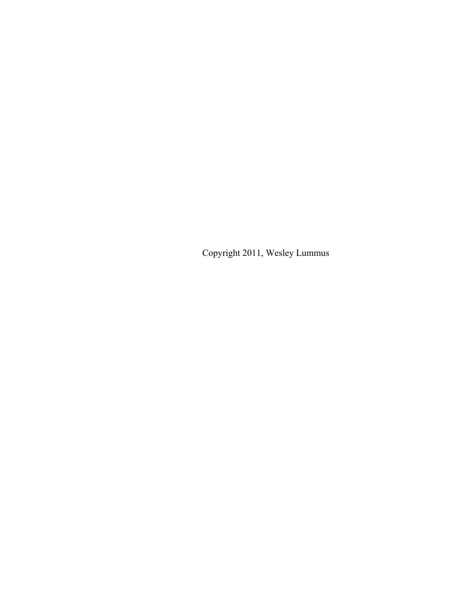Copyright 2011, Wesley Lummus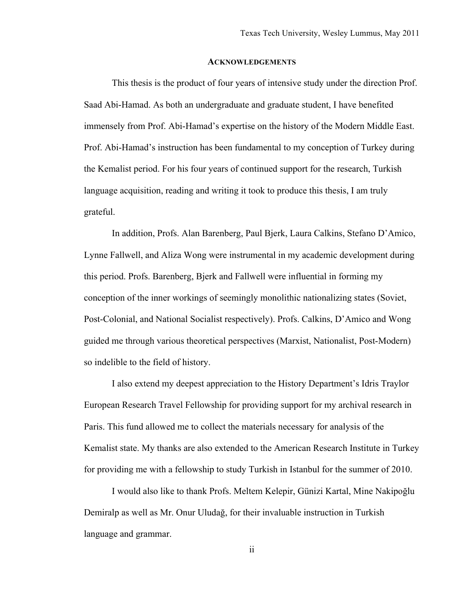#### **ACKNOWLEDGEMENTS**

This thesis is the product of four years of intensive study under the direction Prof. Saad Abi-Hamad. As both an undergraduate and graduate student, I have benefited immensely from Prof. Abi-Hamad's expertise on the history of the Modern Middle East. Prof. Abi-Hamad's instruction has been fundamental to my conception of Turkey during the Kemalist period. For his four years of continued support for the research, Turkish language acquisition, reading and writing it took to produce this thesis, I am truly grateful.

In addition, Profs. Alan Barenberg, Paul Bjerk, Laura Calkins, Stefano D'Amico, Lynne Fallwell, and Aliza Wong were instrumental in my academic development during this period. Profs. Barenberg, Bjerk and Fallwell were influential in forming my conception of the inner workings of seemingly monolithic nationalizing states (Soviet, Post-Colonial, and National Socialist respectively). Profs. Calkins, D'Amico and Wong guided me through various theoretical perspectives (Marxist, Nationalist, Post-Modern) so indelible to the field of history.

I also extend my deepest appreciation to the History Department's Idris Traylor European Research Travel Fellowship for providing support for my archival research in Paris. This fund allowed me to collect the materials necessary for analysis of the Kemalist state. My thanks are also extended to the American Research Institute in Turkey for providing me with a fellowship to study Turkish in Istanbul for the summer of 2010.

I would also like to thank Profs. Meltem Kelepir, Günizi Kartal, Mine Nakipoğlu Demiralp as well as Mr. Onur Uludağ, for their invaluable instruction in Turkish language and grammar.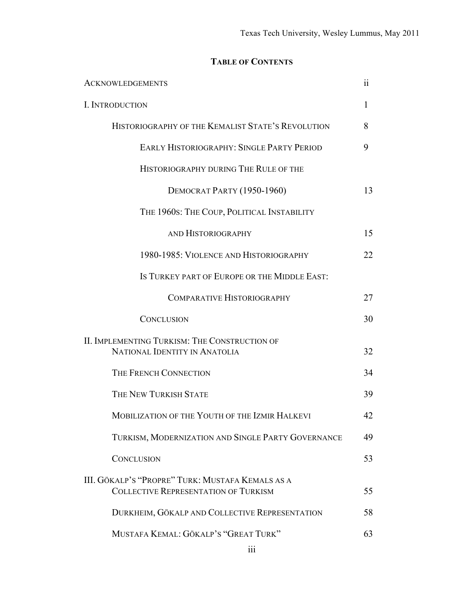# **TABLE OF CONTENTS**

| <b>ACKNOWLEDGEMENTS</b>                                                                         | 11           |
|-------------------------------------------------------------------------------------------------|--------------|
| I. INTRODUCTION                                                                                 | $\mathbf{I}$ |
| HISTORIOGRAPHY OF THE KEMALIST STATE'S REVOLUTION                                               | 8            |
| <b>EARLY HISTORIOGRAPHY: SINGLE PARTY PERIOD</b>                                                | 9            |
| HISTORIOGRAPHY DURING THE RULE OF THE                                                           |              |
| DEMOCRAT PARTY (1950-1960)                                                                      | 13           |
| THE 1960S: THE COUP, POLITICAL INSTABILITY                                                      |              |
| AND HISTORIOGRAPHY                                                                              | 15           |
| 1980-1985: VIOLENCE AND HISTORIOGRAPHY                                                          | 22           |
| IS TURKEY PART OF EUROPE OR THE MIDDLE EAST:                                                    |              |
| COMPARATIVE HISTORIOGRAPHY                                                                      | 27           |
| <b>CONCLUSION</b>                                                                               | 30           |
| II. IMPLEMENTING TURKISM: THE CONSTRUCTION OF<br>NATIONAL IDENTITY IN ANATOLIA                  | 32           |
| THE FRENCH CONNECTION                                                                           | 34           |
| THE NEW TURKISH STATE                                                                           | 39           |
| MOBILIZATION OF THE YOUTH OF THE IZMIR HALKEVI                                                  | 42           |
| TURKISM, MODERNIZATION AND SINGLE PARTY GOVERNANCE                                              | 49           |
| <b>CONCLUSION</b>                                                                               | 53           |
| III. GÖKALP'S "PROPRE" TURK: MUSTAFA KEMALS AS A<br><b>COLLECTIVE REPRESENTATION OF TURKISM</b> | 55           |
| DURKHEIM, GÖKALP AND COLLECTIVE REPRESENTATION                                                  | 58           |
| MUSTAFA KEMAL: GÖKALP'S "GREAT TURK"                                                            | 63           |
|                                                                                                 |              |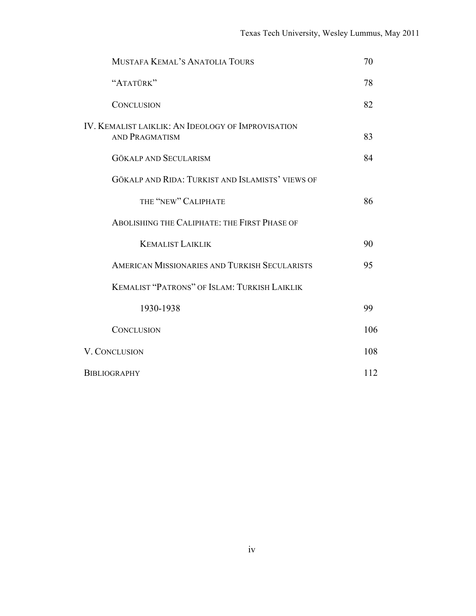| MUSTAFA KEMAL'S ANATOLIA TOURS                                              | 70  |
|-----------------------------------------------------------------------------|-----|
| "ATATÜRK"                                                                   | 78  |
| <b>CONCLUSION</b>                                                           | 82  |
| IV. KEMALIST LAIKLIK: AN IDEOLOGY OF IMPROVISATION<br><b>AND PRAGMATISM</b> | 83  |
| <b>GÖKALP AND SECULARISM</b>                                                | 84  |
| GÖKALP AND RIDA: TURKIST AND ISLAMISTS' VIEWS OF                            |     |
| THE "NEW" CALIPHATE                                                         | 86  |
| ABOLISHING THE CALIPHATE: THE FIRST PHASE OF                                |     |
| <b>KEMALIST LAIKLIK</b>                                                     | 90  |
| AMERICAN MISSIONARIES AND TURKISH SECULARISTS                               | 95  |
| <b>KEMALIST "PATRONS" OF ISLAM: TURKISH LAIKLIK</b>                         |     |
| 1930-1938                                                                   | 99  |
| <b>CONCLUSION</b>                                                           | 106 |
| V. CONCLUSION                                                               | 108 |
| <b>BIBLIOGRAPHY</b>                                                         | 112 |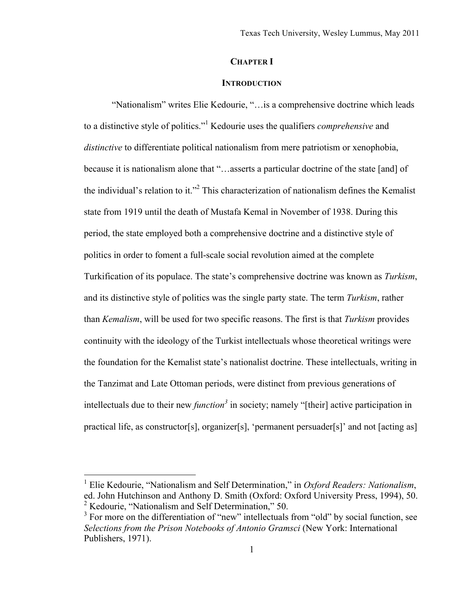## **CHAPTER I**

### **INTRODUCTION**

"Nationalism" writes Elie Kedourie, "…is a comprehensive doctrine which leads to a distinctive style of politics."1 Kedourie uses the qualifiers *comprehensive* and *distinctive* to differentiate political nationalism from mere patriotism or xenophobia, because it is nationalism alone that "…asserts a particular doctrine of the state [and] of the individual's relation to it."<sup>2</sup> This characterization of nationalism defines the Kemalist state from 1919 until the death of Mustafa Kemal in November of 1938. During this period, the state employed both a comprehensive doctrine and a distinctive style of politics in order to foment a full-scale social revolution aimed at the complete Turkification of its populace. The state's comprehensive doctrine was known as *Turkism*, and its distinctive style of politics was the single party state. The term *Turkism*, rather than *Kemalism*, will be used for two specific reasons. The first is that *Turkism* provides continuity with the ideology of the Turkist intellectuals whose theoretical writings were the foundation for the Kemalist state's nationalist doctrine. These intellectuals, writing in the Tanzimat and Late Ottoman periods, were distinct from previous generations of intellectuals due to their new *function<sup>3</sup>* in society; namely "[their] active participation in practical life, as constructor[s], organizer[s], 'permanent persuader[s]' and not [acting as]

 $\frac{1}{1}$  Elie Kedourie, "Nationalism and Self Determination," in *Oxford Readers: Nationalism*, ed. John Hutchinson and Anthony D. Smith (Oxford: Oxford University Press, 1994), 50. <sup>2</sup> Kedourie, "Nationalism and Self Determination," 50.<br><sup>3</sup> For mars an the differentiation of "nove" intellectuals

 $3$  For more on the differentiation of "new" intellectuals from "old" by social function, see *Selections from the Prison Notebooks of Antonio Gramsci* (New York: International Publishers, 1971).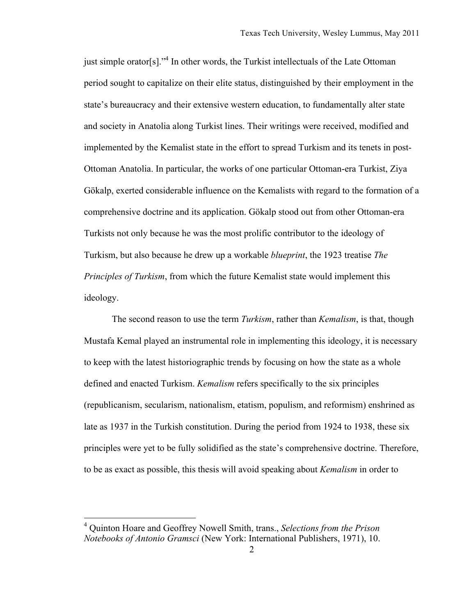just simple orator[s]."<sup>4</sup> In other words, the Turkist intellectuals of the Late Ottoman period sought to capitalize on their elite status, distinguished by their employment in the state's bureaucracy and their extensive western education, to fundamentally alter state and society in Anatolia along Turkist lines. Their writings were received, modified and implemented by the Kemalist state in the effort to spread Turkism and its tenets in post-Ottoman Anatolia. In particular, the works of one particular Ottoman-era Turkist, Ziya Gökalp, exerted considerable influence on the Kemalists with regard to the formation of a comprehensive doctrine and its application. Gökalp stood out from other Ottoman-era Turkists not only because he was the most prolific contributor to the ideology of Turkism, but also because he drew up a workable *blueprint*, the 1923 treatise *The Principles of Turkism*, from which the future Kemalist state would implement this ideology.

The second reason to use the term *Turkism*, rather than *Kemalism*, is that, though Mustafa Kemal played an instrumental role in implementing this ideology, it is necessary to keep with the latest historiographic trends by focusing on how the state as a whole defined and enacted Turkism. *Kemalism* refers specifically to the six principles (republicanism, secularism, nationalism, etatism, populism, and reformism) enshrined as late as 1937 in the Turkish constitution. During the period from 1924 to 1938, these six principles were yet to be fully solidified as the state's comprehensive doctrine. Therefore, to be as exact as possible, this thesis will avoid speaking about *Kemalism* in order to

 <sup>4</sup> Quinton Hoare and Geoffrey Nowell Smith, trans., *Selections from the Prison Notebooks of Antonio Gramsci* (New York: International Publishers, 1971), 10.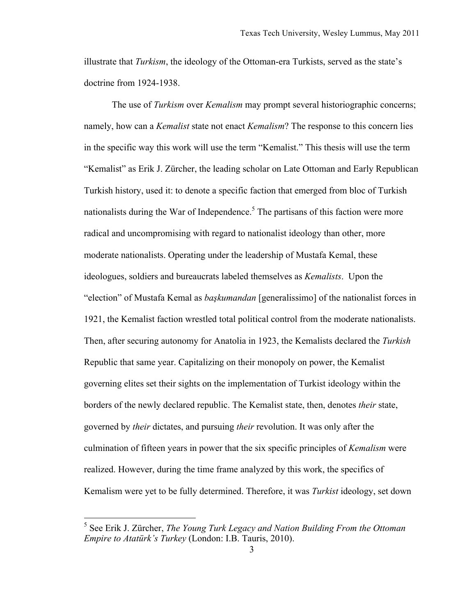illustrate that *Turkism*, the ideology of the Ottoman-era Turkists, served as the state's doctrine from 1924-1938.

The use of *Turkism* over *Kemalism* may prompt several historiographic concerns; namely, how can a *Kemalist* state not enact *Kemalism*? The response to this concern lies in the specific way this work will use the term "Kemalist." This thesis will use the term "Kemalist" as Erik J. Zürcher, the leading scholar on Late Ottoman and Early Republican Turkish history, used it: to denote a specific faction that emerged from bloc of Turkish nationalists during the War of Independence.<sup>5</sup> The partisans of this faction were more radical and uncompromising with regard to nationalist ideology than other, more moderate nationalists. Operating under the leadership of Mustafa Kemal, these ideologues, soldiers and bureaucrats labeled themselves as *Kemalists*. Upon the "election" of Mustafa Kemal as *başkumandan* [generalissimo] of the nationalist forces in 1921, the Kemalist faction wrestled total political control from the moderate nationalists. Then, after securing autonomy for Anatolia in 1923, the Kemalists declared the *Turkish* Republic that same year. Capitalizing on their monopoly on power, the Kemalist governing elites set their sights on the implementation of Turkist ideology within the borders of the newly declared republic. The Kemalist state, then, denotes *their* state, governed by *their* dictates, and pursuing *their* revolution. It was only after the culmination of fifteen years in power that the six specific principles of *Kemalism* were realized. However, during the time frame analyzed by this work, the specifics of Kemalism were yet to be fully determined. Therefore, it was *Turkist* ideology, set down

 <sup>5</sup> See Erik J. Zürcher, *The Young Turk Legacy and Nation Building From the Ottoman Empire to Atatürk's Turkey* (London: I.B. Tauris, 2010).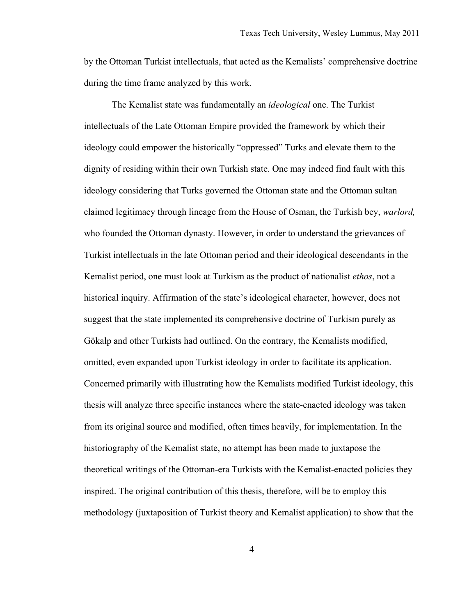by the Ottoman Turkist intellectuals, that acted as the Kemalists' comprehensive doctrine during the time frame analyzed by this work.

The Kemalist state was fundamentally an *ideological* one. The Turkist intellectuals of the Late Ottoman Empire provided the framework by which their ideology could empower the historically "oppressed" Turks and elevate them to the dignity of residing within their own Turkish state. One may indeed find fault with this ideology considering that Turks governed the Ottoman state and the Ottoman sultan claimed legitimacy through lineage from the House of Osman, the Turkish bey, *warlord,* who founded the Ottoman dynasty. However, in order to understand the grievances of Turkist intellectuals in the late Ottoman period and their ideological descendants in the Kemalist period, one must look at Turkism as the product of nationalist *ethos*, not a historical inquiry. Affirmation of the state's ideological character, however, does not suggest that the state implemented its comprehensive doctrine of Turkism purely as Gökalp and other Turkists had outlined. On the contrary, the Kemalists modified, omitted, even expanded upon Turkist ideology in order to facilitate its application. Concerned primarily with illustrating how the Kemalists modified Turkist ideology, this thesis will analyze three specific instances where the state-enacted ideology was taken from its original source and modified, often times heavily, for implementation. In the historiography of the Kemalist state, no attempt has been made to juxtapose the theoretical writings of the Ottoman-era Turkists with the Kemalist-enacted policies they inspired. The original contribution of this thesis, therefore, will be to employ this methodology (juxtaposition of Turkist theory and Kemalist application) to show that the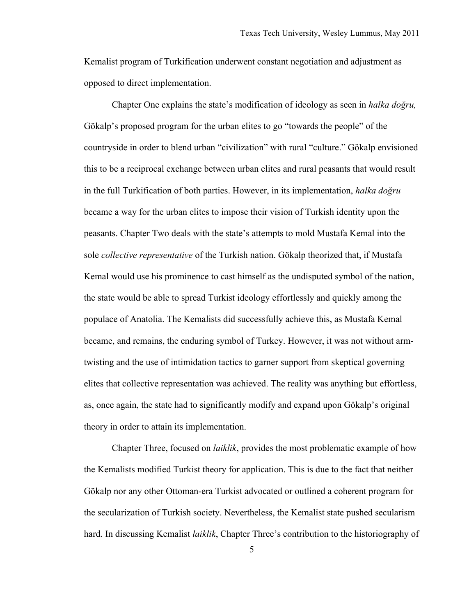Kemalist program of Turkification underwent constant negotiation and adjustment as opposed to direct implementation.

Chapter One explains the state's modification of ideology as seen in *halka doğru,*  Gökalp's proposed program for the urban elites to go "towards the people" of the countryside in order to blend urban "civilization" with rural "culture." Gökalp envisioned this to be a reciprocal exchange between urban elites and rural peasants that would result in the full Turkification of both parties. However, in its implementation, *halka doğru* became a way for the urban elites to impose their vision of Turkish identity upon the peasants. Chapter Two deals with the state's attempts to mold Mustafa Kemal into the sole *collective representative* of the Turkish nation. Gökalp theorized that, if Mustafa Kemal would use his prominence to cast himself as the undisputed symbol of the nation, the state would be able to spread Turkist ideology effortlessly and quickly among the populace of Anatolia. The Kemalists did successfully achieve this, as Mustafa Kemal became, and remains, the enduring symbol of Turkey. However, it was not without armtwisting and the use of intimidation tactics to garner support from skeptical governing elites that collective representation was achieved. The reality was anything but effortless, as, once again, the state had to significantly modify and expand upon Gökalp's original theory in order to attain its implementation.

Chapter Three, focused on *laiklik*, provides the most problematic example of how the Kemalists modified Turkist theory for application. This is due to the fact that neither Gökalp nor any other Ottoman-era Turkist advocated or outlined a coherent program for the secularization of Turkish society. Nevertheless, the Kemalist state pushed secularism hard. In discussing Kemalist *laiklik*, Chapter Three's contribution to the historiography of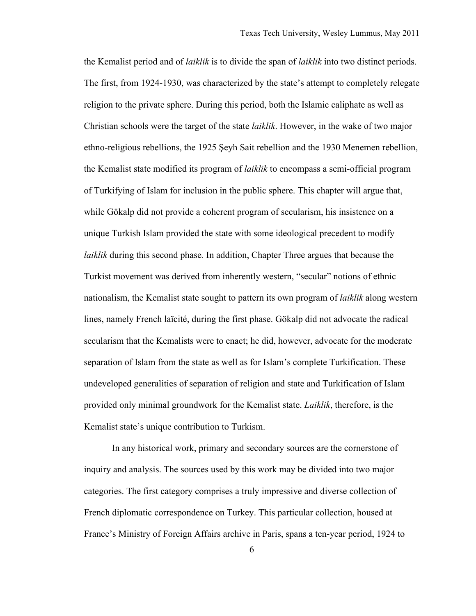the Kemalist period and of *laiklik* is to divide the span of *laiklik* into two distinct periods. The first, from 1924-1930, was characterized by the state's attempt to completely relegate religion to the private sphere. During this period, both the Islamic caliphate as well as Christian schools were the target of the state *laiklik*. However, in the wake of two major ethno-religious rebellions, the 1925 Şeyh Sait rebellion and the 1930 Menemen rebellion, the Kemalist state modified its program of *laiklik* to encompass a semi-official program of Turkifying of Islam for inclusion in the public sphere. This chapter will argue that, while Gökalp did not provide a coherent program of secularism, his insistence on a unique Turkish Islam provided the state with some ideological precedent to modify *laiklik* during this second phase*.* In addition, Chapter Three argues that because the Turkist movement was derived from inherently western, "secular" notions of ethnic nationalism, the Kemalist state sought to pattern its own program of *laiklik* along western lines, namely French laïcité, during the first phase. Gökalp did not advocate the radical secularism that the Kemalists were to enact; he did, however, advocate for the moderate separation of Islam from the state as well as for Islam's complete Turkification. These undeveloped generalities of separation of religion and state and Turkification of Islam provided only minimal groundwork for the Kemalist state. *Laiklik*, therefore, is the Kemalist state's unique contribution to Turkism.

In any historical work, primary and secondary sources are the cornerstone of inquiry and analysis. The sources used by this work may be divided into two major categories. The first category comprises a truly impressive and diverse collection of French diplomatic correspondence on Turkey. This particular collection, housed at France's Ministry of Foreign Affairs archive in Paris, spans a ten-year period, 1924 to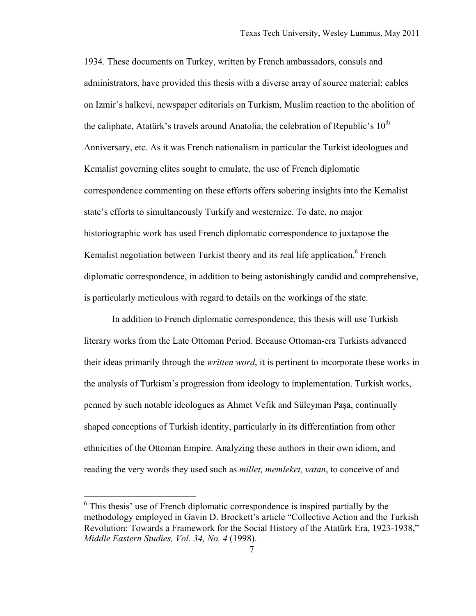1934. These documents on Turkey, written by French ambassadors, consuls and administrators, have provided this thesis with a diverse array of source material: cables on Izmir's halkevi, newspaper editorials on Turkism, Muslim reaction to the abolition of the caliphate, Atatürk's travels around Anatolia, the celebration of Republic's  $10^{th}$ Anniversary, etc. As it was French nationalism in particular the Turkist ideologues and Kemalist governing elites sought to emulate, the use of French diplomatic correspondence commenting on these efforts offers sobering insights into the Kemalist state's efforts to simultaneously Turkify and westernize. To date, no major historiographic work has used French diplomatic correspondence to juxtapose the Kemalist negotiation between Turkist theory and its real life application.<sup>6</sup> French diplomatic correspondence, in addition to being astonishingly candid and comprehensive, is particularly meticulous with regard to details on the workings of the state.

In addition to French diplomatic correspondence, this thesis will use Turkish literary works from the Late Ottoman Period. Because Ottoman-era Turkists advanced their ideas primarily through the *written word*, it is pertinent to incorporate these works in the analysis of Turkism's progression from ideology to implementation. Turkish works, penned by such notable ideologues as Ahmet Vefik and Süleyman Paşa, continually shaped conceptions of Turkish identity, particularly in its differentiation from other ethnicities of the Ottoman Empire. Analyzing these authors in their own idiom, and reading the very words they used such as *millet, memleket, vatan*, to conceive of and

<sup>&</sup>lt;sup>6</sup> This thesis' use of French diplomatic correspondence is inspired partially by the methodology employed in Gavin D. Brockett's article "Collective Action and the Turkish Revolution: Towards a Framework for the Social History of the Atatürk Era, 1923-1938," *Middle Eastern Studies, Vol. 34, No. 4* (1998).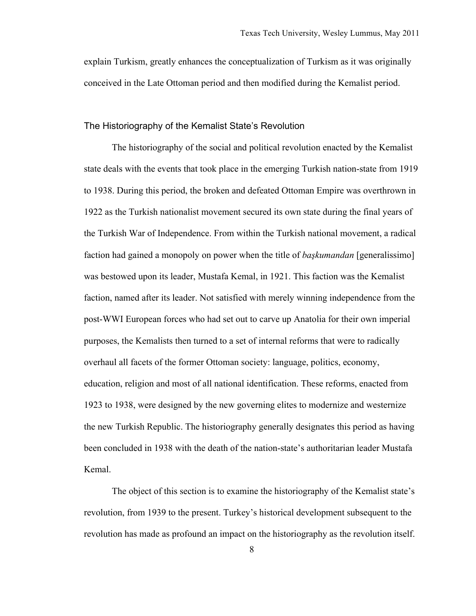explain Turkism, greatly enhances the conceptualization of Turkism as it was originally conceived in the Late Ottoman period and then modified during the Kemalist period.

### The Historiography of the Kemalist State's Revolution

The historiography of the social and political revolution enacted by the Kemalist state deals with the events that took place in the emerging Turkish nation-state from 1919 to 1938. During this period, the broken and defeated Ottoman Empire was overthrown in 1922 as the Turkish nationalist movement secured its own state during the final years of the Turkish War of Independence. From within the Turkish national movement, a radical faction had gained a monopoly on power when the title of *başkumandan* [generalissimo] was bestowed upon its leader, Mustafa Kemal, in 1921. This faction was the Kemalist faction, named after its leader. Not satisfied with merely winning independence from the post-WWI European forces who had set out to carve up Anatolia for their own imperial purposes, the Kemalists then turned to a set of internal reforms that were to radically overhaul all facets of the former Ottoman society: language, politics, economy, education, religion and most of all national identification. These reforms, enacted from 1923 to 1938, were designed by the new governing elites to modernize and westernize the new Turkish Republic. The historiography generally designates this period as having been concluded in 1938 with the death of the nation-state's authoritarian leader Mustafa Kemal.

The object of this section is to examine the historiography of the Kemalist state's revolution, from 1939 to the present. Turkey's historical development subsequent to the revolution has made as profound an impact on the historiography as the revolution itself.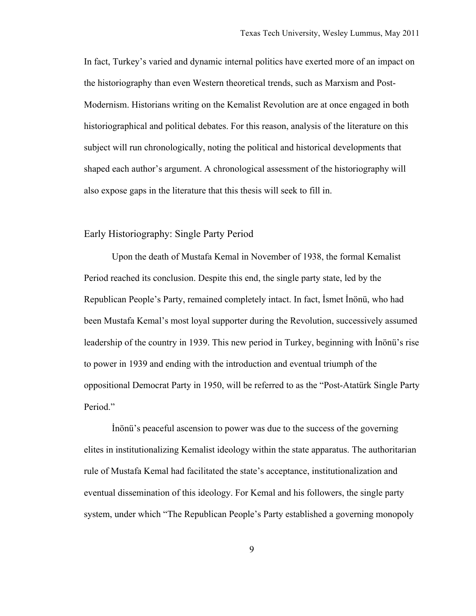In fact, Turkey's varied and dynamic internal politics have exerted more of an impact on the historiography than even Western theoretical trends, such as Marxism and Post-Modernism. Historians writing on the Kemalist Revolution are at once engaged in both historiographical and political debates. For this reason, analysis of the literature on this subject will run chronologically, noting the political and historical developments that shaped each author's argument. A chronological assessment of the historiography will also expose gaps in the literature that this thesis will seek to fill in.

#### Early Historiography: Single Party Period

Upon the death of Mustafa Kemal in November of 1938, the formal Kemalist Period reached its conclusion. Despite this end, the single party state, led by the Republican People's Party, remained completely intact. In fact, İsmet İnönü, who had been Mustafa Kemal's most loyal supporter during the Revolution, successively assumed leadership of the country in 1939. This new period in Turkey, beginning with İnönü's rise to power in 1939 and ending with the introduction and eventual triumph of the oppositional Democrat Party in 1950, will be referred to as the "Post-Atatürk Single Party Period."

İnönü's peaceful ascension to power was due to the success of the governing elites in institutionalizing Kemalist ideology within the state apparatus. The authoritarian rule of Mustafa Kemal had facilitated the state's acceptance, institutionalization and eventual dissemination of this ideology. For Kemal and his followers, the single party system, under which "The Republican People's Party established a governing monopoly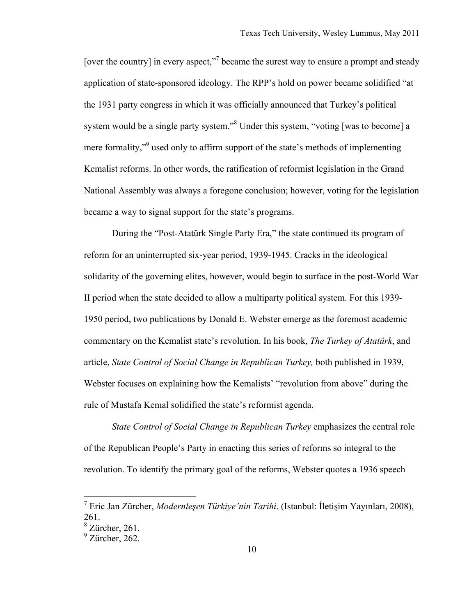[over the country] in every aspect,"<sup>7</sup> became the surest way to ensure a prompt and steady application of state-sponsored ideology. The RPP's hold on power became solidified "at the 1931 party congress in which it was officially announced that Turkey's political system would be a single party system."<sup>8</sup> Under this system, "voting [was to become] a mere formality,"<sup>9</sup> used only to affirm support of the state's methods of implementing Kemalist reforms. In other words, the ratification of reformist legislation in the Grand National Assembly was always a foregone conclusion; however, voting for the legislation became a way to signal support for the state's programs.

During the "Post-Atatürk Single Party Era," the state continued its program of reform for an uninterrupted six-year period, 1939-1945. Cracks in the ideological solidarity of the governing elites, however, would begin to surface in the post-World War II period when the state decided to allow a multiparty political system. For this 1939- 1950 period, two publications by Donald E. Webster emerge as the foremost academic commentary on the Kemalist state's revolution. In his book, *The Turkey of Atatürk*, and article, *State Control of Social Change in Republican Turkey,* both published in 1939, Webster focuses on explaining how the Kemalists' "revolution from above" during the rule of Mustafa Kemal solidified the state's reformist agenda.

*State Control of Social Change in Republican Turkey* emphasizes the central role of the Republican People's Party in enacting this series of reforms so integral to the revolution. To identify the primary goal of the reforms, Webster quotes a 1936 speech

 <sup>7</sup> Eric Jan Zürcher, *Modernleşen Türkiye'nin Tarihi*. (Istanbul: İletişim Yayınları, 2008), 261.

 $8$  Zürcher, 261.

 $<sup>9</sup>$  Zürcher, 262.</sup>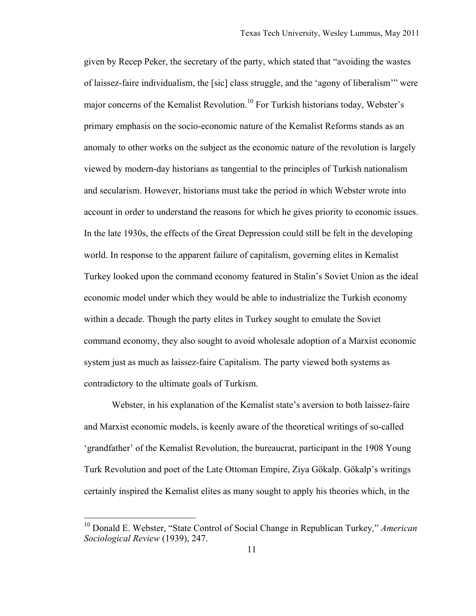given by Recep Peker, the secretary of the party, which stated that "avoiding the wastes of laissez-faire individualism, the [sic] class struggle, and the 'agony of liberalism'" were major concerns of the Kemalist Revolution.<sup>10</sup> For Turkish historians today, Webster's primary emphasis on the socio-economic nature of the Kemalist Reforms stands as an anomaly to other works on the subject as the economic nature of the revolution is largely viewed by modern-day historians as tangential to the principles of Turkish nationalism and secularism. However, historians must take the period in which Webster wrote into account in order to understand the reasons for which he gives priority to economic issues. In the late 1930s, the effects of the Great Depression could still be felt in the developing world. In response to the apparent failure of capitalism, governing elites in Kemalist Turkey looked upon the command economy featured in Stalin's Soviet Union as the ideal economic model under which they would be able to industrialize the Turkish economy within a decade. Though the party elites in Turkey sought to emulate the Soviet command economy, they also sought to avoid wholesale adoption of a Marxist economic system just as much as laissez-faire Capitalism. The party viewed both systems as contradictory to the ultimate goals of Turkism.

Webster, in his explanation of the Kemalist state's aversion to both laissez-faire and Marxist economic models, is keenly aware of the theoretical writings of so-called 'grandfather' of the Kemalist Revolution, the bureaucrat, participant in the 1908 Young Turk Revolution and poet of the Late Ottoman Empire, Ziya Gökalp. Gökalp's writings certainly inspired the Kemalist elites as many sought to apply his theories which, in the

 <sup>10</sup> Donald E. Webster, "State Control of Social Change in Republican Turkey*,*" *American Sociological Review* (1939), 247.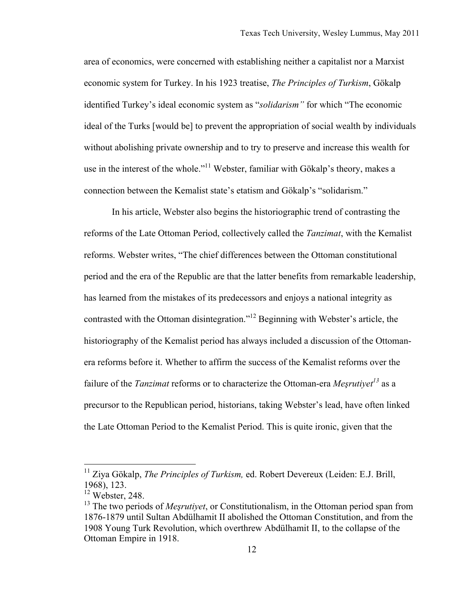area of economics, were concerned with establishing neither a capitalist nor a Marxist economic system for Turkey. In his 1923 treatise, *The Principles of Turkism*, Gökalp identified Turkey's ideal economic system as "*solidarism"* for which "The economic ideal of the Turks [would be] to prevent the appropriation of social wealth by individuals without abolishing private ownership and to try to preserve and increase this wealth for use in the interest of the whole."<sup>11</sup> Webster, familiar with Gökalp's theory, makes a connection between the Kemalist state's etatism and Gökalp's "solidarism."

In his article, Webster also begins the historiographic trend of contrasting the reforms of the Late Ottoman Period, collectively called the *Tanzimat*, with the Kemalist reforms. Webster writes, "The chief differences between the Ottoman constitutional period and the era of the Republic are that the latter benefits from remarkable leadership, has learned from the mistakes of its predecessors and enjoys a national integrity as contrasted with the Ottoman disintegration."12 Beginning with Webster's article, the historiography of the Kemalist period has always included a discussion of the Ottomanera reforms before it. Whether to affirm the success of the Kemalist reforms over the failure of the *Tanzimat* reforms or to characterize the Ottoman-era *Mesrutivet*<sup>13</sup> as a precursor to the Republican period, historians, taking Webster's lead, have often linked the Late Ottoman Period to the Kemalist Period. This is quite ironic, given that the

 <sup>11</sup> Ziya Gökalp, *The Principles of Turkism,* ed. Robert Devereux (Leiden: E.J. Brill, 1968), 123.

 $12$  Webster, 248.

<sup>&</sup>lt;sup>13</sup> The two periods of *Mesrutiyet*, or Constitutionalism, in the Ottoman period span from 1876-1879 until Sultan Abdülhamit II abolished the Ottoman Constitution, and from the 1908 Young Turk Revolution, which overthrew Abdülhamit II, to the collapse of the Ottoman Empire in 1918.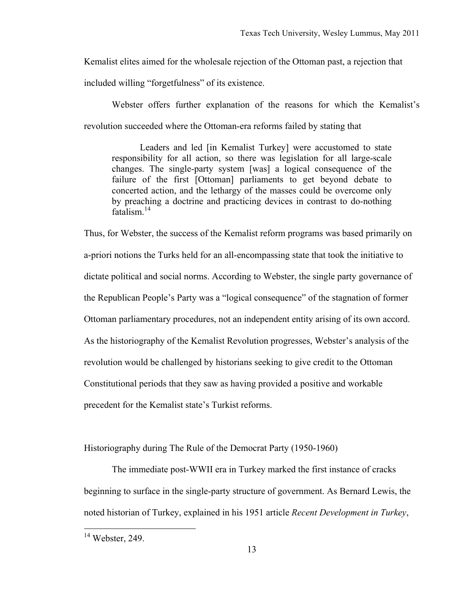Kemalist elites aimed for the wholesale rejection of the Ottoman past, a rejection that

included willing "forgetfulness" of its existence.

Webster offers further explanation of the reasons for which the Kemalist's revolution succeeded where the Ottoman-era reforms failed by stating that

Leaders and led [in Kemalist Turkey] were accustomed to state responsibility for all action, so there was legislation for all large-scale changes. The single-party system [was] a logical consequence of the failure of the first [Ottoman] parliaments to get beyond debate to concerted action, and the lethargy of the masses could be overcome only by preaching a doctrine and practicing devices in contrast to do-nothing fatalism.<sup>14</sup>

Thus, for Webster, the success of the Kemalist reform programs was based primarily on a-priori notions the Turks held for an all-encompassing state that took the initiative to dictate political and social norms. According to Webster, the single party governance of the Republican People's Party was a "logical consequence" of the stagnation of former Ottoman parliamentary procedures, not an independent entity arising of its own accord. As the historiography of the Kemalist Revolution progresses, Webster's analysis of the revolution would be challenged by historians seeking to give credit to the Ottoman Constitutional periods that they saw as having provided a positive and workable precedent for the Kemalist state's Turkist reforms.

Historiography during The Rule of the Democrat Party (1950-1960)

The immediate post-WWII era in Turkey marked the first instance of cracks beginning to surface in the single-party structure of government. As Bernard Lewis, the noted historian of Turkey, explained in his 1951 article *Recent Development in Turkey*,

 $14$  Webster, 249.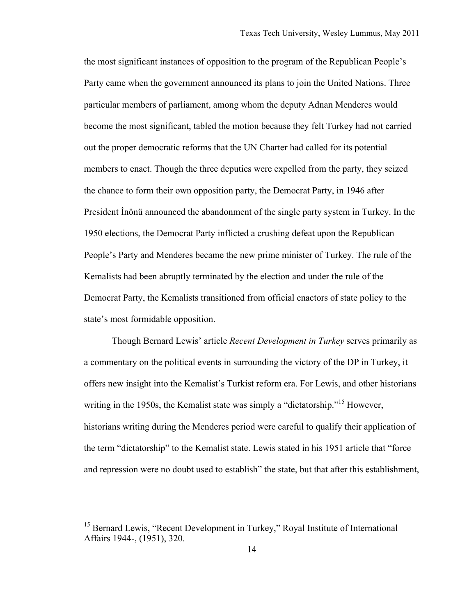the most significant instances of opposition to the program of the Republican People's Party came when the government announced its plans to join the United Nations. Three particular members of parliament, among whom the deputy Adnan Menderes would become the most significant, tabled the motion because they felt Turkey had not carried out the proper democratic reforms that the UN Charter had called for its potential members to enact. Though the three deputies were expelled from the party, they seized the chance to form their own opposition party, the Democrat Party, in 1946 after President İnönü announced the abandonment of the single party system in Turkey. In the 1950 elections, the Democrat Party inflicted a crushing defeat upon the Republican People's Party and Menderes became the new prime minister of Turkey. The rule of the Kemalists had been abruptly terminated by the election and under the rule of the Democrat Party, the Kemalists transitioned from official enactors of state policy to the state's most formidable opposition.

Though Bernard Lewis' article *Recent Development in Turkey* serves primarily as a commentary on the political events in surrounding the victory of the DP in Turkey, it offers new insight into the Kemalist's Turkist reform era. For Lewis, and other historians writing in the 1950s, the Kemalist state was simply a "dictatorship."<sup>15</sup> However, historians writing during the Menderes period were careful to qualify their application of the term "dictatorship" to the Kemalist state. Lewis stated in his 1951 article that "force and repression were no doubt used to establish" the state, but that after this establishment,

<sup>&</sup>lt;sup>15</sup> Bernard Lewis, "Recent Development in Turkey," Royal Institute of International Affairs 1944-, (1951), 320.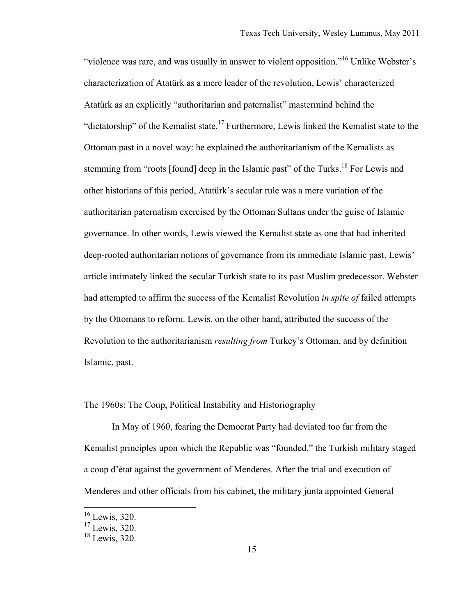"violence was rare, and was usually in answer to violent opposition."16 Unlike Webster's characterization of Atatürk as a mere leader of the revolution, Lewis' characterized Atatürk as an explicitly "authoritarian and paternalist" mastermind behind the "dictatorship" of the Kemalist state.<sup>17</sup> Furthermore, Lewis linked the Kemalist state to the Ottoman past in a novel way: he explained the authoritarianism of the Kemalists as stemming from "roots [found] deep in the Islamic past" of the Turks.<sup>18</sup> For Lewis and other historians of this period, Atatürk's secular rule was a mere variation of the authoritarian paternalism exercised by the Ottoman Sultans under the guise of Islamic governance. In other words, Lewis viewed the Kemalist state as one that had inherited deep-rooted authoritarian notions of governance from its immediate Islamic past. Lewis' article intimately linked the secular Turkish state to its past Muslim predecessor. Webster had attempted to affirm the success of the Kemalist Revolution *in spite of* failed attempts by the Ottomans to reform. Lewis, on the other hand, attributed the success of the Revolution to the authoritarianism *resulting from* Turkey's Ottoman, and by definition Islamic, past.

The 1960s: The Coup, Political Instability and Historiography

In May of 1960, fearing the Democrat Party had deviated too far from the Kemalist principles upon which the Republic was "founded," the Turkish military staged a coup d'état against the government of Menderes. After the trial and execution of Menderes and other officials from his cabinet, the military junta appointed General

 <sup>16</sup> Lewis, 320.

<sup>&</sup>lt;sup>17</sup> Lewis, 320.

<sup>&</sup>lt;sup>18</sup> Lewis, 320.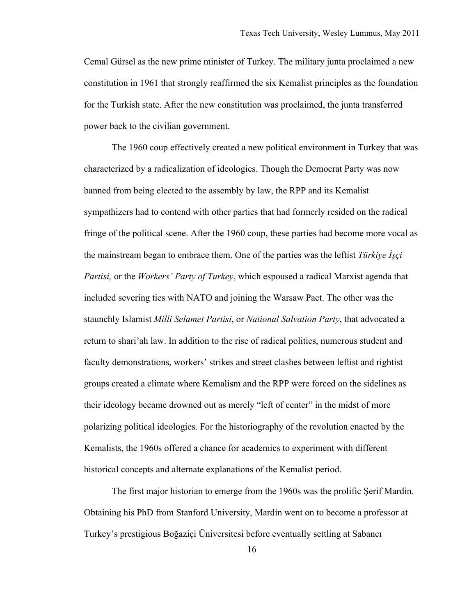Cemal Gürsel as the new prime minister of Turkey. The military junta proclaimed a new constitution in 1961 that strongly reaffirmed the six Kemalist principles as the foundation for the Turkish state. After the new constitution was proclaimed, the junta transferred power back to the civilian government.

The 1960 coup effectively created a new political environment in Turkey that was characterized by a radicalization of ideologies. Though the Democrat Party was now banned from being elected to the assembly by law, the RPP and its Kemalist sympathizers had to contend with other parties that had formerly resided on the radical fringe of the political scene. After the 1960 coup, these parties had become more vocal as the mainstream began to embrace them. One of the parties was the leftist *Türkiye İşçi Partisi,* or the *Workers' Party of Turkey*, which espoused a radical Marxist agenda that included severing ties with NATO and joining the Warsaw Pact. The other was the staunchly Islamist *Milli Selamet Partisi*, or *National Salvation Party*, that advocated a return to shari'ah law. In addition to the rise of radical politics, numerous student and faculty demonstrations, workers' strikes and street clashes between leftist and rightist groups created a climate where Kemalism and the RPP were forced on the sidelines as their ideology became drowned out as merely "left of center" in the midst of more polarizing political ideologies. For the historiography of the revolution enacted by the Kemalists, the 1960s offered a chance for academics to experiment with different historical concepts and alternate explanations of the Kemalist period.

The first major historian to emerge from the 1960s was the prolific Şerif Mardin. Obtaining his PhD from Stanford University, Mardin went on to become a professor at Turkey's prestigious Boğaziçi Üniversitesi before eventually settling at Sabancı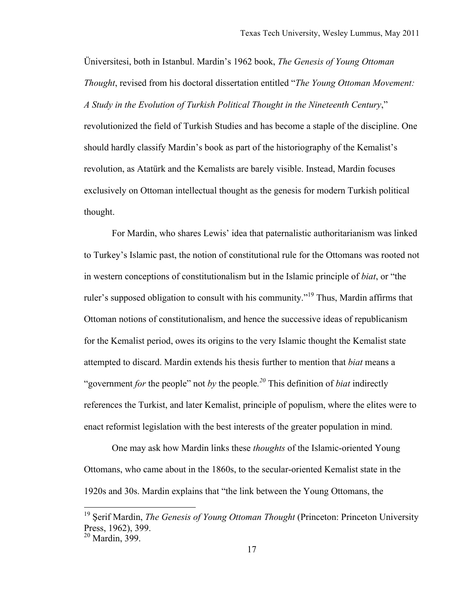Üniversitesi, both in Istanbul. Mardin's 1962 book, *The Genesis of Young Ottoman Thought*, revised from his doctoral dissertation entitled "*The Young Ottoman Movement: A Study in the Evolution of Turkish Political Thought in the Nineteenth Century*," revolutionized the field of Turkish Studies and has become a staple of the discipline. One should hardly classify Mardin's book as part of the historiography of the Kemalist's revolution, as Atatürk and the Kemalists are barely visible. Instead, Mardin focuses exclusively on Ottoman intellectual thought as the genesis for modern Turkish political thought.

For Mardin, who shares Lewis' idea that paternalistic authoritarianism was linked to Turkey's Islamic past, the notion of constitutional rule for the Ottomans was rooted not in western conceptions of constitutionalism but in the Islamic principle of *biat*, or "the ruler's supposed obligation to consult with his community.<sup>" 19</sup> Thus, Mardin affirms that Ottoman notions of constitutionalism, and hence the successive ideas of republicanism for the Kemalist period, owes its origins to the very Islamic thought the Kemalist state attempted to discard. Mardin extends his thesis further to mention that *biat* means a "government *for* the people" not *by* the people*. <sup>20</sup>* This definition of *biat* indirectly references the Turkist, and later Kemalist, principle of populism, where the elites were to enact reformist legislation with the best interests of the greater population in mind.

One may ask how Mardin links these *thoughts* of the Islamic-oriented Young Ottomans, who came about in the 1860s, to the secular-oriented Kemalist state in the 1920s and 30s. Mardin explains that "the link between the Young Ottomans, the

 <sup>19</sup> <sup>Ş</sup>erif Mardin, *The Genesis of Young Ottoman Thought* (Princeton: Princeton University Press, 1962), 399.

 $20$  Mardin,  $399$ .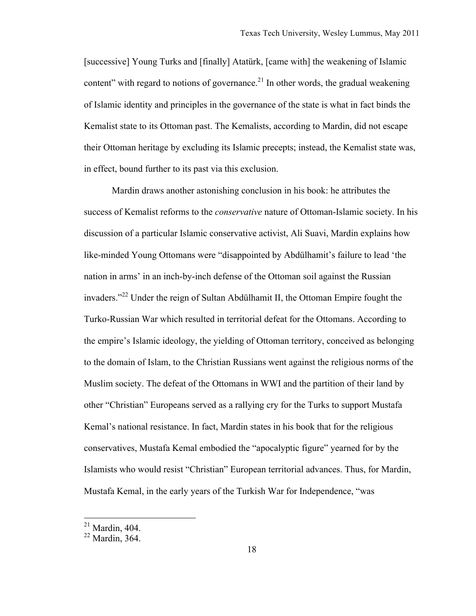[successive] Young Turks and [finally] Atatürk, [came with] the weakening of Islamic content" with regard to notions of governance.<sup>21</sup> In other words, the gradual weakening of Islamic identity and principles in the governance of the state is what in fact binds the Kemalist state to its Ottoman past. The Kemalists, according to Mardin, did not escape their Ottoman heritage by excluding its Islamic precepts; instead, the Kemalist state was, in effect, bound further to its past via this exclusion.

Mardin draws another astonishing conclusion in his book: he attributes the success of Kemalist reforms to the *conservative* nature of Ottoman-Islamic society. In his discussion of a particular Islamic conservative activist, Ali Suavi, Mardin explains how like-minded Young Ottomans were "disappointed by Abdülhamit's failure to lead 'the nation in arms' in an inch-by-inch defense of the Ottoman soil against the Russian invaders."22 Under the reign of Sultan Abdülhamit II, the Ottoman Empire fought the Turko-Russian War which resulted in territorial defeat for the Ottomans. According to the empire's Islamic ideology, the yielding of Ottoman territory, conceived as belonging to the domain of Islam, to the Christian Russians went against the religious norms of the Muslim society. The defeat of the Ottomans in WWI and the partition of their land by other "Christian" Europeans served as a rallying cry for the Turks to support Mustafa Kemal's national resistance. In fact, Mardin states in his book that for the religious conservatives, Mustafa Kemal embodied the "apocalyptic figure" yearned for by the Islamists who would resist "Christian" European territorial advances. Thus, for Mardin, Mustafa Kemal, in the early years of the Turkish War for Independence, "was

 $21$  Mardin, 404.

 $22$  Mardin, 364.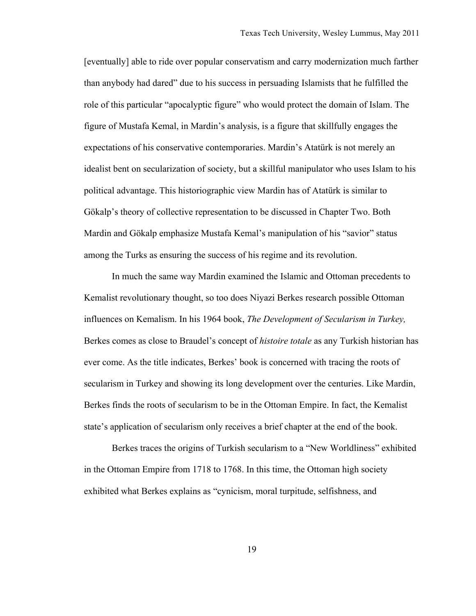[eventually] able to ride over popular conservatism and carry modernization much farther than anybody had dared" due to his success in persuading Islamists that he fulfilled the role of this particular "apocalyptic figure" who would protect the domain of Islam. The figure of Mustafa Kemal, in Mardin's analysis, is a figure that skillfully engages the expectations of his conservative contemporaries. Mardin's Atatürk is not merely an idealist bent on secularization of society, but a skillful manipulator who uses Islam to his political advantage. This historiographic view Mardin has of Atatürk is similar to Gökalp's theory of collective representation to be discussed in Chapter Two. Both Mardin and Gökalp emphasize Mustafa Kemal's manipulation of his "savior" status among the Turks as ensuring the success of his regime and its revolution.

In much the same way Mardin examined the Islamic and Ottoman precedents to Kemalist revolutionary thought, so too does Niyazi Berkes research possible Ottoman influences on Kemalism. In his 1964 book, *The Development of Secularism in Turkey,* Berkes comes as close to Braudel's concept of *histoire totale* as any Turkish historian has ever come. As the title indicates, Berkes' book is concerned with tracing the roots of secularism in Turkey and showing its long development over the centuries. Like Mardin, Berkes finds the roots of secularism to be in the Ottoman Empire. In fact, the Kemalist state's application of secularism only receives a brief chapter at the end of the book.

Berkes traces the origins of Turkish secularism to a "New Worldliness" exhibited in the Ottoman Empire from 1718 to 1768. In this time, the Ottoman high society exhibited what Berkes explains as "cynicism, moral turpitude, selfishness, and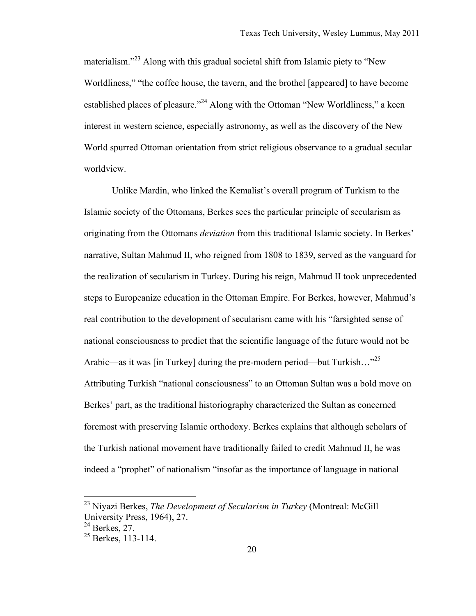materialism."<sup>23</sup> Along with this gradual societal shift from Islamic piety to "New" Worldliness," "the coffee house, the tavern, and the brothel [appeared] to have become established places of pleasure."<sup>24</sup> Along with the Ottoman "New Worldliness," a keen interest in western science, especially astronomy, as well as the discovery of the New World spurred Ottoman orientation from strict religious observance to a gradual secular worldview.

Unlike Mardin, who linked the Kemalist's overall program of Turkism to the Islamic society of the Ottomans, Berkes sees the particular principle of secularism as originating from the Ottomans *deviation* from this traditional Islamic society. In Berkes' narrative, Sultan Mahmud II, who reigned from 1808 to 1839, served as the vanguard for the realization of secularism in Turkey. During his reign, Mahmud II took unprecedented steps to Europeanize education in the Ottoman Empire. For Berkes, however, Mahmud's real contribution to the development of secularism came with his "farsighted sense of national consciousness to predict that the scientific language of the future would not be Arabic—as it was [in Turkey] during the pre-modern period—but Turkish..."<sup>25</sup> Attributing Turkish "national consciousness" to an Ottoman Sultan was a bold move on Berkes' part, as the traditional historiography characterized the Sultan as concerned foremost with preserving Islamic orthodoxy. Berkes explains that although scholars of the Turkish national movement have traditionally failed to credit Mahmud II, he was indeed a "prophet" of nationalism "insofar as the importance of language in national

 <sup>23</sup> Niyazi Berkes, *The Development of Secularism in Turkey* (Montreal: McGill University Press, 1964), 27.

 $^{24}$  Berkes, 27.

<sup>&</sup>lt;sup>25</sup> Berkes, 113-114.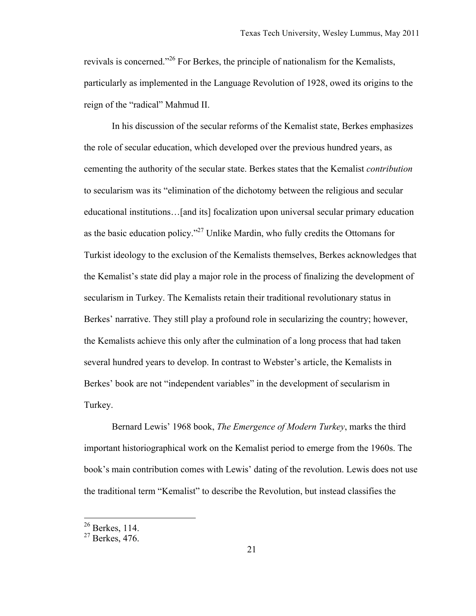revivals is concerned."<sup>26</sup> For Berkes, the principle of nationalism for the Kemalists, particularly as implemented in the Language Revolution of 1928, owed its origins to the reign of the "radical" Mahmud II.

In his discussion of the secular reforms of the Kemalist state, Berkes emphasizes the role of secular education, which developed over the previous hundred years, as cementing the authority of the secular state. Berkes states that the Kemalist *contribution*  to secularism was its "elimination of the dichotomy between the religious and secular educational institutions…[and its] focalization upon universal secular primary education as the basic education policy."<sup>27</sup> Unlike Mardin, who fully credits the Ottomans for Turkist ideology to the exclusion of the Kemalists themselves, Berkes acknowledges that the Kemalist's state did play a major role in the process of finalizing the development of secularism in Turkey. The Kemalists retain their traditional revolutionary status in Berkes' narrative. They still play a profound role in secularizing the country; however, the Kemalists achieve this only after the culmination of a long process that had taken several hundred years to develop. In contrast to Webster's article, the Kemalists in Berkes' book are not "independent variables" in the development of secularism in Turkey.

Bernard Lewis' 1968 book, *The Emergence of Modern Turkey*, marks the third important historiographical work on the Kemalist period to emerge from the 1960s. The book's main contribution comes with Lewis' dating of the revolution. Lewis does not use the traditional term "Kemalist" to describe the Revolution, but instead classifies the

 $26$  Berkes, 114.

 $27$  Berkes, 476.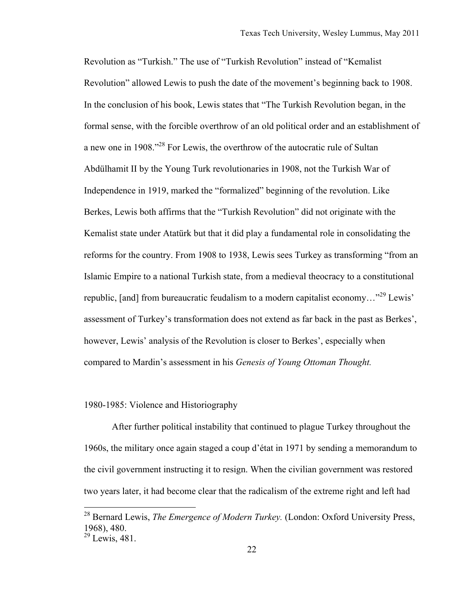Revolution as "Turkish." The use of "Turkish Revolution" instead of "Kemalist Revolution" allowed Lewis to push the date of the movement's beginning back to 1908. In the conclusion of his book, Lewis states that "The Turkish Revolution began, in the formal sense, with the forcible overthrow of an old political order and an establishment of a new one in 1908.<sup>728</sup> For Lewis, the overthrow of the autocratic rule of Sultan Abdülhamit II by the Young Turk revolutionaries in 1908, not the Turkish War of Independence in 1919, marked the "formalized" beginning of the revolution. Like Berkes, Lewis both affirms that the "Turkish Revolution" did not originate with the Kemalist state under Atatürk but that it did play a fundamental role in consolidating the reforms for the country. From 1908 to 1938, Lewis sees Turkey as transforming "from an Islamic Empire to a national Turkish state, from a medieval theocracy to a constitutional republic, [and] from bureaucratic feudalism to a modern capitalist economy…"29 Lewis' assessment of Turkey's transformation does not extend as far back in the past as Berkes', however, Lewis' analysis of the Revolution is closer to Berkes', especially when compared to Mardin's assessment in his *Genesis of Young Ottoman Thought.*

### 1980-1985: Violence and Historiography

After further political instability that continued to plague Turkey throughout the 1960s, the military once again staged a coup d'état in 1971 by sending a memorandum to the civil government instructing it to resign. When the civilian government was restored two years later, it had become clear that the radicalism of the extreme right and left had

 <sup>28</sup> Bernard Lewis, *The Emergence of Modern Turkey.* (London: Oxford University Press, 1968), 480.

 $29$  Lewis, 481.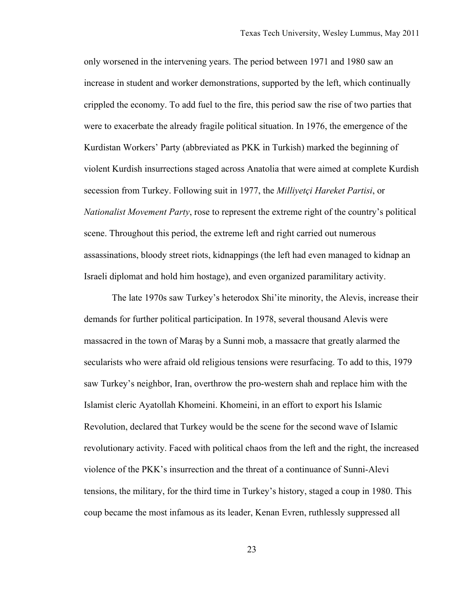only worsened in the intervening years. The period between 1971 and 1980 saw an increase in student and worker demonstrations, supported by the left, which continually crippled the economy. To add fuel to the fire, this period saw the rise of two parties that were to exacerbate the already fragile political situation. In 1976, the emergence of the Kurdistan Workers' Party (abbreviated as PKK in Turkish) marked the beginning of violent Kurdish insurrections staged across Anatolia that were aimed at complete Kurdish secession from Turkey. Following suit in 1977, the *Milliyetçi Hareket Partisi*, or *Nationalist Movement Party*, rose to represent the extreme right of the country's political scene. Throughout this period, the extreme left and right carried out numerous assassinations, bloody street riots, kidnappings (the left had even managed to kidnap an Israeli diplomat and hold him hostage), and even organized paramilitary activity.

The late 1970s saw Turkey's heterodox Shi'ite minority, the Alevis, increase their demands for further political participation. In 1978, several thousand Alevis were massacred in the town of Maraş by a Sunni mob, a massacre that greatly alarmed the secularists who were afraid old religious tensions were resurfacing. To add to this, 1979 saw Turkey's neighbor, Iran, overthrow the pro-western shah and replace him with the Islamist cleric Ayatollah Khomeini. Khomeini, in an effort to export his Islamic Revolution, declared that Turkey would be the scene for the second wave of Islamic revolutionary activity. Faced with political chaos from the left and the right, the increased violence of the PKK's insurrection and the threat of a continuance of Sunni-Alevi tensions, the military, for the third time in Turkey's history, staged a coup in 1980. This coup became the most infamous as its leader, Kenan Evren, ruthlessly suppressed all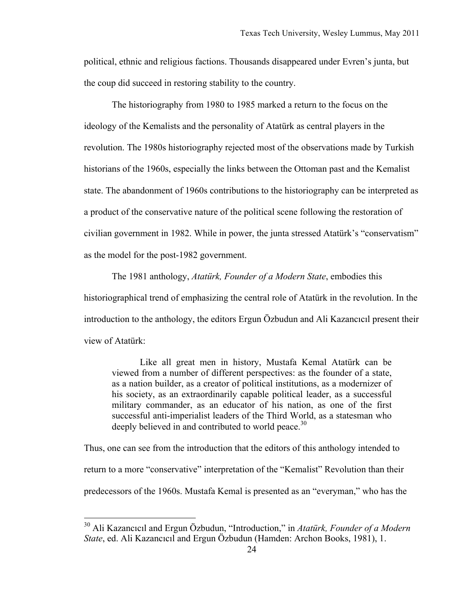political, ethnic and religious factions. Thousands disappeared under Evren's junta, but the coup did succeed in restoring stability to the country.

The historiography from 1980 to 1985 marked a return to the focus on the ideology of the Kemalists and the personality of Atatürk as central players in the revolution. The 1980s historiography rejected most of the observations made by Turkish historians of the 1960s, especially the links between the Ottoman past and the Kemalist state. The abandonment of 1960s contributions to the historiography can be interpreted as a product of the conservative nature of the political scene following the restoration of civilian government in 1982. While in power, the junta stressed Atatürk's "conservatism" as the model for the post-1982 government.

The 1981 anthology, *Atatürk, Founder of a Modern State*, embodies this historiographical trend of emphasizing the central role of Atatürk in the revolution. In the introduction to the anthology, the editors Ergun Özbudun and Ali Kazancıcıl present their view of Atatürk:

Like all great men in history, Mustafa Kemal Atatürk can be viewed from a number of different perspectives: as the founder of a state, as a nation builder, as a creator of political institutions, as a modernizer of his society, as an extraordinarily capable political leader, as a successful military commander, as an educator of his nation, as one of the first successful anti-imperialist leaders of the Third World, as a statesman who deeply believed in and contributed to world peace.<sup>30</sup>

Thus, one can see from the introduction that the editors of this anthology intended to return to a more "conservative" interpretation of the "Kemalist" Revolution than their predecessors of the 1960s. Mustafa Kemal is presented as an "everyman," who has the

 <sup>30</sup> Ali Kazancıcıl and Ergun Özbudun, "Introduction," in *Atatürk, Founder of a Modern State*, ed. Ali Kazancıcıl and Ergun Özbudun (Hamden: Archon Books, 1981), 1.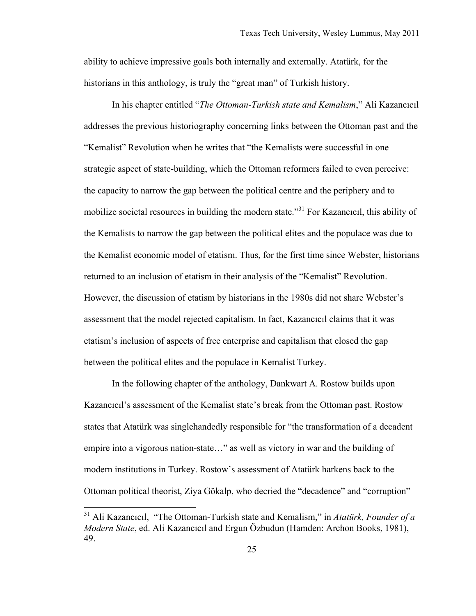ability to achieve impressive goals both internally and externally. Atatürk, for the historians in this anthology, is truly the "great man" of Turkish history.

In his chapter entitled "*The Ottoman-Turkish state and Kemalism*," Ali Kazancıcıl addresses the previous historiography concerning links between the Ottoman past and the "Kemalist" Revolution when he writes that "the Kemalists were successful in one strategic aspect of state-building, which the Ottoman reformers failed to even perceive: the capacity to narrow the gap between the political centre and the periphery and to mobilize societal resources in building the modern state.<sup>31</sup> For Kazancıcıl, this ability of the Kemalists to narrow the gap between the political elites and the populace was due to the Kemalist economic model of etatism. Thus, for the first time since Webster, historians returned to an inclusion of etatism in their analysis of the "Kemalist" Revolution. However, the discussion of etatism by historians in the 1980s did not share Webster's assessment that the model rejected capitalism. In fact, Kazancıcıl claims that it was etatism's inclusion of aspects of free enterprise and capitalism that closed the gap between the political elites and the populace in Kemalist Turkey.

In the following chapter of the anthology, Dankwart A. Rostow builds upon Kazancıcıl's assessment of the Kemalist state's break from the Ottoman past. Rostow states that Atatürk was singlehandedly responsible for "the transformation of a decadent empire into a vigorous nation-state…" as well as victory in war and the building of modern institutions in Turkey. Rostow's assessment of Atatürk harkens back to the Ottoman political theorist, Ziya Gökalp, who decried the "decadence" and "corruption"

 <sup>31</sup> Ali Kazancıcıl, "The Ottoman-Turkish state and Kemalism," in *Atatürk, Founder of a Modern State*, ed. Ali Kazancıcıl and Ergun Özbudun (Hamden: Archon Books, 1981), 49.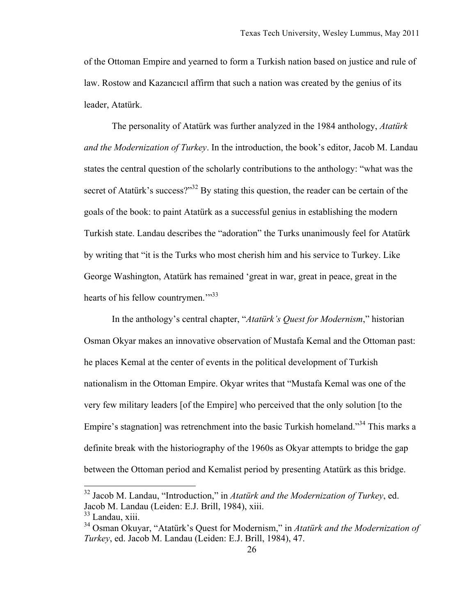of the Ottoman Empire and yearned to form a Turkish nation based on justice and rule of law. Rostow and Kazancıcıl affirm that such a nation was created by the genius of its leader, Atatürk.

The personality of Atatürk was further analyzed in the 1984 anthology, *Atatürk and the Modernization of Turkey*. In the introduction, the book's editor, Jacob M. Landau states the central question of the scholarly contributions to the anthology: "what was the secret of Atatürk's success?"<sup>32</sup> By stating this question, the reader can be certain of the goals of the book: to paint Atatürk as a successful genius in establishing the modern Turkish state. Landau describes the "adoration" the Turks unanimously feel for Atatürk by writing that "it is the Turks who most cherish him and his service to Turkey. Like George Washington, Atatürk has remained 'great in war, great in peace, great in the hearts of his fellow countrymen."<sup>33</sup>

In the anthology's central chapter, "*Atatürk's Quest for Modernism*," historian Osman Okyar makes an innovative observation of Mustafa Kemal and the Ottoman past: he places Kemal at the center of events in the political development of Turkish nationalism in the Ottoman Empire. Okyar writes that "Mustafa Kemal was one of the very few military leaders [of the Empire] who perceived that the only solution [to the Empire's stagnation] was retrenchment into the basic Turkish homeland."<sup>34</sup> This marks a definite break with the historiography of the 1960s as Okyar attempts to bridge the gap between the Ottoman period and Kemalist period by presenting Atatürk as this bridge.

 <sup>32</sup> Jacob M. Landau, "Introduction," in *Atatürk and the Modernization of Turkey*, ed. Jacob M. Landau (Leiden: E.J. Brill, 1984), xiii.

<sup>&</sup>lt;sup>33</sup> Landau, xiii.

<sup>34</sup> Osman Okuyar, "Atatürk's Quest for Modernism," in *Atatürk and the Modernization of Turkey*, ed. Jacob M. Landau (Leiden: E.J. Brill, 1984), 47.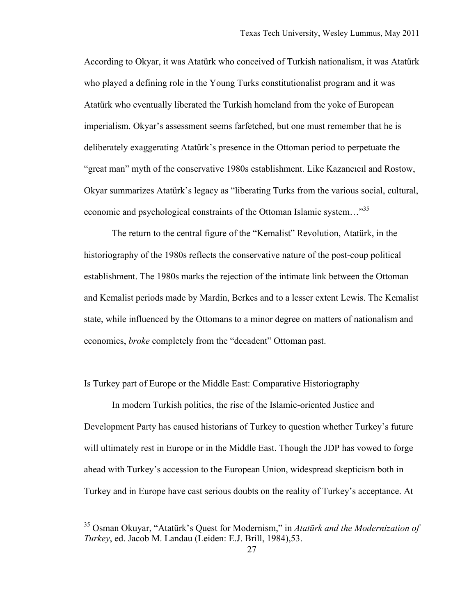According to Okyar, it was Atatürk who conceived of Turkish nationalism, it was Atatürk who played a defining role in the Young Turks constitutionalist program and it was Atatürk who eventually liberated the Turkish homeland from the yoke of European imperialism. Okyar's assessment seems farfetched, but one must remember that he is deliberately exaggerating Atatürk's presence in the Ottoman period to perpetuate the "great man" myth of the conservative 1980s establishment. Like Kazancıcıl and Rostow, Okyar summarizes Atatürk's legacy as "liberating Turks from the various social, cultural, economic and psychological constraints of the Ottoman Islamic system..."<sup>35</sup>

The return to the central figure of the "Kemalist" Revolution, Atatürk, in the historiography of the 1980s reflects the conservative nature of the post-coup political establishment. The 1980s marks the rejection of the intimate link between the Ottoman and Kemalist periods made by Mardin, Berkes and to a lesser extent Lewis. The Kemalist state, while influenced by the Ottomans to a minor degree on matters of nationalism and economics, *broke* completely from the "decadent" Ottoman past.

Is Turkey part of Europe or the Middle East: Comparative Historiography

In modern Turkish politics, the rise of the Islamic-oriented Justice and Development Party has caused historians of Turkey to question whether Turkey's future will ultimately rest in Europe or in the Middle East. Though the JDP has vowed to forge ahead with Turkey's accession to the European Union, widespread skepticism both in Turkey and in Europe have cast serious doubts on the reality of Turkey's acceptance. At

 <sup>35</sup> Osman Okuyar, "Atatürk's Quest for Modernism," in *Atatürk and the Modernization of Turkey*, ed. Jacob M. Landau (Leiden: E.J. Brill, 1984),53.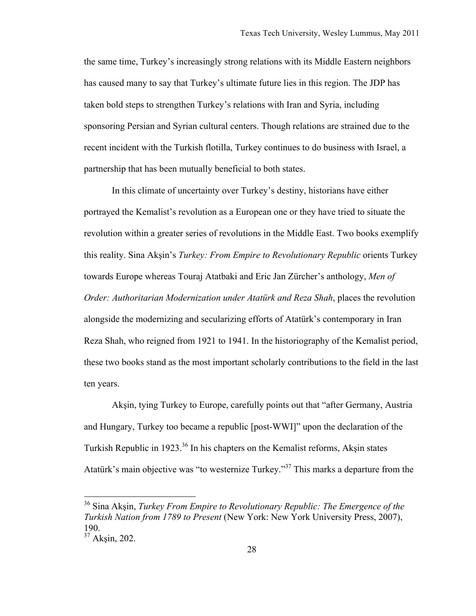the same time, Turkey's increasingly strong relations with its Middle Eastern neighbors has caused many to say that Turkey's ultimate future lies in this region. The JDP has taken bold steps to strengthen Turkey's relations with Iran and Syria, including sponsoring Persian and Syrian cultural centers. Though relations are strained due to the recent incident with the Turkish flotilla, Turkey continues to do business with Israel, a partnership that has been mutually beneficial to both states.

In this climate of uncertainty over Turkey's destiny, historians have either portrayed the Kemalist's revolution as a European one or they have tried to situate the revolution within a greater series of revolutions in the Middle East. Two books exemplify this reality. Sina Akşin's *Turkey: From Empire to Revolutionary Republic* orients Turkey towards Europe whereas Touraj Atatbaki and Eric Jan Zürcher's anthology, *Men of Order: Authoritarian Modernization under Atatürk and Reza Shah*, places the revolution alongside the modernizing and secularizing efforts of Atatürk's contemporary in Iran Reza Shah, who reigned from 1921 to 1941. In the historiography of the Kemalist period, these two books stand as the most important scholarly contributions to the field in the last ten years.

Akşin, tying Turkey to Europe, carefully points out that "after Germany, Austria and Hungary, Turkey too became a republic [post-WWI]" upon the declaration of the Turkish Republic in 1923.<sup>36</sup> In his chapters on the Kemalist reforms, Aksin states Atatürk's main objective was "to westernize Turkey."37 This marks a departure from the

 <sup>36</sup> Sina Akşin, *Turkey From Empire to Revolutionary Republic: The Emergence of the Turkish Nation from 1789 to Present* (New York: New York University Press, 2007), 190.

<sup>37</sup> Akşin, 202.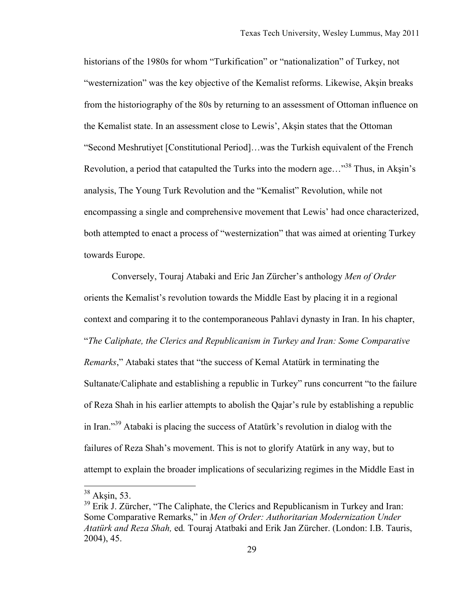historians of the 1980s for whom "Turkification" or "nationalization" of Turkey, not "westernization" was the key objective of the Kemalist reforms. Likewise, Akşin breaks from the historiography of the 80s by returning to an assessment of Ottoman influence on the Kemalist state. In an assessment close to Lewis', Akşin states that the Ottoman "Second Meshrutiyet [Constitutional Period]…was the Turkish equivalent of the French Revolution, a period that catapulted the Turks into the modern age...<sup>38</sup> Thus, in Aksin's analysis, The Young Turk Revolution and the "Kemalist" Revolution, while not encompassing a single and comprehensive movement that Lewis' had once characterized, both attempted to enact a process of "westernization" that was aimed at orienting Turkey towards Europe.

Conversely, Touraj Atabaki and Eric Jan Zürcher's anthology *Men of Order* orients the Kemalist's revolution towards the Middle East by placing it in a regional context and comparing it to the contemporaneous Pahlavi dynasty in Iran. In his chapter, "*The Caliphate, the Clerics and Republicanism in Turkey and Iran: Some Comparative Remarks*," Atabaki states that "the success of Kemal Atatürk in terminating the Sultanate/Caliphate and establishing a republic in Turkey" runs concurrent "to the failure of Reza Shah in his earlier attempts to abolish the Qajar's rule by establishing a republic in Iran."39 Atabaki is placing the success of Atatürk's revolution in dialog with the failures of Reza Shah's movement. This is not to glorify Atatürk in any way, but to attempt to explain the broader implications of secularizing regimes in the Middle East in

 $38$  Aksin, 53.

<sup>&</sup>lt;sup>39</sup> Erik J. Zürcher, "The Caliphate, the Clerics and Republicanism in Turkey and Iran: Some Comparative Remarks," in *Men of Order: Authoritarian Modernization Under Atatürk and Reza Shah,* ed*.* Touraj Atatbaki and Erik Jan Zürcher. (London: I.B. Tauris, 2004), 45.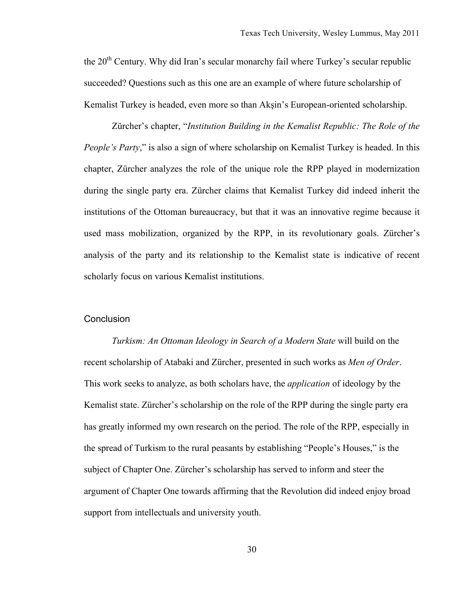the  $20<sup>th</sup>$  Century. Why did Iran's secular monarchy fail where Turkey's secular republic succeeded? Questions such as this one are an example of where future scholarship of Kemalist Turkey is headed, even more so than Akşin's European-oriented scholarship.

Zürcher's chapter, "*Institution Building in the Kemalist Republic: The Role of the People's Party*," is also a sign of where scholarship on Kemalist Turkey is headed. In this chapter, Zürcher analyzes the role of the unique role the RPP played in modernization during the single party era. Zürcher claims that Kemalist Turkey did indeed inherit the institutions of the Ottoman bureaucracy, but that it was an innovative regime because it used mass mobilization, organized by the RPP, in its revolutionary goals. Zürcher's analysis of the party and its relationship to the Kemalist state is indicative of recent scholarly focus on various Kemalist institutions.

#### **Conclusion**

*Turkism: An Ottoman Ideology in Search of a Modern State* will build on the recent scholarship of Atabaki and Zürcher, presented in such works as *Men of Order*. This work seeks to analyze, as both scholars have, the *application* of ideology by the Kemalist state. Zürcher's scholarship on the role of the RPP during the single party era has greatly informed my own research on the period. The role of the RPP, especially in the spread of Turkism to the rural peasants by establishing "People's Houses," is the subject of Chapter One. Zürcher's scholarship has served to inform and steer the argument of Chapter One towards affirming that the Revolution did indeed enjoy broad support from intellectuals and university youth.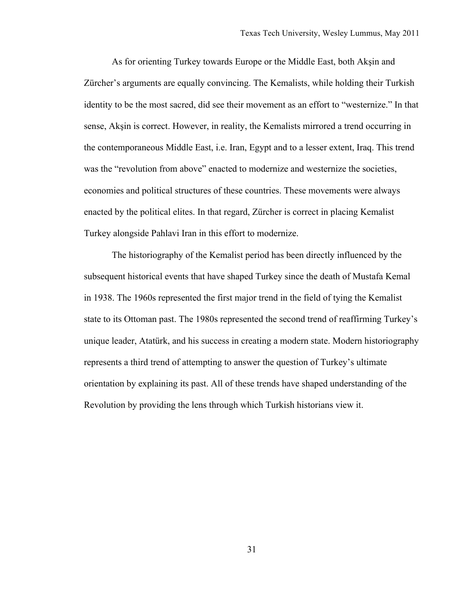As for orienting Turkey towards Europe or the Middle East, both Akşin and Zürcher's arguments are equally convincing. The Kemalists, while holding their Turkish identity to be the most sacred, did see their movement as an effort to "westernize." In that sense, Akşin is correct. However, in reality, the Kemalists mirrored a trend occurring in the contemporaneous Middle East, i.e. Iran, Egypt and to a lesser extent, Iraq. This trend was the "revolution from above" enacted to modernize and westernize the societies, economies and political structures of these countries. These movements were always enacted by the political elites. In that regard, Zürcher is correct in placing Kemalist Turkey alongside Pahlavi Iran in this effort to modernize.

The historiography of the Kemalist period has been directly influenced by the subsequent historical events that have shaped Turkey since the death of Mustafa Kemal in 1938. The 1960s represented the first major trend in the field of tying the Kemalist state to its Ottoman past. The 1980s represented the second trend of reaffirming Turkey's unique leader, Atatürk, and his success in creating a modern state. Modern historiography represents a third trend of attempting to answer the question of Turkey's ultimate orientation by explaining its past. All of these trends have shaped understanding of the Revolution by providing the lens through which Turkish historians view it.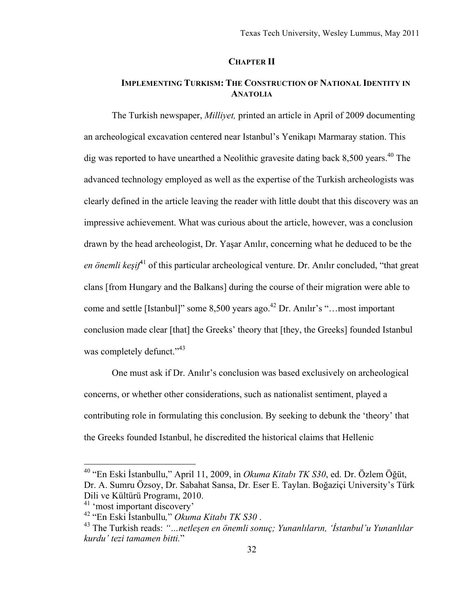#### **CHAPTER II**

# **IMPLEMENTING TURKISM: THE CONSTRUCTION OF NATIONAL IDENTITY IN ANATOLIA**

The Turkish newspaper, *Milliyet,* printed an article in April of 2009 documenting an archeological excavation centered near Istanbul's Yenikapı Marmaray station. This dig was reported to have unearthed a Neolithic gravesite dating back 8,500 years.<sup>40</sup> The advanced technology employed as well as the expertise of the Turkish archeologists was clearly defined in the article leaving the reader with little doubt that this discovery was an impressive achievement. What was curious about the article, however, was a conclusion drawn by the head archeologist, Dr. Yaşar Anılır, concerning what he deduced to be the *en önemli keşif*41 of this particular archeological venture. Dr. Anılır concluded, "that great clans [from Hungary and the Balkans] during the course of their migration were able to come and settle [Istanbul]" some  $8,500$  years ago.<sup>42</sup> Dr. Anılır's "…most important conclusion made clear [that] the Greeks' theory that [they, the Greeks] founded Istanbul was completely defunct."<sup>43</sup>

One must ask if Dr. Anılır's conclusion was based exclusively on archeological concerns, or whether other considerations, such as nationalist sentiment, played a contributing role in formulating this conclusion. By seeking to debunk the 'theory' that the Greeks founded Istanbul, he discredited the historical claims that Hellenic

 <sup>40 &</sup>quot;En Eski İstanbullu," April 11, 2009, in *Okuma Kitabı TK S30*, ed. Dr. Özlem Öğüt, Dr. A. Sumru Özsoy, Dr. Sabahat Sansa, Dr. Eser E. Taylan. Boğaziçi University's Türk Dili ve Kültürü Programı, 2010.

<sup>&</sup>lt;sup>41</sup> 'most important discovery'<br><sup>42</sup> "En Eski Istanbullu," Okuma Kitabı TK S30.

<sup>&</sup>lt;sup>43</sup> The Turkish reads: "*…netlesen en önemli sonuc; Yunanlıların, 'İstanbul'u Yunanlılar kurdu' tezi tamamen bitti.*"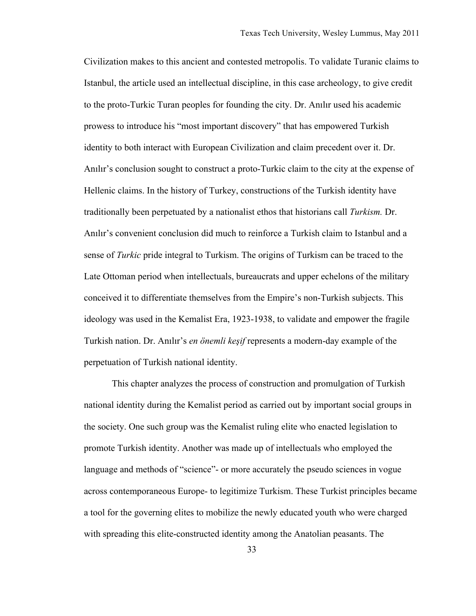Civilization makes to this ancient and contested metropolis. To validate Turanic claims to Istanbul, the article used an intellectual discipline, in this case archeology, to give credit to the proto-Turkic Turan peoples for founding the city. Dr. Anılır used his academic prowess to introduce his "most important discovery" that has empowered Turkish identity to both interact with European Civilization and claim precedent over it. Dr. Anılır's conclusion sought to construct a proto-Turkic claim to the city at the expense of Hellenic claims. In the history of Turkey, constructions of the Turkish identity have traditionally been perpetuated by a nationalist ethos that historians call *Turkism.* Dr. Anılır's convenient conclusion did much to reinforce a Turkish claim to Istanbul and a sense of *Turkic* pride integral to Turkism. The origins of Turkism can be traced to the Late Ottoman period when intellectuals, bureaucrats and upper echelons of the military conceived it to differentiate themselves from the Empire's non-Turkish subjects. This ideology was used in the Kemalist Era, 1923-1938, to validate and empower the fragile Turkish nation. Dr. Anılır's *en önemli keşif* represents a modern-day example of the perpetuation of Turkish national identity.

This chapter analyzes the process of construction and promulgation of Turkish national identity during the Kemalist period as carried out by important social groups in the society. One such group was the Kemalist ruling elite who enacted legislation to promote Turkish identity. Another was made up of intellectuals who employed the language and methods of "science"- or more accurately the pseudo sciences in vogue across contemporaneous Europe- to legitimize Turkism. These Turkist principles became a tool for the governing elites to mobilize the newly educated youth who were charged with spreading this elite-constructed identity among the Anatolian peasants. The

33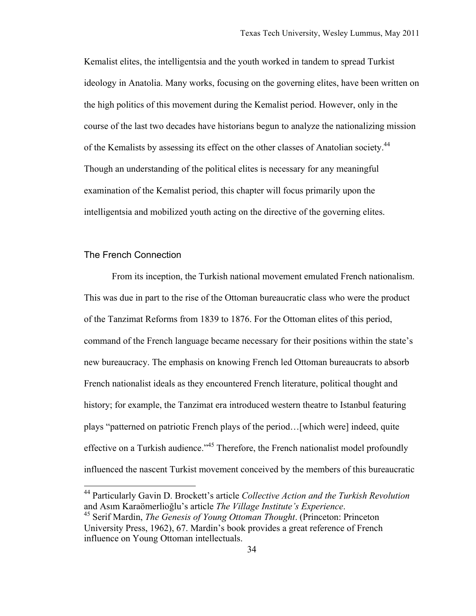Kemalist elites, the intelligentsia and the youth worked in tandem to spread Turkist ideology in Anatolia. Many works, focusing on the governing elites, have been written on the high politics of this movement during the Kemalist period. However, only in the course of the last two decades have historians begun to analyze the nationalizing mission of the Kemalists by assessing its effect on the other classes of Anatolian society.<sup>44</sup> Though an understanding of the political elites is necessary for any meaningful examination of the Kemalist period, this chapter will focus primarily upon the intelligentsia and mobilized youth acting on the directive of the governing elites.

### The French Connection

From its inception, the Turkish national movement emulated French nationalism. This was due in part to the rise of the Ottoman bureaucratic class who were the product of the Tanzimat Reforms from 1839 to 1876. For the Ottoman elites of this period, command of the French language became necessary for their positions within the state's new bureaucracy. The emphasis on knowing French led Ottoman bureaucrats to absorb French nationalist ideals as they encountered French literature, political thought and history; for example, the Tanzimat era introduced western theatre to Istanbul featuring plays "patterned on patriotic French plays of the period…[which were] indeed, quite effective on a Turkish audience."<sup>45</sup> Therefore, the French nationalist model profoundly influenced the nascent Turkist movement conceived by the members of this bureaucratic

 <sup>44</sup> Particularly Gavin D. Brockett's article *Collective Action and the Turkish Revolution* and Asım Karaömerlioğlu's article *The Village Institute's Experience*. 45 Serif Mardin, *The Genesis of Young Ottoman Thought*. (Princeton: Princeton

University Press, 1962), 67. Mardin's book provides a great reference of French influence on Young Ottoman intellectuals.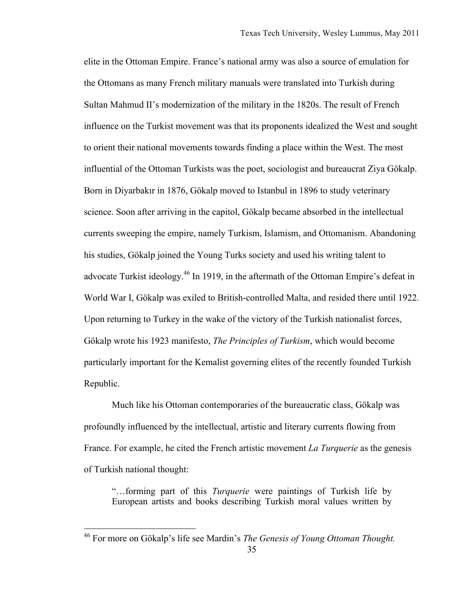elite in the Ottoman Empire. France's national army was also a source of emulation for the Ottomans as many French military manuals were translated into Turkish during Sultan Mahmud II's modernization of the military in the 1820s. The result of French influence on the Turkist movement was that its proponents idealized the West and sought to orient their national movements towards finding a place within the West. The most influential of the Ottoman Turkists was the poet, sociologist and bureaucrat Ziya Gökalp. Born in Diyarbakır in 1876, Gökalp moved to Istanbul in 1896 to study veterinary science. Soon after arriving in the capitol, Gökalp became absorbed in the intellectual currents sweeping the empire, namely Turkism, Islamism, and Ottomanism. Abandoning his studies, Gökalp joined the Young Turks society and used his writing talent to advocate Turkist ideology.<sup>46</sup> In 1919, in the aftermath of the Ottoman Empire's defeat in World War I, Gökalp was exiled to British-controlled Malta, and resided there until 1922. Upon returning to Turkey in the wake of the victory of the Turkish nationalist forces, Gökalp wrote his 1923 manifesto, *The Principles of Turkism*, which would become particularly important for the Kemalist governing elites of the recently founded Turkish Republic.

Much like his Ottoman contemporaries of the bureaucratic class, Gökalp was profoundly influenced by the intellectual, artistic and literary currents flowing from France. For example, he cited the French artistic movement *La Turquerie* as the genesis of Turkish national thought:

"…forming part of this *Turquerie* were paintings of Turkish life by European artists and books describing Turkish moral values written by

<sup>35</sup> 46 For more on Gökalp's life see Mardin's *The Genesis of Young Ottoman Thought.*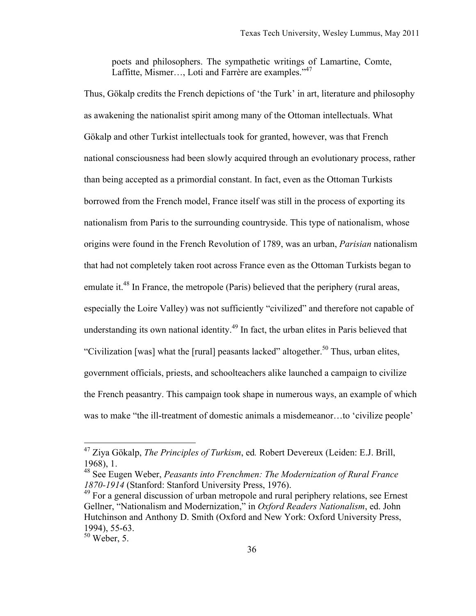poets and philosophers. The sympathetic writings of Lamartine, Comte, Laffitte, Mismer..., Loti and Farrère are examples."<sup>47</sup>

Thus, Gökalp credits the French depictions of 'the Turk' in art, literature and philosophy as awakening the nationalist spirit among many of the Ottoman intellectuals. What Gökalp and other Turkist intellectuals took for granted, however, was that French national consciousness had been slowly acquired through an evolutionary process, rather than being accepted as a primordial constant. In fact, even as the Ottoman Turkists borrowed from the French model, France itself was still in the process of exporting its nationalism from Paris to the surrounding countryside. This type of nationalism, whose origins were found in the French Revolution of 1789, was an urban, *Parisian* nationalism that had not completely taken root across France even as the Ottoman Turkists began to emulate it.<sup>48</sup> In France, the metropole (Paris) believed that the periphery (rural areas, especially the Loire Valley) was not sufficiently "civilized" and therefore not capable of understanding its own national identity.<sup>49</sup> In fact, the urban elites in Paris believed that "Civilization [was] what the [rural] peasants lacked" altogether.<sup>50</sup> Thus, urban elites, government officials, priests, and schoolteachers alike launched a campaign to civilize the French peasantry. This campaign took shape in numerous ways, an example of which was to make "the ill-treatment of domestic animals a misdemeanor…to 'civilize people'

 <sup>47</sup> Ziya Gökalp, *The Principles of Turkism*, ed*.* Robert Devereux (Leiden: E.J. Brill, 1968), 1.

<sup>48</sup> See Eugen Weber, *Peasants into Frenchmen: The Modernization of Rural France 1870-1914* (Stanford: Stanford University Press, 1976).

<sup>&</sup>lt;sup>49</sup> For a general discussion of urban metropole and rural periphery relations, see Ernest Gellner, "Nationalism and Modernization," in *Oxford Readers Nationalism*, ed. John Hutchinson and Anthony D. Smith (Oxford and New York: Oxford University Press, 1994), 55-63.

 $50$  Weber, 5.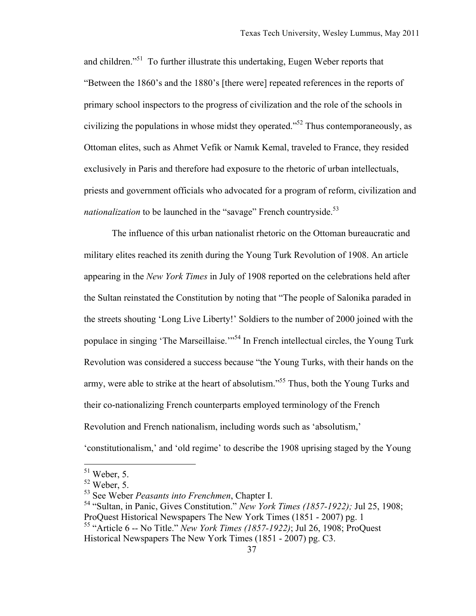and children."<sup>51</sup> To further illustrate this undertaking, Eugen Weber reports that "Between the 1860's and the 1880's [there were] repeated references in the reports of primary school inspectors to the progress of civilization and the role of the schools in civilizing the populations in whose midst they operated."52 Thus contemporaneously, as Ottoman elites, such as Ahmet Vefik or Namık Kemal, traveled to France, they resided exclusively in Paris and therefore had exposure to the rhetoric of urban intellectuals, priests and government officials who advocated for a program of reform, civilization and *nationalization* to be launched in the "savage" French countryside.<sup>53</sup>

The influence of this urban nationalist rhetoric on the Ottoman bureaucratic and military elites reached its zenith during the Young Turk Revolution of 1908. An article appearing in the *New York Times* in July of 1908 reported on the celebrations held after the Sultan reinstated the Constitution by noting that "The people of Salonika paraded in the streets shouting 'Long Live Liberty!' Soldiers to the number of 2000 joined with the populace in singing 'The Marseillaise.'"<sup>54</sup> In French intellectual circles, the Young Turk Revolution was considered a success because "the Young Turks, with their hands on the army, were able to strike at the heart of absolutism."<sup>55</sup> Thus, both the Young Turks and their co-nationalizing French counterparts employed terminology of the French Revolution and French nationalism, including words such as 'absolutism,'

<sup>&#</sup>x27;constitutionalism,' and 'old regime' to describe the 1908 uprising staged by the Young

 $51$  Weber, 5.

 $52$  Weber, 5.

<sup>53</sup> See Weber *Peasants into Frenchmen*, Chapter I.

<sup>54 &</sup>quot;Sultan, in Panic, Gives Constitution." *New York Times (1857-1922);* Jul 25, 1908; ProQuest Historical Newspapers The New York Times (1851 - 2007) pg. 1 55 "Article 6 -- No Title." *New York Times (1857-1922)*; Jul 26, 1908; ProQuest

Historical Newspapers The New York Times (1851 - 2007) pg. C3.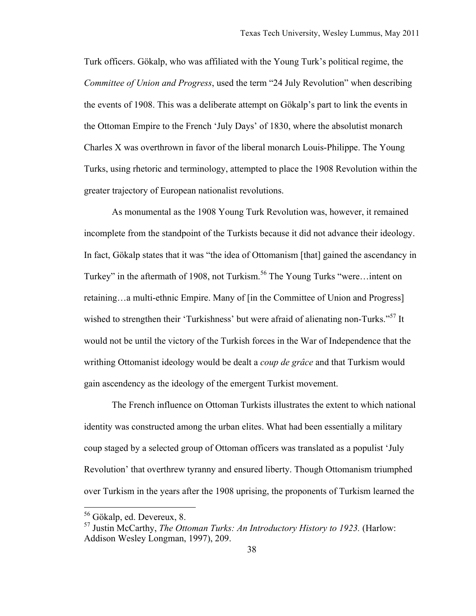Turk officers. Gökalp, who was affiliated with the Young Turk's political regime, the *Committee of Union and Progress*, used the term "24 July Revolution" when describing the events of 1908. This was a deliberate attempt on Gökalp's part to link the events in the Ottoman Empire to the French 'July Days' of 1830, where the absolutist monarch Charles X was overthrown in favor of the liberal monarch Louis-Philippe. The Young Turks, using rhetoric and terminology, attempted to place the 1908 Revolution within the greater trajectory of European nationalist revolutions.

As monumental as the 1908 Young Turk Revolution was, however, it remained incomplete from the standpoint of the Turkists because it did not advance their ideology. In fact, Gökalp states that it was "the idea of Ottomanism [that] gained the ascendancy in Turkey" in the aftermath of 1908, not Turkism.<sup>56</sup> The Young Turks "were...intent on retaining…a multi-ethnic Empire. Many of [in the Committee of Union and Progress] wished to strengthen their 'Turkishness' but were afraid of alienating non-Turks."<sup>57</sup> It would not be until the victory of the Turkish forces in the War of Independence that the writhing Ottomanist ideology would be dealt a *coup de grâce* and that Turkism would gain ascendency as the ideology of the emergent Turkist movement.

The French influence on Ottoman Turkists illustrates the extent to which national identity was constructed among the urban elites. What had been essentially a military coup staged by a selected group of Ottoman officers was translated as a populist 'July Revolution' that overthrew tyranny and ensured liberty. Though Ottomanism triumphed over Turkism in the years after the 1908 uprising, the proponents of Turkism learned the

 <sup>56</sup> Gökalp, ed. Devereux, 8.

<sup>57</sup> Justin McCarthy, *The Ottoman Turks: An Introductory History to 1923.* (Harlow: Addison Wesley Longman, 1997), 209.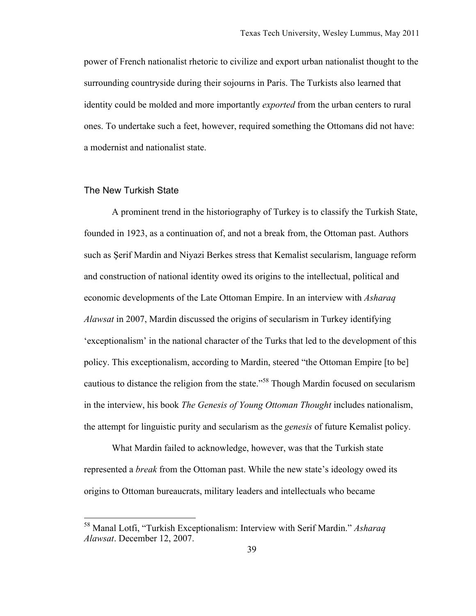power of French nationalist rhetoric to civilize and export urban nationalist thought to the surrounding countryside during their sojourns in Paris. The Turkists also learned that identity could be molded and more importantly *exported* from the urban centers to rural ones. To undertake such a feet, however, required something the Ottomans did not have: a modernist and nationalist state.

### The New Turkish State

A prominent trend in the historiography of Turkey is to classify the Turkish State, founded in 1923, as a continuation of, and not a break from, the Ottoman past. Authors such as Şerif Mardin and Niyazi Berkes stress that Kemalist secularism, language reform and construction of national identity owed its origins to the intellectual, political and economic developments of the Late Ottoman Empire. In an interview with *Asharaq Alawsat* in 2007, Mardin discussed the origins of secularism in Turkey identifying 'exceptionalism' in the national character of the Turks that led to the development of this policy. This exceptionalism, according to Mardin, steered "the Ottoman Empire [to be] cautious to distance the religion from the state."58 Though Mardin focused on secularism in the interview, his book *The Genesis of Young Ottoman Thought* includes nationalism, the attempt for linguistic purity and secularism as the *genesis* of future Kemalist policy.

What Mardin failed to acknowledge, however, was that the Turkish state represented a *break* from the Ottoman past. While the new state's ideology owed its origins to Ottoman bureaucrats, military leaders and intellectuals who became

 <sup>58</sup> Manal Lotfi, "Turkish Exceptionalism: Interview with Serif Mardin." *Asharaq Alawsat*. December 12, 2007.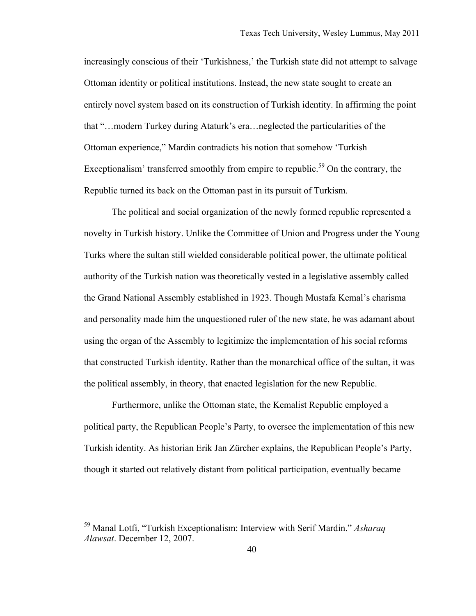increasingly conscious of their 'Turkishness,' the Turkish state did not attempt to salvage Ottoman identity or political institutions. Instead, the new state sought to create an entirely novel system based on its construction of Turkish identity. In affirming the point that "…modern Turkey during Ataturk's era…neglected the particularities of the Ottoman experience," Mardin contradicts his notion that somehow 'Turkish Exceptionalism' transferred smoothly from empire to republic.<sup>59</sup> On the contrary, the Republic turned its back on the Ottoman past in its pursuit of Turkism.

The political and social organization of the newly formed republic represented a novelty in Turkish history. Unlike the Committee of Union and Progress under the Young Turks where the sultan still wielded considerable political power, the ultimate political authority of the Turkish nation was theoretically vested in a legislative assembly called the Grand National Assembly established in 1923. Though Mustafa Kemal's charisma and personality made him the unquestioned ruler of the new state, he was adamant about using the organ of the Assembly to legitimize the implementation of his social reforms that constructed Turkish identity. Rather than the monarchical office of the sultan, it was the political assembly, in theory, that enacted legislation for the new Republic.

Furthermore, unlike the Ottoman state, the Kemalist Republic employed a political party, the Republican People's Party, to oversee the implementation of this new Turkish identity. As historian Erik Jan Zürcher explains, the Republican People's Party, though it started out relatively distant from political participation, eventually became

 <sup>59</sup> Manal Lotfi, "Turkish Exceptionalism: Interview with Serif Mardin." *Asharaq Alawsat*. December 12, 2007.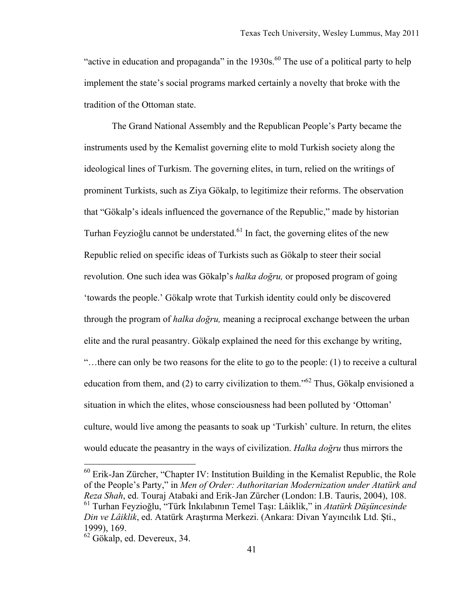"active in education and propaganda" in the  $1930s$ .<sup>60</sup> The use of a political party to help implement the state's social programs marked certainly a novelty that broke with the tradition of the Ottoman state.

The Grand National Assembly and the Republican People's Party became the instruments used by the Kemalist governing elite to mold Turkish society along the ideological lines of Turkism. The governing elites, in turn, relied on the writings of prominent Turkists, such as Ziya Gökalp, to legitimize their reforms. The observation that "Gökalp's ideals influenced the governance of the Republic," made by historian Turhan Feyzioğlu cannot be understated.<sup>61</sup> In fact, the governing elites of the new Republic relied on specific ideas of Turkists such as Gökalp to steer their social revolution. One such idea was Gökalp's *halka doğru,* or proposed program of going 'towards the people.' Gökalp wrote that Turkish identity could only be discovered through the program of *halka doğru,* meaning a reciprocal exchange between the urban elite and the rural peasantry. Gökalp explained the need for this exchange by writing, "…there can only be two reasons for the elite to go to the people: (1) to receive a cultural education from them, and (2) to carry civilization to them.<sup> $162$ </sup> Thus, Gökalp envisioned a situation in which the elites, whose consciousness had been polluted by 'Ottoman' culture, would live among the peasants to soak up 'Turkish' culture. In return, the elites would educate the peasantry in the ways of civilization. *Halka doğru* thus mirrors the

 <sup>60</sup> Erik-Jan Zürcher, "Chapter IV: Institution Building in the Kemalist Republic, the Role of the People's Party," in *Men of Order: Authoritarian Modernization under Atatürk and Reza Shah*, ed. Touraj Atabaki and Erik-Jan Zürcher (London: I.B. Tauris, 2004), 108. 61 Turhan Feyzioğlu, "Türk İnkılabının Temel Taşı: Lâiklik," in *Atatürk Düşüncesinde Din ve Lâiklik*, ed. Atatürk Araştırma Merkezi. (Ankara: Divan Yayıncılık Ltd. Şti., 1999), 169.

<sup>62</sup> Gökalp, ed. Devereux, 34.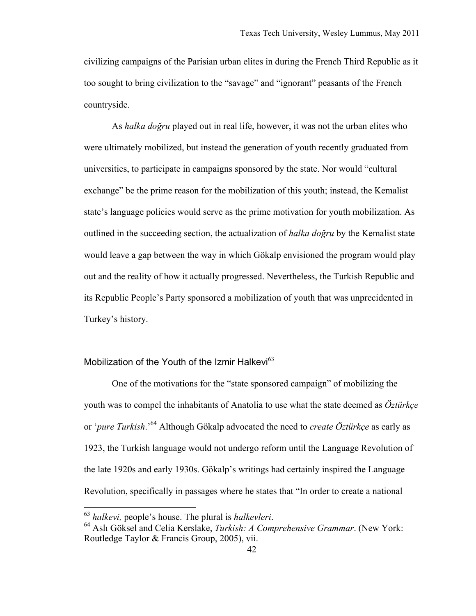civilizing campaigns of the Parisian urban elites in during the French Third Republic as it too sought to bring civilization to the "savage" and "ignorant" peasants of the French countryside.

As *halka doğru* played out in real life, however, it was not the urban elites who were ultimately mobilized, but instead the generation of youth recently graduated from universities, to participate in campaigns sponsored by the state. Nor would "cultural exchange" be the prime reason for the mobilization of this youth; instead, the Kemalist state's language policies would serve as the prime motivation for youth mobilization. As outlined in the succeeding section, the actualization of *halka doğru* by the Kemalist state would leave a gap between the way in which Gökalp envisioned the program would play out and the reality of how it actually progressed. Nevertheless, the Turkish Republic and its Republic People's Party sponsored a mobilization of youth that was unprecidented in Turkey's history.

## Mobilization of the Youth of the Izmir Halkevi $63$

One of the motivations for the "state sponsored campaign" of mobilizing the youth was to compel the inhabitants of Anatolia to use what the state deemed as *Öztürkçe* or '*pure Turkish*.'64 Although Gökalp advocated the need to *create Öztürkçe* as early as 1923, the Turkish language would not undergo reform until the Language Revolution of the late 1920s and early 1930s. Gökalp's writings had certainly inspired the Language Revolution, specifically in passages where he states that "In order to create a national

<sup>63</sup> *halkevi,* people's house. The plural is *halkevleri*. 64 Aslı Göksel and Celia Kerslake, *Turkish: A Comprehensive Grammar*. (New York: Routledge Taylor & Francis Group, 2005), vii.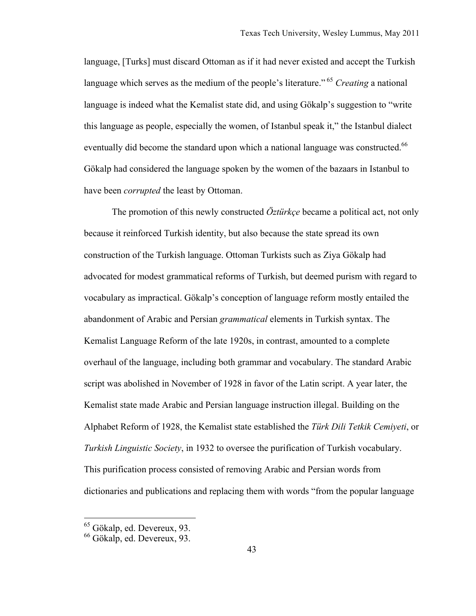language, [Turks] must discard Ottoman as if it had never existed and accept the Turkish language which serves as the medium of the people's literature." <sup>65</sup> *Creating* a national language is indeed what the Kemalist state did, and using Gökalp's suggestion to "write this language as people, especially the women, of Istanbul speak it," the Istanbul dialect eventually did become the standard upon which a national language was constructed.<sup>66</sup> Gökalp had considered the language spoken by the women of the bazaars in Istanbul to have been *corrupted* the least by Ottoman.

The promotion of this newly constructed *Öztürkçe* became a political act, not only because it reinforced Turkish identity, but also because the state spread its own construction of the Turkish language. Ottoman Turkists such as Ziya Gökalp had advocated for modest grammatical reforms of Turkish, but deemed purism with regard to vocabulary as impractical. Gökalp's conception of language reform mostly entailed the abandonment of Arabic and Persian *grammatical* elements in Turkish syntax. The Kemalist Language Reform of the late 1920s, in contrast, amounted to a complete overhaul of the language, including both grammar and vocabulary. The standard Arabic script was abolished in November of 1928 in favor of the Latin script. A year later, the Kemalist state made Arabic and Persian language instruction illegal. Building on the Alphabet Reform of 1928, the Kemalist state established the *Türk Dili Tetkik Cemiyeti*, or *Turkish Linguistic Society*, in 1932 to oversee the purification of Turkish vocabulary. This purification process consisted of removing Arabic and Persian words from dictionaries and publications and replacing them with words "from the popular language

 <sup>65</sup> Gökalp, ed. Devereux, 93.

<sup>66</sup> Gökalp, ed. Devereux, 93.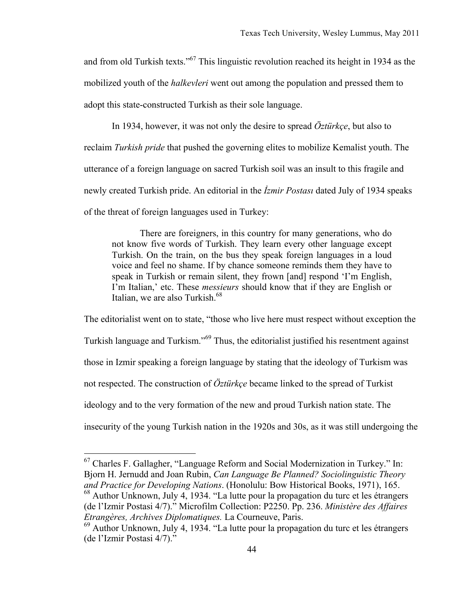and from old Turkish texts."67 This linguistic revolution reached its height in 1934 as the mobilized youth of the *halkevleri* went out among the population and pressed them to adopt this state-constructed Turkish as their sole language.

In 1934, however, it was not only the desire to spread *Öztürkçe*, but also to reclaim *Turkish pride* that pushed the governing elites to mobilize Kemalist youth. The utterance of a foreign language on sacred Turkish soil was an insult to this fragile and newly created Turkish pride. An editorial in the *İzmir Postası* dated July of 1934 speaks of the threat of foreign languages used in Turkey:

There are foreigners, in this country for many generations, who do not know five words of Turkish. They learn every other language except Turkish. On the train, on the bus they speak foreign languages in a loud voice and feel no shame. If by chance someone reminds them they have to speak in Turkish or remain silent, they frown [and] respond 'I'm English, I'm Italian,' etc. These *messieurs* should know that if they are English or Italian, we are also Turkish.<sup>68</sup>

The editorialist went on to state, "those who live here must respect without exception the Turkish language and Turkism."69 Thus, the editorialist justified his resentment against those in Izmir speaking a foreign language by stating that the ideology of Turkism was not respected. The construction of *Öztürkçe* became linked to the spread of Turkist ideology and to the very formation of the new and proud Turkish nation state. The insecurity of the young Turkish nation in the 1920s and 30s, as it was still undergoing the

 <sup>67</sup> Charles F. Gallagher, "Language Reform and Social Modernization in Turkey." In: Bjorn H. Jernudd and Joan Rubin, *Can Language Be Planned? Sociolinguistic Theory and Practice for Developing Nations*. (Honolulu: Bow Historical Books, 1971), 165.

<sup>&</sup>lt;sup>68</sup> Author Unknown, July 4, 1934. "La lutte pour la propagation du turc et les étrangers (de l'Izmir Postasi 4/7)." Microfilm Collection: P2250. Pp. 236. *Ministère des Affaires Etrangères, Archives Diplomatiques.* La Courneuve, Paris.

 $69$  Author Unknown, July 4, 1934. "La lutte pour la propagation du turc et les étrangers (de l'Izmir Postasi 4/7)."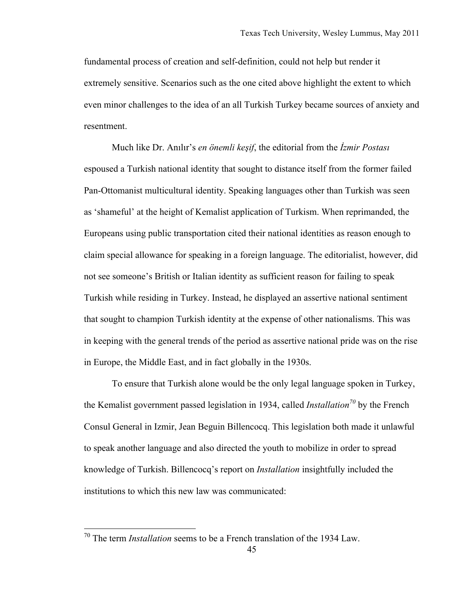fundamental process of creation and self-definition, could not help but render it extremely sensitive. Scenarios such as the one cited above highlight the extent to which even minor challenges to the idea of an all Turkish Turkey became sources of anxiety and resentment.

Much like Dr. Anılır's *en önemli keşif*, the editorial from the *İzmir Postası* espoused a Turkish national identity that sought to distance itself from the former failed Pan-Ottomanist multicultural identity. Speaking languages other than Turkish was seen as 'shameful' at the height of Kemalist application of Turkism. When reprimanded, the Europeans using public transportation cited their national identities as reason enough to claim special allowance for speaking in a foreign language. The editorialist, however, did not see someone's British or Italian identity as sufficient reason for failing to speak Turkish while residing in Turkey. Instead, he displayed an assertive national sentiment that sought to champion Turkish identity at the expense of other nationalisms. This was in keeping with the general trends of the period as assertive national pride was on the rise in Europe, the Middle East, and in fact globally in the 1930s.

To ensure that Turkish alone would be the only legal language spoken in Turkey, the Kemalist government passed legislation in 1934, called *Installation*<sup>70</sup> by the French Consul General in Izmir, Jean Beguin Billencocq. This legislation both made it unlawful to speak another language and also directed the youth to mobilize in order to spread knowledge of Turkish. Billencocq's report on *Installation* insightfully included the institutions to which this new law was communicated:

 <sup>70</sup> The term *Installation* seems to be a French translation of the 1934 Law.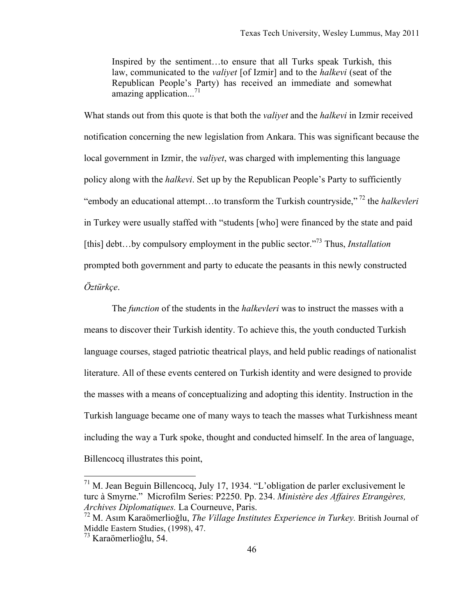Inspired by the sentiment…to ensure that all Turks speak Turkish, this law, communicated to the *valiyet* [of Izmir] and to the *halkevi* (seat of the Republican People's Party) has received an immediate and somewhat amazing application... $^{71}$ 

What stands out from this quote is that both the *valiyet* and the *halkevi* in Izmir received notification concerning the new legislation from Ankara. This was significant because the local government in Izmir, the *valiyet*, was charged with implementing this language policy along with the *halkevi*. Set up by the Republican People's Party to sufficiently "embody an educational attempt…to transform the Turkish countryside," 72 the *halkevleri* in Turkey were usually staffed with "students [who] were financed by the state and paid [this] debt…by compulsory employment in the public sector."73 Thus, *Installation* prompted both government and party to educate the peasants in this newly constructed *Öztürkçe*.

The *function* of the students in the *halkevleri* was to instruct the masses with a means to discover their Turkish identity. To achieve this, the youth conducted Turkish language courses, staged patriotic theatrical plays, and held public readings of nationalist literature. All of these events centered on Turkish identity and were designed to provide the masses with a means of conceptualizing and adopting this identity. Instruction in the Turkish language became one of many ways to teach the masses what Turkishness meant including the way a Turk spoke, thought and conducted himself. In the area of language, Billencocq illustrates this point,

 $71$  M. Jean Beguin Billencocq, July 17, 1934. "L'obligation de parler exclusivement le turc à Smyrne." Microfilm Series: P2250. Pp. 234. *Ministère des Affaires Etrangères, Archives Diplomatiques.* La Courneuve, Paris.

<sup>72</sup> M. Asım Karaömerlioğlu, *The Village Institutes Experience in Turkey.* British Journal of Middle Eastern Studies, (1998), 47.

<sup>73</sup> Karaömerlioğlu, 54.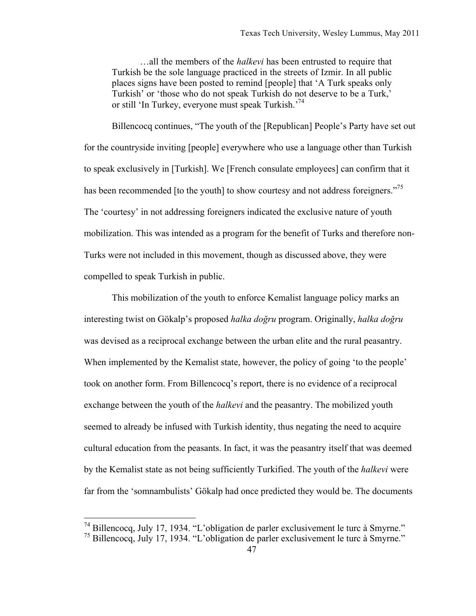…all the members of the *halkevi* has been entrusted to require that Turkish be the sole language practiced in the streets of Izmir. In all public places signs have been posted to remind [people] that 'A Turk speaks only Turkish' or 'those who do not speak Turkish do not deserve to be a Turk,' or still 'In Turkey, everyone must speak Turkish.<sup>74</sup>

Billencocq continues, "The youth of the [Republican] People's Party have set out for the countryside inviting [people] everywhere who use a language other than Turkish to speak exclusively in [Turkish]. We [French consulate employees] can confirm that it has been recommended [to the youth] to show courtesy and not address foreigners."<sup>75</sup> The 'courtesy' in not addressing foreigners indicated the exclusive nature of youth mobilization. This was intended as a program for the benefit of Turks and therefore non-Turks were not included in this movement, though as discussed above, they were compelled to speak Turkish in public.

This mobilization of the youth to enforce Kemalist language policy marks an interesting twist on Gökalp's proposed *halka doğru* program. Originally, *halka doğru* was devised as a reciprocal exchange between the urban elite and the rural peasantry. When implemented by the Kemalist state, however, the policy of going 'to the people' took on another form. From Billencocq's report, there is no evidence of a reciprocal exchange between the youth of the *halkevi* and the peasantry. The mobilized youth seemed to already be infused with Turkish identity, thus negating the need to acquire cultural education from the peasants. In fact, it was the peasantry itself that was deemed by the Kemalist state as not being sufficiently Turkified. The youth of the *halkevi* were far from the 'somnambulists' Gökalp had once predicted they would be. The documents

 <sup>74</sup> Billencocq, July 17, 1934. "L'obligation de parler exclusivement le turc à Smyrne."

<sup>75</sup> Billencocq, July 17, 1934. "L'obligation de parler exclusivement le turc à Smyrne."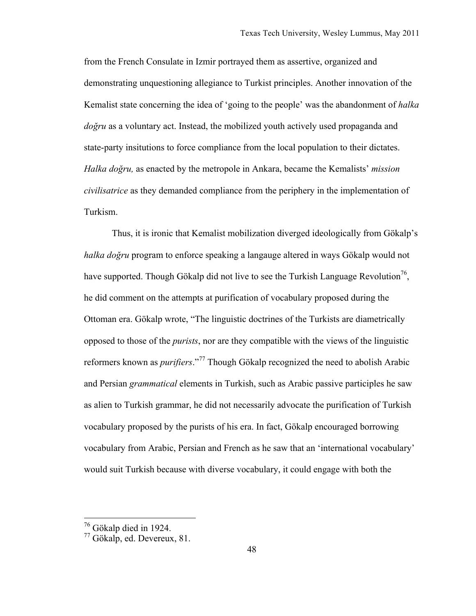from the French Consulate in Izmir portrayed them as assertive, organized and demonstrating unquestioning allegiance to Turkist principles. Another innovation of the Kemalist state concerning the idea of 'going to the people' was the abandonment of *halka doğru* as a voluntary act. Instead, the mobilized youth actively used propaganda and state-party insitutions to force compliance from the local population to their dictates. *Halka doğru,* as enacted by the metropole in Ankara, became the Kemalists' *mission civilisatrice* as they demanded compliance from the periphery in the implementation of Turkism.

Thus, it is ironic that Kemalist mobilization diverged ideologically from Gökalp's *halka doğru* program to enforce speaking a langauge altered in ways Gökalp would not have supported. Though Gökalp did not live to see the Turkish Language Revolution<sup>76</sup>, he did comment on the attempts at purification of vocabulary proposed during the Ottoman era. Gökalp wrote, "The linguistic doctrines of the Turkists are diametrically opposed to those of the *purists*, nor are they compatible with the views of the linguistic reformers known as *purifiers*."77 Though Gökalp recognized the need to abolish Arabic and Persian *grammatical* elements in Turkish, such as Arabic passive participles he saw as alien to Turkish grammar, he did not necessarily advocate the purification of Turkish vocabulary proposed by the purists of his era. In fact, Gökalp encouraged borrowing vocabulary from Arabic, Persian and French as he saw that an 'international vocabulary' would suit Turkish because with diverse vocabulary, it could engage with both the

 <sup>76</sup> Gökalp died in 1924.

 $77$  Gökalp, ed. Devereux, 81.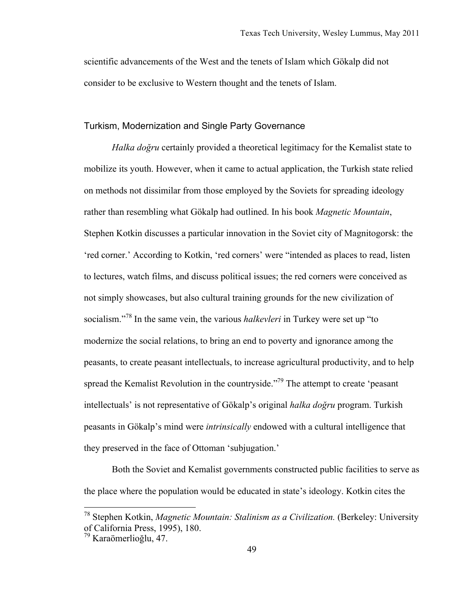scientific advancements of the West and the tenets of Islam which Gökalp did not consider to be exclusive to Western thought and the tenets of Islam.

#### Turkism, Modernization and Single Party Governance

*Halka doğru* certainly provided a theoretical legitimacy for the Kemalist state to mobilize its youth. However, when it came to actual application, the Turkish state relied on methods not dissimilar from those employed by the Soviets for spreading ideology rather than resembling what Gökalp had outlined. In his book *Magnetic Mountain*, Stephen Kotkin discusses a particular innovation in the Soviet city of Magnitogorsk: the 'red corner.' According to Kotkin, 'red corners' were "intended as places to read, listen to lectures, watch films, and discuss political issues; the red corners were conceived as not simply showcases, but also cultural training grounds for the new civilization of socialism."78 In the same vein, the various *halkevleri* in Turkey were set up "to modernize the social relations, to bring an end to poverty and ignorance among the peasants, to create peasant intellectuals, to increase agricultural productivity, and to help spread the Kemalist Revolution in the countryside.<sup>"79</sup> The attempt to create 'peasant' intellectuals' is not representative of Gökalp's original *halka doğru* program. Turkish peasants in Gökalp's mind were *intrinsically* endowed with a cultural intelligence that they preserved in the face of Ottoman 'subjugation.'

Both the Soviet and Kemalist governments constructed public facilities to serve as the place where the population would be educated in state's ideology. Kotkin cites the

 <sup>78</sup> Stephen Kotkin, *Magnetic Mountain: Stalinism as a Civilization.* (Berkeley: University of California Press, 1995), 180.

<sup>79</sup> Karaömerlioğlu, 47.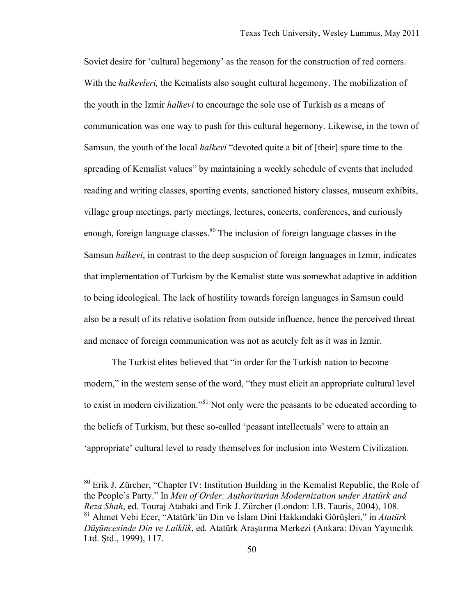Soviet desire for 'cultural hegemony' as the reason for the construction of red corners. With the *halkevleri,* the Kemalists also sought cultural hegemony. The mobilization of the youth in the Izmir *halkevi* to encourage the sole use of Turkish as a means of communication was one way to push for this cultural hegemony. Likewise, in the town of Samsun, the youth of the local *halkevi* "devoted quite a bit of [their] spare time to the spreading of Kemalist values" by maintaining a weekly schedule of events that included reading and writing classes, sporting events, sanctioned history classes, museum exhibits, village group meetings, party meetings, lectures, concerts, conferences, and curiously enough, foreign language classes.<sup>80</sup> The inclusion of foreign language classes in the Samsun *halkevi*, in contrast to the deep suspicion of foreign languages in Izmir, indicates that implementation of Turkism by the Kemalist state was somewhat adaptive in addition to being ideological. The lack of hostility towards foreign languages in Samsun could also be a result of its relative isolation from outside influence, hence the perceived threat and menace of foreign communication was not as acutely felt as it was in Izmir.

The Turkist elites believed that "in order for the Turkish nation to become modern," in the western sense of the word, "they must elicit an appropriate cultural level to exist in modern civilization."<sup>81</sup> Not only were the peasants to be educated according to the beliefs of Turkism, but these so-called 'peasant intellectuals' were to attain an 'appropriate' cultural level to ready themselves for inclusion into Western Civilization.

 <sup>80</sup> Erik J. Zürcher, "Chapter IV: Institution Building in the Kemalist Republic, the Role of the People's Party." In *Men of Order: Authoritarian Modernization under Atatürk and Reza Shah*, ed. Touraj Atabaki and Erik J. Zürcher (London: I.B. Tauris, 2004), 108. 81 Ahmet Vebi Ecer, "Atatürk'ün Din ve İslam Dini Hakkındaki Görüşleri," in *Atatürk Düşüncesinde Din ve Laiklik*, ed*.* Atatürk Araştırma Merkezi (Ankara: Divan Yayıncılık Ltd. Ştd., 1999), 117.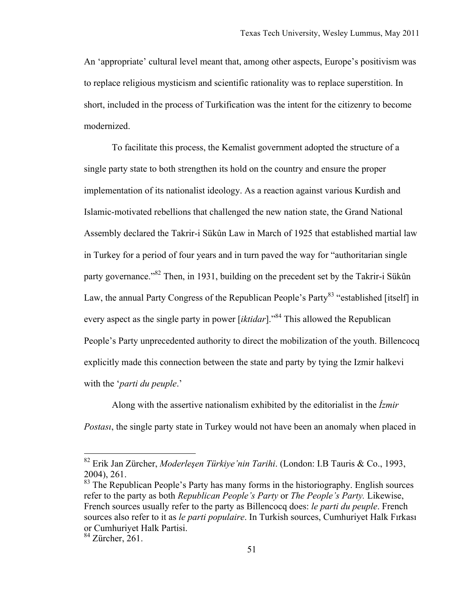An 'appropriate' cultural level meant that, among other aspects, Europe's positivism was to replace religious mysticism and scientific rationality was to replace superstition. In short, included in the process of Turkification was the intent for the citizenry to become modernized.

To facilitate this process, the Kemalist government adopted the structure of a single party state to both strengthen its hold on the country and ensure the proper implementation of its nationalist ideology. As a reaction against various Kurdish and Islamic-motivated rebellions that challenged the new nation state, the Grand National Assembly declared the Takrir-i Sükûn Law in March of 1925 that established martial law in Turkey for a period of four years and in turn paved the way for "authoritarian single party governance.<sup>82</sup> Then, in 1931, building on the precedent set by the Takrir-i Sükûn Law, the annual Party Congress of the Republican People's Party<sup>83</sup> "established [itself] in every aspect as the single party in power *[iktidar*].<sup>84</sup> This allowed the Republican People's Party unprecedented authority to direct the mobilization of the youth. Billencocq explicitly made this connection between the state and party by tying the Izmir halkevi with the '*parti du peuple*.'

Along with the assertive nationalism exhibited by the editorialist in the *İzmir Postası*, the single party state in Turkey would not have been an anomaly when placed in

 <sup>82</sup> Erik Jan Zürcher, *Moderleşen Türkiye'nin Tarihi*. (London: I.B Tauris & Co., 1993, 2004), 261.

<sup>&</sup>lt;sup>83</sup> The Republican People's Party has many forms in the historiography. English sources refer to the party as both *Republican People's Party* or *The People's Party.* Likewise, French sources usually refer to the party as Billencocq does: *le parti du peuple*. French sources also refer to it as *le parti populaire*. In Turkish sources, Cumhuriyet Halk Fırkası or Cumhuriyet Halk Partisi.

 $84$  Zürcher, 261.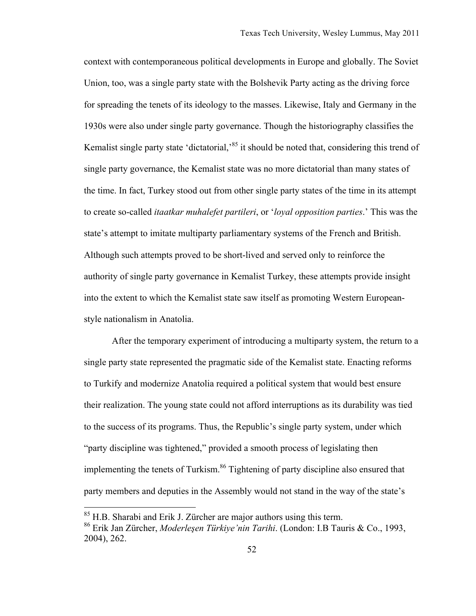context with contemporaneous political developments in Europe and globally. The Soviet Union, too, was a single party state with the Bolshevik Party acting as the driving force for spreading the tenets of its ideology to the masses. Likewise, Italy and Germany in the 1930s were also under single party governance. Though the historiography classifies the Kemalist single party state 'dictatorial,<sup>85</sup> it should be noted that, considering this trend of single party governance, the Kemalist state was no more dictatorial than many states of the time. In fact, Turkey stood out from other single party states of the time in its attempt to create so-called *itaatkar muhalefet partileri*, or '*loyal opposition parties*.' This was the state's attempt to imitate multiparty parliamentary systems of the French and British. Although such attempts proved to be short-lived and served only to reinforce the authority of single party governance in Kemalist Turkey, these attempts provide insight into the extent to which the Kemalist state saw itself as promoting Western Europeanstyle nationalism in Anatolia.

After the temporary experiment of introducing a multiparty system, the return to a single party state represented the pragmatic side of the Kemalist state. Enacting reforms to Turkify and modernize Anatolia required a political system that would best ensure their realization. The young state could not afford interruptions as its durability was tied to the success of its programs. Thus, the Republic's single party system, under which "party discipline was tightened," provided a smooth process of legislating then implementing the tenets of Turkism.<sup>86</sup> Tightening of party discipline also ensured that party members and deputies in the Assembly would not stand in the way of the state's

 $85$  H.B. Sharabi and Erik J. Zürcher are major authors using this term.

<sup>86</sup> Erik Jan Zürcher, *Moderleşen Türkiye'nin Tarihi*. (London: I.B Tauris & Co., 1993, 2004), 262.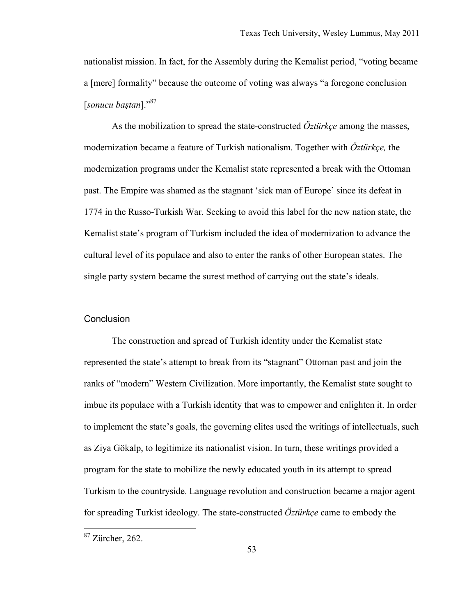nationalist mission. In fact, for the Assembly during the Kemalist period, "voting became a [mere] formality" because the outcome of voting was always "a foregone conclusion [*sonucu baştan*]."87

As the mobilization to spread the state-constructed *Öztürkçe* among the masses, modernization became a feature of Turkish nationalism. Together with *Öztürkçe,* the modernization programs under the Kemalist state represented a break with the Ottoman past. The Empire was shamed as the stagnant 'sick man of Europe' since its defeat in 1774 in the Russo-Turkish War. Seeking to avoid this label for the new nation state, the Kemalist state's program of Turkism included the idea of modernization to advance the cultural level of its populace and also to enter the ranks of other European states. The single party system became the surest method of carrying out the state's ideals.

### **Conclusion**

The construction and spread of Turkish identity under the Kemalist state represented the state's attempt to break from its "stagnant" Ottoman past and join the ranks of "modern" Western Civilization. More importantly, the Kemalist state sought to imbue its populace with a Turkish identity that was to empower and enlighten it. In order to implement the state's goals, the governing elites used the writings of intellectuals, such as Ziya Gökalp, to legitimize its nationalist vision. In turn, these writings provided a program for the state to mobilize the newly educated youth in its attempt to spread Turkism to the countryside. Language revolution and construction became a major agent for spreading Turkist ideology. The state-constructed *Öztürkçe* came to embody the

 <sup>87</sup> Zürcher, 262.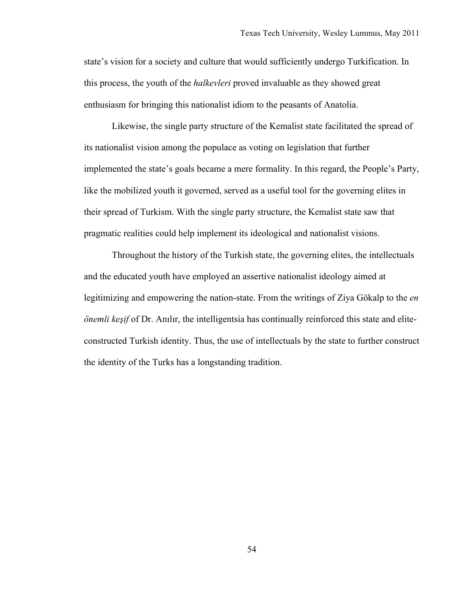state's vision for a society and culture that would sufficiently undergo Turkification. In this process, the youth of the *halkevleri* proved invaluable as they showed great enthusiasm for bringing this nationalist idiom to the peasants of Anatolia.

Likewise, the single party structure of the Kemalist state facilitated the spread of its nationalist vision among the populace as voting on legislation that further implemented the state's goals became a mere formality. In this regard, the People's Party, like the mobilized youth it governed, served as a useful tool for the governing elites in their spread of Turkism. With the single party structure, the Kemalist state saw that pragmatic realities could help implement its ideological and nationalist visions.

Throughout the history of the Turkish state, the governing elites, the intellectuals and the educated youth have employed an assertive nationalist ideology aimed at legitimizing and empowering the nation-state. From the writings of Ziya Gökalp to the *en önemli keşif* of Dr. Anılır, the intelligentsia has continually reinforced this state and eliteconstructed Turkish identity. Thus, the use of intellectuals by the state to further construct the identity of the Turks has a longstanding tradition.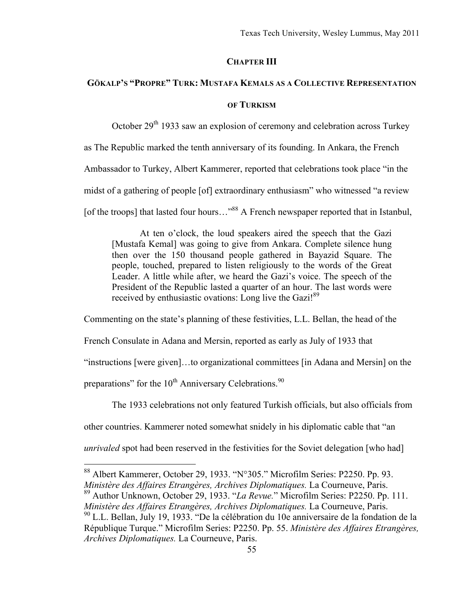### **CHAPTER III**

## **GÖKALP'S "PROPRE" TURK: MUSTAFA KEMALS AS A COLLECTIVE REPRESENTATION**

#### **OF TURKISM**

October  $29<sup>th</sup>$  1933 saw an explosion of ceremony and celebration across Turkey

as The Republic marked the tenth anniversary of its founding. In Ankara, the French

Ambassador to Turkey, Albert Kammerer, reported that celebrations took place "in the

midst of a gathering of people [of] extraordinary enthusiasm" who witnessed "a review

[of the troops] that lasted four hours..."<sup>88</sup> A French newspaper reported that in Istanbul,

At ten o'clock, the loud speakers aired the speech that the Gazi [Mustafa Kemal] was going to give from Ankara. Complete silence hung then over the 150 thousand people gathered in Bayazid Square. The people, touched, prepared to listen religiously to the words of the Great Leader. A little while after, we heard the Gazi's voice. The speech of the President of the Republic lasted a quarter of an hour. The last words were received by enthusiastic ovations: Long live the Gazi!<sup>89</sup>

Commenting on the state's planning of these festivities, L.L. Bellan, the head of the

French Consulate in Adana and Mersin, reported as early as July of 1933 that

"instructions [were given]…to organizational committees [in Adana and Mersin] on the

preparations" for the  $10^{th}$  Anniversary Celebrations.<sup>90</sup>

The 1933 celebrations not only featured Turkish officials, but also officials from

other countries. Kammerer noted somewhat snidely in his diplomatic cable that "an

*unrivaled* spot had been reserved in the festivities for the Soviet delegation [who had]

 <sup>88</sup> Albert Kammerer, October 29, 1933. "N°305." Microfilm Series: P2250. Pp. 93. *Ministère des Affaires Etrangères, Archives Diplomatiques.* La Courneuve, Paris.

<sup>89</sup> Author Unknown, October 29, 1933. "*La Revue.*" Microfilm Series: P2250. Pp. 111. *Ministère des Affaires Etrangères, Archives Diplomatiques.* La Courneuve, Paris. 90 L.L. Bellan, July 19, 1933. "De la célébration du 10e anniversaire de la fondation de la République Turque." Microfilm Series: P2250. Pp. 55. *Ministère des Affaires Etrangères, Archives Diplomatiques.* La Courneuve, Paris.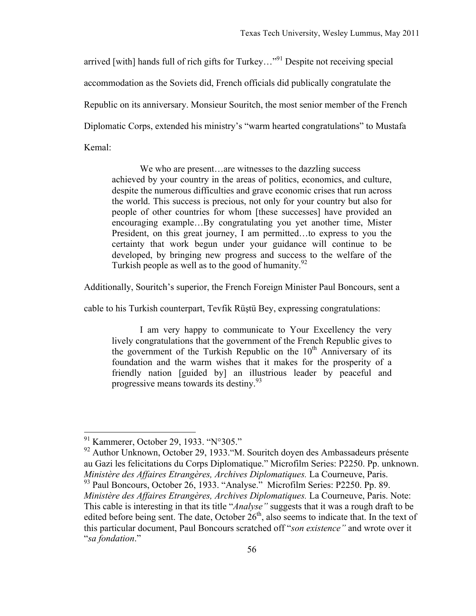arrived [with] hands full of rich gifts for Turkey..."<sup>91</sup> Despite not receiving special accommodation as the Soviets did, French officials did publically congratulate the Republic on its anniversary. Monsieur Souritch, the most senior member of the French Diplomatic Corps, extended his ministry's "warm hearted congratulations" to Mustafa Kemal:

We who are present...are witnesses to the dazzling success achieved by your country in the areas of politics, economics, and culture, despite the numerous difficulties and grave economic crises that run across the world. This success is precious, not only for your country but also for people of other countries for whom [these successes] have provided an encouraging example…By congratulating you yet another time, Mister President, on this great journey, I am permitted…to express to you the certainty that work begun under your guidance will continue to be developed, by bringing new progress and success to the welfare of the Turkish people as well as to the good of humanity. $92$ 

Additionally, Souritch's superior, the French Foreign Minister Paul Boncours, sent a

cable to his Turkish counterpart, Tevfik Rüştü Bey, expressing congratulations:

I am very happy to communicate to Your Excellency the very lively congratulations that the government of the French Republic gives to the government of the Turkish Republic on the  $10<sup>th</sup>$  Anniversary of its foundation and the warm wishes that it makes for the prosperity of a friendly nation [guided by] an illustrious leader by peaceful and progressive means towards its destiny.<sup>93</sup>

 <sup>91</sup> Kammerer, October 29, 1933. "N°305."

<sup>&</sup>lt;sup>92</sup> Author Unknown, October 29, 1933. "M. Souritch doyen des Ambassadeurs présente au Gazi les felicitations du Corps Diplomatique." Microfilm Series: P2250. Pp. unknown. *Ministère des Affaires Etrangères, Archives Diplomatiques.* La Courneuve, Paris. <sup>93</sup> Paul Boncours, October 26, 1933. "Analyse." Microfilm Series: P2250. Pp. 89. *Ministère des Affaires Etrangères, Archives Diplomatiques.* La Courneuve, Paris. Note: This cable is interesting in that its title "*Analyse"* suggests that it was a rough draft to be edited before being sent. The date, October 26<sup>th</sup>, also seems to indicate that. In the text of this particular document, Paul Boncours scratched off "*son existence"* and wrote over it "*sa fondation*."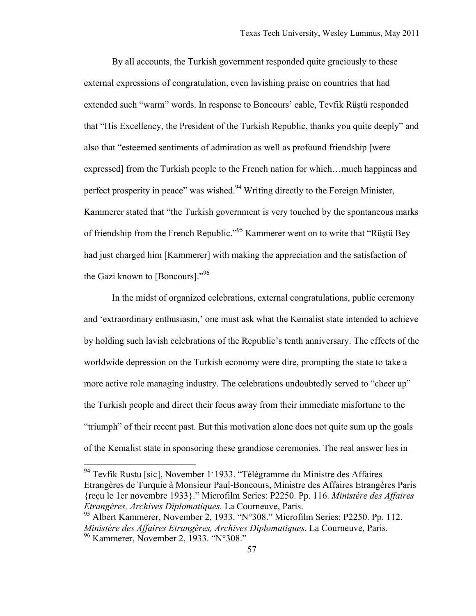By all accounts, the Turkish government responded quite graciously to these external expressions of congratulation, even lavishing praise on countries that had extended such "warm" words. In response to Boncours' cable, Tevfik Rüştü responded that "His Excellency, the President of the Turkish Republic, thanks you quite deeply" and also that "esteemed sentiments of admiration as well as profound friendship [were expressed] from the Turkish people to the French nation for which…much happiness and perfect prosperity in peace" was wished.<sup>94</sup> Writing directly to the Foreign Minister, Kammerer stated that "the Turkish government is very touched by the spontaneous marks of friendship from the French Republic."95 Kammerer went on to write that "Rüştü Bey had just charged him [Kammerer] with making the appreciation and the satisfaction of the Gazi known to [Boncours]."<sup>96</sup>

In the midst of organized celebrations, external congratulations, public ceremony and 'extraordinary enthusiasm,' one must ask what the Kemalist state intended to achieve by holding such lavish celebrations of the Republic's tenth anniversary. The effects of the worldwide depression on the Turkish economy were dire, prompting the state to take a more active role managing industry. The celebrations undoubtedly served to "cheer up" the Turkish people and direct their focus away from their immediate misfortune to the "triumph" of their recent past. But this motivation alone does not quite sum up the goals of the Kemalist state in sponsoring these grandiose ceremonies. The real answer lies in

<sup>&</sup>lt;sup>94</sup> Tevfik Rustu [sic], November 1<sup>,</sup> 1933. "Télégramme du Ministre des Affaires Etrangères de Turquie à Monsieur Paul-Boncours, Ministre des Affaires Etrangères Paris {reçu le 1er novembre 1933}." Microfilm Series: P2250. Pp. 116. *Ministère des Affaires Etrangères, Archives Diplomatiques.* La Courneuve, Paris.

<sup>&</sup>lt;sup>95</sup> Albert Kammerer, November 2, 1933. "N°308." Microfilm Series: P2250. Pp. 112. *Ministère des Affaires Etrangères, Archives Diplomatiques.* La Courneuve, Paris. 96 Kammerer, November 2, 1933. "N°308."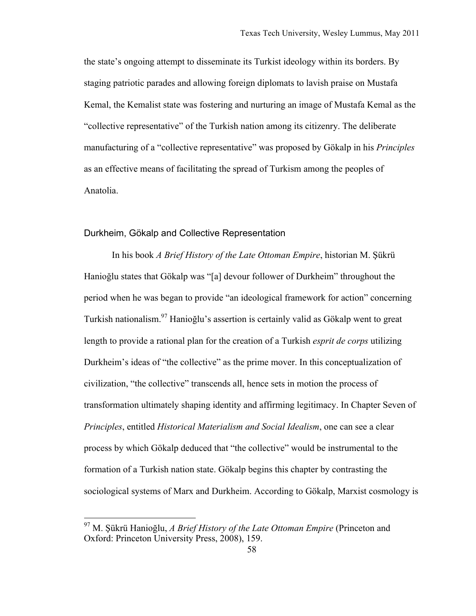the state's ongoing attempt to disseminate its Turkist ideology within its borders. By staging patriotic parades and allowing foreign diplomats to lavish praise on Mustafa Kemal, the Kemalist state was fostering and nurturing an image of Mustafa Kemal as the "collective representative" of the Turkish nation among its citizenry. The deliberate manufacturing of a "collective representative" was proposed by Gökalp in his *Principles* as an effective means of facilitating the spread of Turkism among the peoples of Anatolia.

#### Durkheim, Gökalp and Collective Representation

In his book *A Brief History of the Late Ottoman Empire*, historian M. Şükrü Hanioğlu states that Gökalp was "[a] devour follower of Durkheim" throughout the period when he was began to provide "an ideological framework for action" concerning Turkish nationalism.97 Hanioğlu's assertion is certainly valid as Gökalp went to great length to provide a rational plan for the creation of a Turkish *esprit de corps* utilizing Durkheim's ideas of "the collective" as the prime mover. In this conceptualization of civilization, "the collective" transcends all, hence sets in motion the process of transformation ultimately shaping identity and affirming legitimacy. In Chapter Seven of *Principles*, entitled *Historical Materialism and Social Idealism*, one can see a clear process by which Gökalp deduced that "the collective" would be instrumental to the formation of a Turkish nation state. Gökalp begins this chapter by contrasting the sociological systems of Marx and Durkheim. According to Gökalp, Marxist cosmology is

 <sup>97</sup> M. Şükrü Hanioğlu, *A Brief History of the Late Ottoman Empire* (Princeton and Oxford: Princeton University Press, 2008), 159.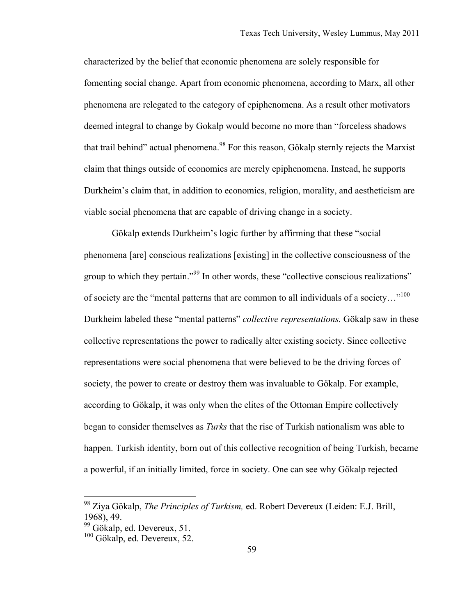characterized by the belief that economic phenomena are solely responsible for fomenting social change. Apart from economic phenomena, according to Marx, all other phenomena are relegated to the category of epiphenomena. As a result other motivators deemed integral to change by Gokalp would become no more than "forceless shadows that trail behind" actual phenomena.<sup>98</sup> For this reason, Gökalp sternly rejects the Marxist claim that things outside of economics are merely epiphenomena. Instead, he supports Durkheim's claim that, in addition to economics, religion, morality, and aestheticism are viable social phenomena that are capable of driving change in a society.

Gökalp extends Durkheim's logic further by affirming that these "social phenomena [are] conscious realizations [existing] in the collective consciousness of the group to which they pertain."<sup>99</sup> In other words, these "collective conscious realizations" of society are the "mental patterns that are common to all individuals of a society…"<sup>100</sup> Durkheim labeled these "mental patterns" *collective representations.* Gökalp saw in these collective representations the power to radically alter existing society. Since collective representations were social phenomena that were believed to be the driving forces of society, the power to create or destroy them was invaluable to Gökalp. For example, according to Gökalp, it was only when the elites of the Ottoman Empire collectively began to consider themselves as *Turks* that the rise of Turkish nationalism was able to happen. Turkish identity, born out of this collective recognition of being Turkish, became a powerful, if an initially limited, force in society. One can see why Gökalp rejected

 <sup>98</sup> Ziya Gökalp, *The Principles of Turkism,* ed. Robert Devereux (Leiden: E.J. Brill, 1968), 49.

<sup>&</sup>lt;sup>99</sup> Gökalp, ed. Devereux, 51.

<sup>100</sup> Gökalp, ed. Devereux, 52.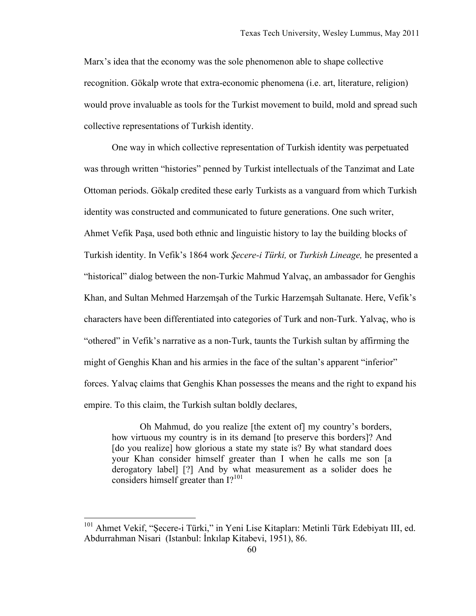Marx's idea that the economy was the sole phenomenon able to shape collective recognition. Gökalp wrote that extra-economic phenomena (i.e. art, literature, religion) would prove invaluable as tools for the Turkist movement to build, mold and spread such collective representations of Turkish identity.

One way in which collective representation of Turkish identity was perpetuated was through written "histories" penned by Turkist intellectuals of the Tanzimat and Late Ottoman periods. Gökalp credited these early Turkists as a vanguard from which Turkish identity was constructed and communicated to future generations. One such writer, Ahmet Vefik Paşa, used both ethnic and linguistic history to lay the building blocks of Turkish identity. In Vefik's 1864 work *Şecere-i Türki,* or *Turkish Lineage,* he presented a "historical" dialog between the non-Turkic Mahmud Yalvaç, an ambassador for Genghis Khan, and Sultan Mehmed Harzemşah of the Turkic Harzemşah Sultanate. Here, Vefik's characters have been differentiated into categories of Turk and non-Turk. Yalvaç, who is "othered" in Vefik's narrative as a non-Turk, taunts the Turkish sultan by affirming the might of Genghis Khan and his armies in the face of the sultan's apparent "inferior" forces. Yalvaç claims that Genghis Khan possesses the means and the right to expand his empire. To this claim, the Turkish sultan boldly declares,

Oh Mahmud, do you realize [the extent of] my country's borders, how virtuous my country is in its demand [to preserve this borders]? And [do you realize] how glorious a state my state is? By what standard does your Khan consider himself greater than I when he calls me son [a derogatory label] [?] And by what measurement as a solider does he considers himself greater than  $I$ ?<sup>101</sup>

<sup>&</sup>lt;sup>101</sup> Ahmet Vekif, "Secere-i Türki," in Yeni Lise Kitapları: Metinli Türk Edebiyatı III, ed. Abdurrahman Nisari (Istanbul: İnkılap Kitabevi, 1951), 86.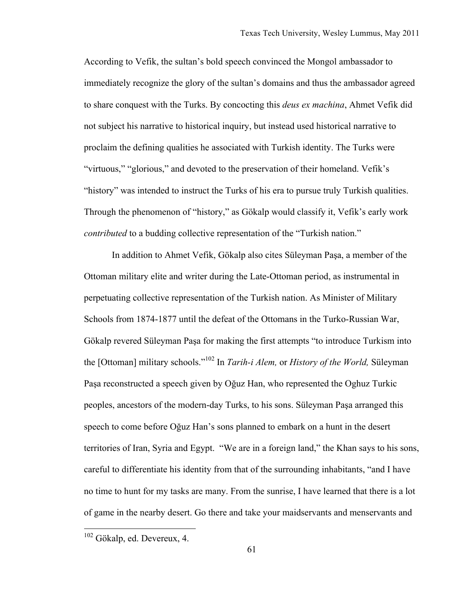According to Vefik, the sultan's bold speech convinced the Mongol ambassador to immediately recognize the glory of the sultan's domains and thus the ambassador agreed to share conquest with the Turks. By concocting this *deus ex machina*, Ahmet Vefik did not subject his narrative to historical inquiry, but instead used historical narrative to proclaim the defining qualities he associated with Turkish identity. The Turks were "virtuous," "glorious," and devoted to the preservation of their homeland. Vefik's "history" was intended to instruct the Turks of his era to pursue truly Turkish qualities. Through the phenomenon of "history," as Gökalp would classify it, Vefik's early work *contributed* to a budding collective representation of the "Turkish nation."

In addition to Ahmet Vefik, Gökalp also cites Süleyman Paşa, a member of the Ottoman military elite and writer during the Late-Ottoman period, as instrumental in perpetuating collective representation of the Turkish nation. As Minister of Military Schools from 1874-1877 until the defeat of the Ottomans in the Turko-Russian War, Gökalp revered Süleyman Paşa for making the first attempts "to introduce Turkism into the [Ottoman] military schools."102 In *Tarih-i Alem,* or *History of the World,* Süleyman Paşa reconstructed a speech given by Oğuz Han, who represented the Oghuz Turkic peoples, ancestors of the modern-day Turks, to his sons. Süleyman Paşa arranged this speech to come before Oğuz Han's sons planned to embark on a hunt in the desert territories of Iran, Syria and Egypt. "We are in a foreign land," the Khan says to his sons, careful to differentiate his identity from that of the surrounding inhabitants, "and I have no time to hunt for my tasks are many. From the sunrise, I have learned that there is a lot of game in the nearby desert. Go there and take your maidservants and menservants and

 <sup>102</sup> Gökalp, ed. Devereux, 4.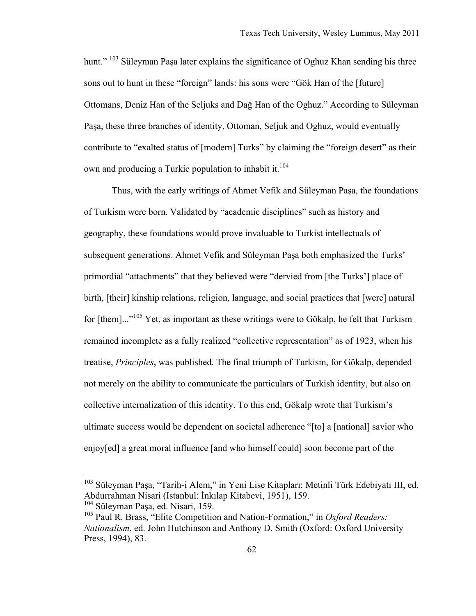hunt." <sup>103</sup> Süleyman Pasa later explains the significance of Oghuz Khan sending his three sons out to hunt in these "foreign" lands: his sons were "Gök Han of the [future] Ottomans, Deniz Han of the Seljuks and Dağ Han of the Oghuz." According to Süleyman Paşa, these three branches of identity, Ottoman, Seljuk and Oghuz, would eventually contribute to "exalted status of [modern] Turks" by claiming the "foreign desert" as their own and producing a Turkic population to inhabit it.<sup>104</sup>

Thus, with the early writings of Ahmet Vefik and Süleyman Paşa, the foundations of Turkism were born. Validated by "academic disciplines" such as history and geography, these foundations would prove invaluable to Turkist intellectuals of subsequent generations. Ahmet Vefik and Süleyman Paşa both emphasized the Turks' primordial "attachments" that they believed were "dervied from [the Turks'] place of birth, [their] kinship relations, religion, language, and social practices that [were] natural for [them]..."<sup>105</sup> Yet, as important as these writings were to Gökalp, he felt that Turkism remained incomplete as a fully realized "collective representation" as of 1923, when his treatise, *Principles*, was published. The final triumph of Turkism, for Gökalp, depended not merely on the ability to communicate the particulars of Turkish identity, but also on collective internalization of this identity. To this end, Gökalp wrote that Turkism's ultimate success would be dependent on societal adherence "[to] a [national] savior who enjoy[ed] a great moral influence [and who himself could] soon become part of the

 <sup>103</sup> Süleyman Paşa, "Tarih-i Alem," in Yeni Lise Kitapları: Metinli Türk Edebiyatı III, ed. Abdurrahman Nisari (Istanbul: İnkılap Kitabevi, 1951), 159.

<sup>104</sup> Süleyman Paşa, ed. Nisari, 159.

<sup>105</sup> Paul R. Brass, "Elite Competition and Nation-Formation," in *Oxford Readers: Nationalism*, ed. John Hutchinson and Anthony D. Smith (Oxford: Oxford University Press, 1994), 83.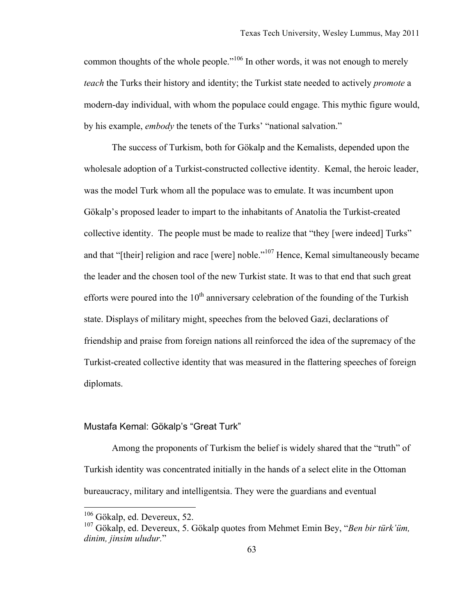common thoughts of the whole people."<sup>106</sup> In other words, it was not enough to merely *teach* the Turks their history and identity; the Turkist state needed to actively *promote* a modern-day individual, with whom the populace could engage. This mythic figure would, by his example, *embody* the tenets of the Turks' "national salvation."

The success of Turkism, both for Gökalp and the Kemalists, depended upon the wholesale adoption of a Turkist-constructed collective identity. Kemal, the heroic leader, was the model Turk whom all the populace was to emulate. It was incumbent upon Gökalp's proposed leader to impart to the inhabitants of Anatolia the Turkist-created collective identity. The people must be made to realize that "they [were indeed] Turks" and that "[their] religion and race [were] noble."<sup>107</sup> Hence, Kemal simultaneously became the leader and the chosen tool of the new Turkist state. It was to that end that such great efforts were poured into the  $10<sup>th</sup>$  anniversary celebration of the founding of the Turkish state. Displays of military might, speeches from the beloved Gazi, declarations of friendship and praise from foreign nations all reinforced the idea of the supremacy of the Turkist-created collective identity that was measured in the flattering speeches of foreign diplomats.

### Mustafa Kemal: Gökalp's "Great Turk"

Among the proponents of Turkism the belief is widely shared that the "truth" of Turkish identity was concentrated initially in the hands of a select elite in the Ottoman bureaucracy, military and intelligentsia. They were the guardians and eventual

 <sup>106</sup> Gökalp, ed. Devereux, 52.

<sup>107</sup> Gökalp, ed. Devereux, 5. Gökalp quotes from Mehmet Emin Bey, "*Ben bir türk'üm, dinim, jinsim uludur.*"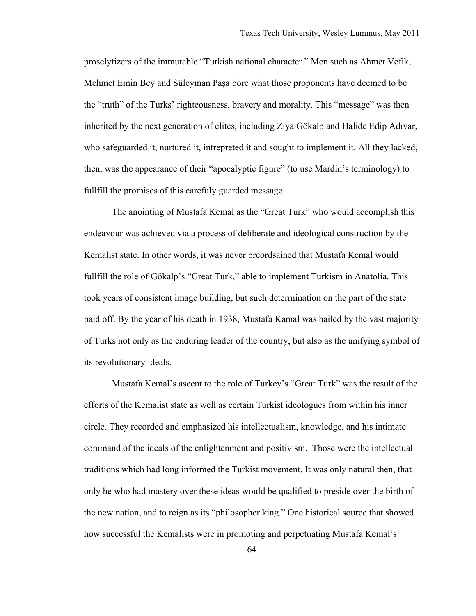proselytizers of the immutable "Turkish national character." Men such as Ahmet Vefik, Mehmet Emin Bey and Süleyman Paşa bore what those proponents have deemed to be the "truth" of the Turks' righteousness, bravery and morality. This "message" was then inherited by the next generation of elites, including Ziya Gökalp and Halide Edip Adıvar, who safeguarded it, nurtured it, intrepreted it and sought to implement it. All they lacked, then, was the appearance of their "apocalyptic figure" (to use Mardin's terminology) to fullfill the promises of this carefuly guarded message.

The anointing of Mustafa Kemal as the "Great Turk" who would accomplish this endeavour was achieved via a process of deliberate and ideological construction by the Kemalist state. In other words, it was never preordsained that Mustafa Kemal would fullfill the role of Gökalp's "Great Turk," able to implement Turkism in Anatolia. This took years of consistent image building, but such determination on the part of the state paid off. By the year of his death in 1938, Mustafa Kamal was hailed by the vast majority of Turks not only as the enduring leader of the country, but also as the unifying symbol of its revolutionary ideals.

Mustafa Kemal's ascent to the role of Turkey's "Great Turk" was the result of the efforts of the Kemalist state as well as certain Turkist ideologues from within his inner circle. They recorded and emphasized his intellectualism, knowledge, and his intimate command of the ideals of the enlightenment and positivism. Those were the intellectual traditions which had long informed the Turkist movement. It was only natural then, that only he who had mastery over these ideas would be qualified to preside over the birth of the new nation, and to reign as its "philosopher king." One historical source that showed how successful the Kemalists were in promoting and perpetuating Mustafa Kemal's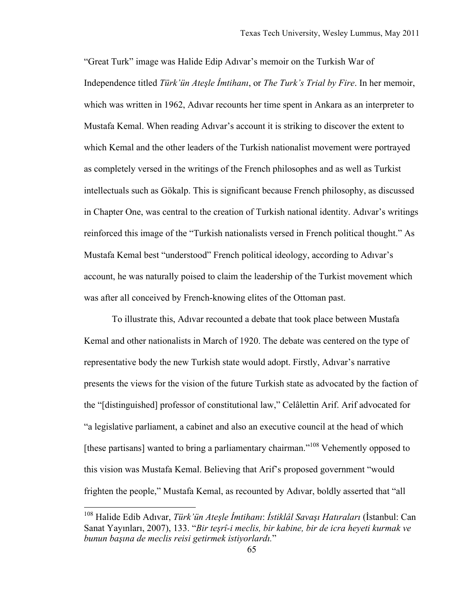"Great Turk" image was Halide Edip Adıvar's memoir on the Turkish War of Independence titled *Türk'ün Ateşle İmtihanı*, or *The Turk's Trial by Fire*. In her memoir, which was written in 1962, Adıvar recounts her time spent in Ankara as an interpreter to Mustafa Kemal. When reading Adıvar's account it is striking to discover the extent to which Kemal and the other leaders of the Turkish nationalist movement were portrayed as completely versed in the writings of the French philosophes and as well as Turkist intellectuals such as Gökalp. This is significant because French philosophy, as discussed in Chapter One, was central to the creation of Turkish national identity. Adıvar's writings reinforced this image of the "Turkish nationalists versed in French political thought." As Mustafa Kemal best "understood" French political ideology, according to Adıvar's account, he was naturally poised to claim the leadership of the Turkist movement which was after all conceived by French-knowing elites of the Ottoman past.

To illustrate this, Adıvar recounted a debate that took place between Mustafa Kemal and other nationalists in March of 1920. The debate was centered on the type of representative body the new Turkish state would adopt. Firstly, Adıvar's narrative presents the views for the vision of the future Turkish state as advocated by the faction of the "[distinguished] professor of constitutional law," Celâlettin Arif. Arif advocated for "a legislative parliament, a cabinet and also an executive council at the head of which [these partisans] wanted to bring a parliamentary chairman."<sup>108</sup> Vehemently opposed to this vision was Mustafa Kemal. Believing that Arif's proposed government "would frighten the people," Mustafa Kemal, as recounted by Adıvar, boldly asserted that "all

 <sup>108</sup> Halide Edib Adıvar, *Türk'ün Ateşle İmtihanı*: *İstiklâl Savaşı Hatıraları* (İstanbul: Can Sanat Yayınları, 2007), 133. "*Bir teşrî-i meclis, bir kabine, bir de icra heyeti kurmak ve bunun başına de meclis reisi getirmek istiyorlardı.*"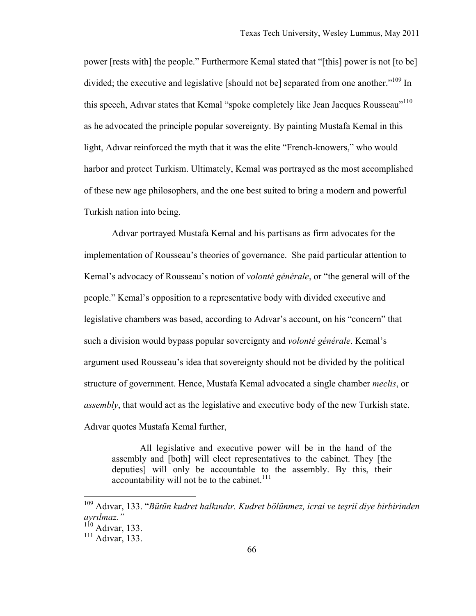power [rests with] the people." Furthermore Kemal stated that "[this] power is not [to be] divided; the executive and legislative [should not be] separated from one another."<sup>109</sup> In this speech, Adıvar states that Kemal "spoke completely like Jean Jacques Rousseau"<sup>110</sup> as he advocated the principle popular sovereignty. By painting Mustafa Kemal in this light, Adıvar reinforced the myth that it was the elite "French-knowers," who would harbor and protect Turkism. Ultimately, Kemal was portrayed as the most accomplished of these new age philosophers, and the one best suited to bring a modern and powerful Turkish nation into being.

Adıvar portrayed Mustafa Kemal and his partisans as firm advocates for the implementation of Rousseau's theories of governance. She paid particular attention to Kemal's advocacy of Rousseau's notion of *volonté générale*, or "the general will of the people." Kemal's opposition to a representative body with divided executive and legislative chambers was based, according to Adıvar's account, on his "concern" that such a division would bypass popular sovereignty and *volonté générale*. Kemal's argument used Rousseau's idea that sovereignty should not be divided by the political structure of government. Hence, Mustafa Kemal advocated a single chamber *meclis*, or *assembly*, that would act as the legislative and executive body of the new Turkish state. Adıvar quotes Mustafa Kemal further,

All legislative and executive power will be in the hand of the assembly and [both] will elect representatives to the cabinet. They [the deputies] will only be accountable to the assembly. By this, their accountability will not be to the cabinet. $111$ 

 <sup>109</sup> Adıvar, 133. "*Bütün kudret halkındır. Kudret bölünmez, icrai ve teşriî diye birbirinden ayrılmaz."* 

 $110$  Adıvar, 133.

<sup>111</sup> Adıvar, 133.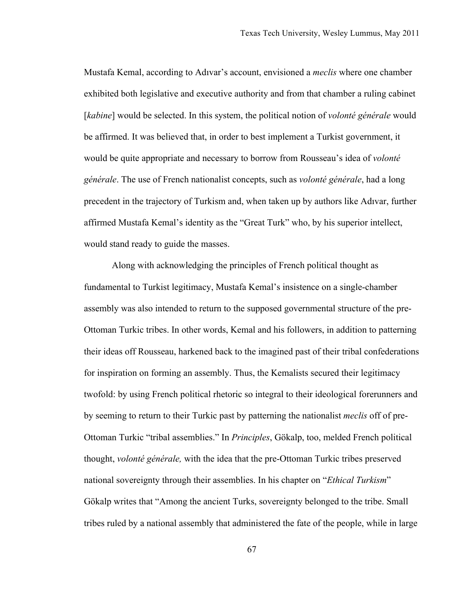Mustafa Kemal, according to Adıvar's account, envisioned a *meclis* where one chamber exhibited both legislative and executive authority and from that chamber a ruling cabinet [kabine] would be selected. In this system, the political notion of *volonté générale* would be affirmed. It was believed that, in order to best implement a Turkist government, it would be quite appropriate and necessary to borrow from Rousseau's idea of *volonté générale*. The use of French nationalist concepts, such as *volonté générale*, had a long precedent in the trajectory of Turkism and, when taken up by authors like Adıvar, further affirmed Mustafa Kemal's identity as the "Great Turk" who, by his superior intellect, would stand ready to guide the masses.

Along with acknowledging the principles of French political thought as fundamental to Turkist legitimacy, Mustafa Kemal's insistence on a single-chamber assembly was also intended to return to the supposed governmental structure of the pre-Ottoman Turkic tribes. In other words, Kemal and his followers, in addition to patterning their ideas off Rousseau, harkened back to the imagined past of their tribal confederations for inspiration on forming an assembly. Thus, the Kemalists secured their legitimacy twofold: by using French political rhetoric so integral to their ideological forerunners and by seeming to return to their Turkic past by patterning the nationalist *meclis* off of pre-Ottoman Turkic "tribal assemblies." In *Principles*, Gökalp, too, melded French political thought, *volonté générale,* with the idea that the pre-Ottoman Turkic tribes preserved national sovereignty through their assemblies. In his chapter on "*Ethical Turkism*" Gökalp writes that "Among the ancient Turks, sovereignty belonged to the tribe. Small tribes ruled by a national assembly that administered the fate of the people, while in large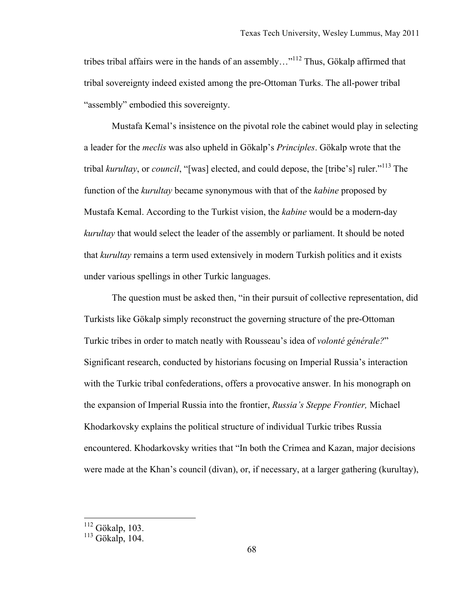tribes tribal affairs were in the hands of an assembly... $n^{112}$  Thus, Gökalp affirmed that tribal sovereignty indeed existed among the pre-Ottoman Turks. The all-power tribal "assembly" embodied this sovereignty.

Mustafa Kemal's insistence on the pivotal role the cabinet would play in selecting a leader for the *meclis* was also upheld in Gökalp's *Principles*. Gökalp wrote that the tribal *kurultay*, or *council*, "[was] elected, and could depose, the [tribe's] ruler."113 The function of the *kurultay* became synonymous with that of the *kabine* proposed by Mustafa Kemal. According to the Turkist vision, the *kabine* would be a modern-day *kurultay* that would select the leader of the assembly or parliament. It should be noted that *kurultay* remains a term used extensively in modern Turkish politics and it exists under various spellings in other Turkic languages.

The question must be asked then, "in their pursuit of collective representation, did Turkists like Gökalp simply reconstruct the governing structure of the pre-Ottoman Turkic tribes in order to match neatly with Rousseau's idea of *volonté générale?*" Significant research, conducted by historians focusing on Imperial Russia's interaction with the Turkic tribal confederations, offers a provocative answer. In his monograph on the expansion of Imperial Russia into the frontier, *Russia's Steppe Frontier,* Michael Khodarkovsky explains the political structure of individual Turkic tribes Russia encountered. Khodarkovsky writies that "In both the Crimea and Kazan, major decisions were made at the Khan's council (divan), or, if necessary, at a larger gathering (kurultay),

 $\frac{112}{112}$  Gökalp, 103.

 $113$  Gökalp, 104.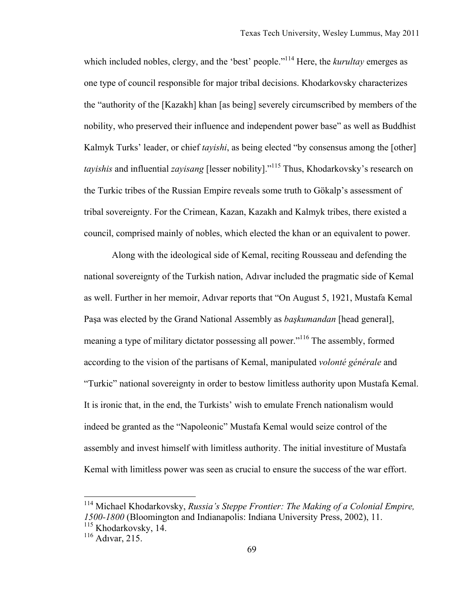which included nobles, clergy, and the 'best' people."<sup>114</sup> Here, the *kurultay* emerges as one type of council responsible for major tribal decisions. Khodarkovsky characterizes the "authority of the [Kazakh] khan [as being] severely circumscribed by members of the nobility, who preserved their influence and independent power base" as well as Buddhist Kalmyk Turks' leader, or chief *tayishi*, as being elected "by consensus among the [other] *tayishis* and influential *zayisang* [lesser nobility]."115 Thus, Khodarkovsky's research on the Turkic tribes of the Russian Empire reveals some truth to Gökalp's assessment of tribal sovereignty. For the Crimean, Kazan, Kazakh and Kalmyk tribes, there existed a council, comprised mainly of nobles, which elected the khan or an equivalent to power.

Along with the ideological side of Kemal, reciting Rousseau and defending the national sovereignty of the Turkish nation, Adıvar included the pragmatic side of Kemal as well. Further in her memoir, Adıvar reports that "On August 5, 1921, Mustafa Kemal Paşa was elected by the Grand National Assembly as *başkumandan* [head general], meaning a type of military dictator possessing all power."<sup>116</sup> The assembly, formed according to the vision of the partisans of Kemal, manipulated *volonté générale* and "Turkic" national sovereignty in order to bestow limitless authority upon Mustafa Kemal. It is ironic that, in the end, the Turkists' wish to emulate French nationalism would indeed be granted as the "Napoleonic" Mustafa Kemal would seize control of the assembly and invest himself with limitless authority. The initial investiture of Mustafa Kemal with limitless power was seen as crucial to ensure the success of the war effort.

 <sup>114</sup> Michael Khodarkovsky, *Russia's Steppe Frontier: The Making of a Colonial Empire, 1500-1800* (Bloomington and Indianapolis: Indiana University Press, 2002), 11.

<sup>&</sup>lt;sup>115</sup> Khodarkovsky, 14.<br><sup>116</sup> Adıvar, 215.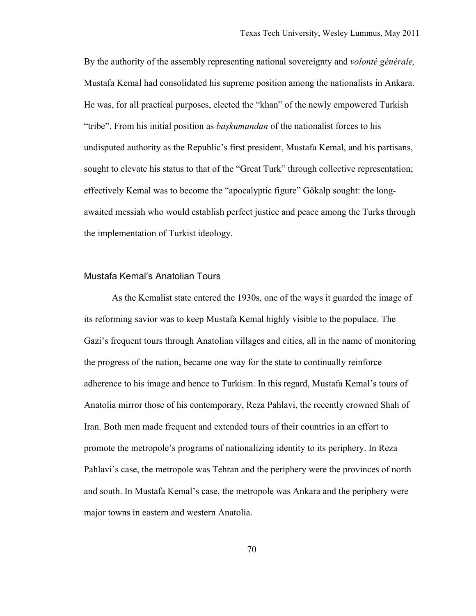By the authority of the assembly representing national sovereignty and *volonté générale,*  Mustafa Kemal had consolidated his supreme position among the nationalists in Ankara. He was, for all practical purposes, elected the "khan" of the newly empowered Turkish "tribe". From his initial position as *başkumandan* of the nationalist forces to his undisputed authority as the Republic's first president, Mustafa Kemal, and his partisans, sought to elevate his status to that of the "Great Turk" through collective representation; effectively Kemal was to become the "apocalyptic figure" Gökalp sought: the longawaited messiah who would establish perfect justice and peace among the Turks through the implementation of Turkist ideology.

#### Mustafa Kemal's Anatolian Tours

As the Kemalist state entered the 1930s, one of the ways it guarded the image of its reforming savior was to keep Mustafa Kemal highly visible to the populace. The Gazi's frequent tours through Anatolian villages and cities, all in the name of monitoring the progress of the nation, became one way for the state to continually reinforce adherence to his image and hence to Turkism. In this regard, Mustafa Kemal's tours of Anatolia mirror those of his contemporary, Reza Pahlavi, the recently crowned Shah of Iran. Both men made frequent and extended tours of their countries in an effort to promote the metropole's programs of nationalizing identity to its periphery. In Reza Pahlavi's case, the metropole was Tehran and the periphery were the provinces of north and south. In Mustafa Kemal's case, the metropole was Ankara and the periphery were major towns in eastern and western Anatolia.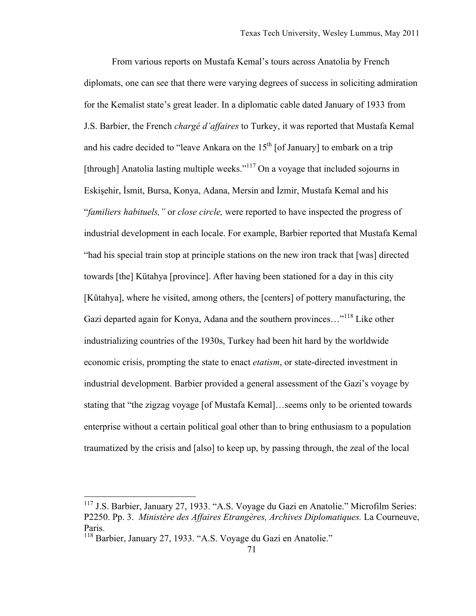From various reports on Mustafa Kemal's tours across Anatolia by French diplomats, one can see that there were varying degrees of success in soliciting admiration for the Kemalist state's great leader. In a diplomatic cable dated January of 1933 from J.S. Barbier, the French *chargé d'affaires* to Turkey, it was reported that Mustafa Kemal and his cadre decided to "leave Ankara on the  $15<sup>th</sup>$  [of January] to embark on a trip [through] Anatolia lasting multiple weeks."<sup>117</sup> On a voyage that included sojourns in Eskişehir, İsmit, Bursa, Konya, Adana, Mersin and İzmir, Mustafa Kemal and his "*familiers habituels,"* or *close circle,* were reported to have inspected the progress of industrial development in each locale. For example, Barbier reported that Mustafa Kemal "had his special train stop at principle stations on the new iron track that [was] directed towards [the] Kütahya [province]. After having been stationed for a day in this city [Kütahya], where he visited, among others, the [centers] of pottery manufacturing, the Gazi departed again for Konya, Adana and the southern provinces..."<sup>118</sup> Like other industrializing countries of the 1930s, Turkey had been hit hard by the worldwide economic crisis, prompting the state to enact *etatism*, or state-directed investment in industrial development. Barbier provided a general assessment of the Gazi's voyage by stating that "the zigzag voyage [of Mustafa Kemal]…seems only to be oriented towards enterprise without a certain political goal other than to bring enthusiasm to a population traumatized by the crisis and [also] to keep up, by passing through, the zeal of the local

<sup>&</sup>lt;sup>117</sup> J.S. Barbier, January 27, 1933. "A.S. Voyage du Gazi en Anatolie." Microfilm Series: P2250. Pp. 3. *Ministère des Affaires Etrangères, Archives Diplomatiques.* La Courneuve, Paris.

<sup>118</sup> Barbier, January 27, 1933. "A.S. Voyage du Gazi en Anatolie."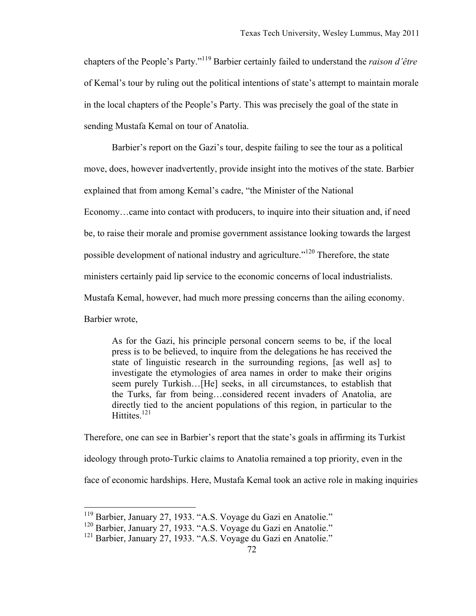chapters of the People's Party."119 Barbier certainly failed to understand the *raison d'être* of Kemal's tour by ruling out the political intentions of state's attempt to maintain morale in the local chapters of the People's Party. This was precisely the goal of the state in sending Mustafa Kemal on tour of Anatolia.

Barbier's report on the Gazi's tour, despite failing to see the tour as a political move, does, however inadvertently, provide insight into the motives of the state. Barbier explained that from among Kemal's cadre, "the Minister of the National Economy…came into contact with producers, to inquire into their situation and, if need be, to raise their morale and promise government assistance looking towards the largest possible development of national industry and agriculture."120 Therefore, the state ministers certainly paid lip service to the economic concerns of local industrialists. Mustafa Kemal, however, had much more pressing concerns than the ailing economy. Barbier wrote,

As for the Gazi, his principle personal concern seems to be, if the local press is to be believed, to inquire from the delegations he has received the state of linguistic research in the surrounding regions, [as well as] to investigate the etymologies of area names in order to make their origins seem purely Turkish…[He] seeks, in all circumstances, to establish that the Turks, far from being…considered recent invaders of Anatolia, are directly tied to the ancient populations of this region, in particular to the Hittites $^{121}$ 

Therefore, one can see in Barbier's report that the state's goals in affirming its Turkist ideology through proto-Turkic claims to Anatolia remained a top priority, even in the face of economic hardships. Here, Mustafa Kemal took an active role in making inquiries

 <sup>119</sup> Barbier, January 27, 1933. "A.S. Voyage du Gazi en Anatolie."

<sup>120</sup> Barbier, January 27, 1933. "A.S. Voyage du Gazi en Anatolie."

<sup>&</sup>lt;sup>121</sup> Barbier, January 27, 1933. "A.S. Voyage du Gazi en Anatolie."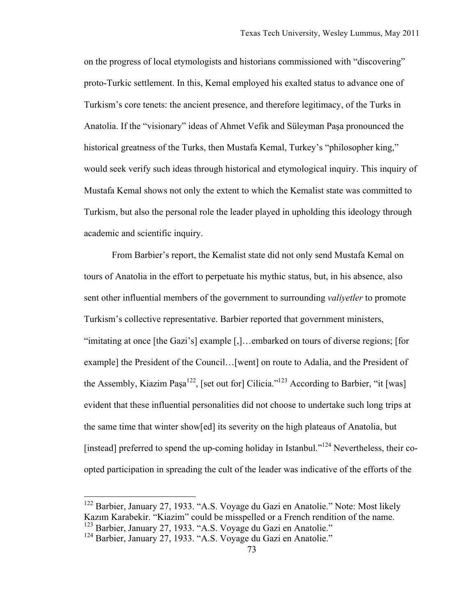on the progress of local etymologists and historians commissioned with "discovering" proto-Turkic settlement. In this, Kemal employed his exalted status to advance one of Turkism's core tenets: the ancient presence, and therefore legitimacy, of the Turks in Anatolia. If the "visionary" ideas of Ahmet Vefik and Süleyman Paşa pronounced the historical greatness of the Turks, then Mustafa Kemal, Turkey's "philosopher king," would seek verify such ideas through historical and etymological inquiry. This inquiry of Mustafa Kemal shows not only the extent to which the Kemalist state was committed to Turkism, but also the personal role the leader played in upholding this ideology through academic and scientific inquiry.

From Barbier's report, the Kemalist state did not only send Mustafa Kemal on tours of Anatolia in the effort to perpetuate his mythic status, but, in his absence, also sent other influential members of the government to surrounding *valiyetler* to promote Turkism's collective representative. Barbier reported that government ministers, "imitating at once [the Gazi's] example [,]…embarked on tours of diverse regions; [for example] the President of the Council…[went] on route to Adalia, and the President of the Assembly, Kiazim Paşa<sup>122</sup>, [set out for] Cilicia."<sup>123</sup> According to Barbier, "it [was] evident that these influential personalities did not choose to undertake such long trips at the same time that winter show[ed] its severity on the high plateaus of Anatolia, but [instead] preferred to spend the up-coming holiday in Istanbul."124 Nevertheless, their coopted participation in spreading the cult of the leader was indicative of the efforts of the

 <sup>122</sup> Barbier, January 27, 1933. "A.S. Voyage du Gazi en Anatolie." Note: Most likely Kazım Karabekir. "Kiazim" could be misspelled or a French rendition of the name.

<sup>123</sup> Barbier, January 27, 1933. "A.S. Voyage du Gazi en Anatolie."

<sup>&</sup>lt;sup>124</sup> Barbier, January 27, 1933. "A.S. Voyage du Gazi en Anatolie."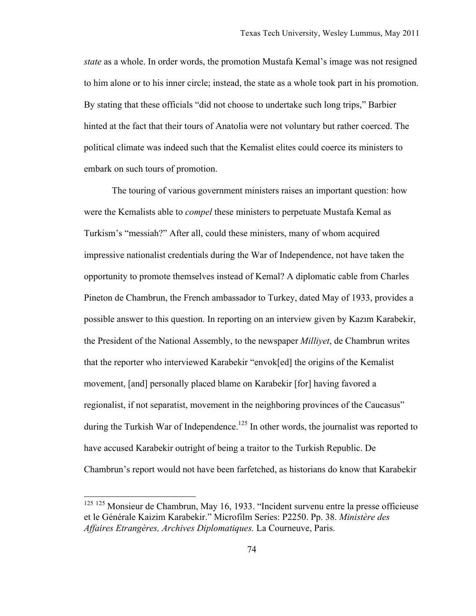*state* as a whole. In order words, the promotion Mustafa Kemal's image was not resigned to him alone or to his inner circle; instead, the state as a whole took part in his promotion. By stating that these officials "did not choose to undertake such long trips," Barbier hinted at the fact that their tours of Anatolia were not voluntary but rather coerced. The political climate was indeed such that the Kemalist elites could coerce its ministers to embark on such tours of promotion.

The touring of various government ministers raises an important question: how were the Kemalists able to *compel* these ministers to perpetuate Mustafa Kemal as Turkism's "messiah?" After all, could these ministers, many of whom acquired impressive nationalist credentials during the War of Independence, not have taken the opportunity to promote themselves instead of Kemal? A diplomatic cable from Charles Pineton de Chambrun, the French ambassador to Turkey, dated May of 1933, provides a possible answer to this question. In reporting on an interview given by Kazım Karabekir, the President of the National Assembly, to the newspaper *Milliyet*, de Chambrun writes that the reporter who interviewed Karabekir "envok[ed] the origins of the Kemalist movement, [and] personally placed blame on Karabekir [for] having favored a regionalist, if not separatist, movement in the neighboring provinces of the Caucasus" during the Turkish War of Independence.<sup>125</sup> In other words, the journalist was reported to have accused Karabekir outright of being a traitor to the Turkish Republic. De Chambrun's report would not have been farfetched, as historians do know that Karabekir

 <sup>125</sup> 125 Monsieur de Chambrun, May 16, 1933. "Incident survenu entre la presse officieuse et le Générale Kaizim Karabekir." Microfilm Series: P2250. Pp. 38. *Ministère des Affaires Etrangères, Archives Diplomatiques.* La Courneuve, Paris.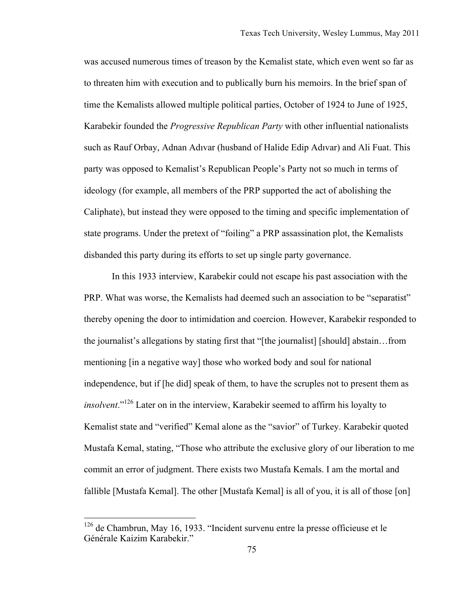was accused numerous times of treason by the Kemalist state, which even went so far as to threaten him with execution and to publically burn his memoirs. In the brief span of time the Kemalists allowed multiple political parties, October of 1924 to June of 1925, Karabekir founded the *Progressive Republican Party* with other influential nationalists such as Rauf Orbay, Adnan Adıvar (husband of Halide Edip Adıvar) and Ali Fuat. This party was opposed to Kemalist's Republican People's Party not so much in terms of ideology (for example, all members of the PRP supported the act of abolishing the Caliphate), but instead they were opposed to the timing and specific implementation of state programs. Under the pretext of "foiling" a PRP assassination plot, the Kemalists disbanded this party during its efforts to set up single party governance.

In this 1933 interview, Karabekir could not escape his past association with the PRP. What was worse, the Kemalists had deemed such an association to be "separatist" thereby opening the door to intimidation and coercion. However, Karabekir responded to the journalist's allegations by stating first that "[the journalist] [should] abstain…from mentioning [in a negative way] those who worked body and soul for national independence, but if [he did] speak of them, to have the scruples not to present them as *insolvent*."126 Later on in the interview, Karabekir seemed to affirm his loyalty to Kemalist state and "verified" Kemal alone as the "savior" of Turkey. Karabekir quoted Mustafa Kemal, stating, "Those who attribute the exclusive glory of our liberation to me commit an error of judgment. There exists two Mustafa Kemals. I am the mortal and fallible [Mustafa Kemal]. The other [Mustafa Kemal] is all of you, it is all of those [on]

 <sup>126</sup> de Chambrun, May 16, 1933. "Incident survenu entre la presse officieuse et le Générale Kaizim Karabekir."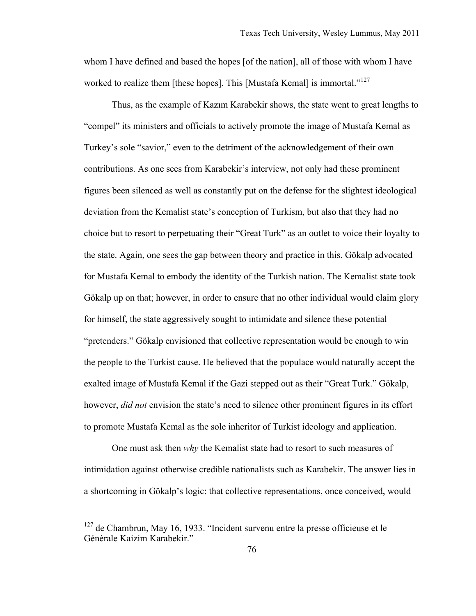whom I have defined and based the hopes [of the nation], all of those with whom I have worked to realize them [these hopes]. This [Mustafa Kemal] is immortal."<sup>127</sup>

Thus, as the example of Kazım Karabekir shows, the state went to great lengths to "compel" its ministers and officials to actively promote the image of Mustafa Kemal as Turkey's sole "savior," even to the detriment of the acknowledgement of their own contributions. As one sees from Karabekir's interview, not only had these prominent figures been silenced as well as constantly put on the defense for the slightest ideological deviation from the Kemalist state's conception of Turkism, but also that they had no choice but to resort to perpetuating their "Great Turk" as an outlet to voice their loyalty to the state. Again, one sees the gap between theory and practice in this. Gökalp advocated for Mustafa Kemal to embody the identity of the Turkish nation. The Kemalist state took Gökalp up on that; however, in order to ensure that no other individual would claim glory for himself, the state aggressively sought to intimidate and silence these potential "pretenders." Gökalp envisioned that collective representation would be enough to win the people to the Turkist cause. He believed that the populace would naturally accept the exalted image of Mustafa Kemal if the Gazi stepped out as their "Great Turk." Gökalp, however, *did not* envision the state's need to silence other prominent figures in its effort to promote Mustafa Kemal as the sole inheritor of Turkist ideology and application.

One must ask then *why* the Kemalist state had to resort to such measures of intimidation against otherwise credible nationalists such as Karabekir. The answer lies in a shortcoming in Gökalp's logic: that collective representations, once conceived, would

 $127$  de Chambrun, May 16, 1933. "Incident survenu entre la presse officieuse et le Générale Kaizim Karabekir."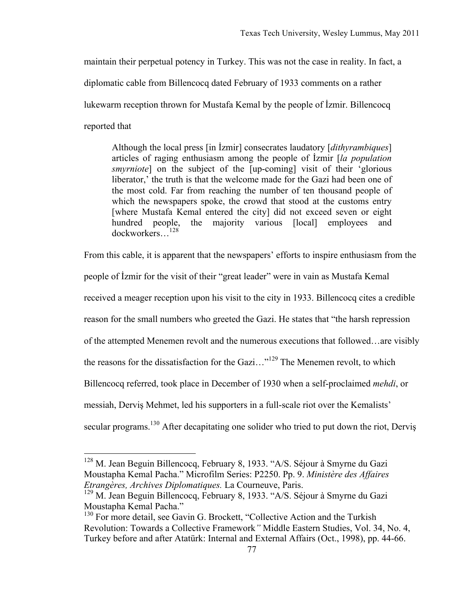maintain their perpetual potency in Turkey. This was not the case in reality. In fact, a

diplomatic cable from Billencocq dated February of 1933 comments on a rather

lukewarm reception thrown for Mustafa Kemal by the people of İzmir. Billencocq

reported that

Although the local press [in İzmir] consecrates laudatory [*dithyrambiques*] articles of raging enthusiasm among the people of İzmir [*la population smyrniote*] on the subject of the [up-coming] visit of their 'glorious liberator,' the truth is that the welcome made for the Gazi had been one of the most cold. Far from reaching the number of ten thousand people of which the newspapers spoke, the crowd that stood at the customs entry [where Mustafa Kemal entered the city] did not exceed seven or eight hundred people, the majority various [local] employees and dockworkers…128

From this cable, it is apparent that the newspapers' efforts to inspire enthusiasm from the

people of İzmir for the visit of their "great leader" were in vain as Mustafa Kemal

received a meager reception upon his visit to the city in 1933. Billencocq cites a credible

reason for the small numbers who greeted the Gazi. He states that "the harsh repression

of the attempted Menemen revolt and the numerous executions that followed…are visibly

the reasons for the dissatisfaction for the Gazi..."<sup>129</sup> The Menemen revolt, to which

Billencocq referred, took place in December of 1930 when a self-proclaimed *mehdi*, or

messiah, Derviş Mehmet, led his supporters in a full-scale riot over the Kemalists'

secular programs.<sup>130</sup> After decapitating one solider who tried to put down the riot, Dervis

<sup>&</sup>lt;sup>128</sup> M. Jean Beguin Billencocq, February 8, 1933. "A/S. Séjour à Smyrne du Gazi Moustapha Kemal Pacha." Microfilm Series: P2250. Pp. 9. *Ministère des Affaires Etrangères, Archives Diplomatiques.* La Courneuve, Paris.

<sup>&</sup>lt;sup>129</sup> M. Jean Beguin Billencocq, February 8, 1933. "A/S. Séjour à Smyrne du Gazi Moustapha Kemal Pacha."

<sup>&</sup>lt;sup>130</sup> For more detail, see Gavin G. Brockett, "Collective Action and the Turkish Revolution: Towards a Collective Framework*"* Middle Eastern Studies, Vol. 34, No. 4, Turkey before and after Atatürk: Internal and External Affairs (Oct., 1998), pp. 44-66.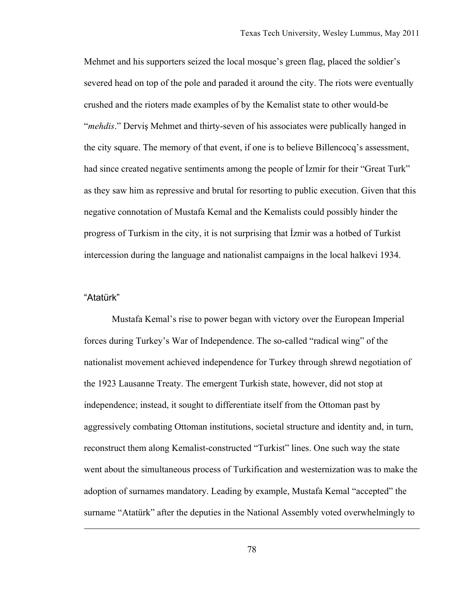Mehmet and his supporters seized the local mosque's green flag, placed the soldier's severed head on top of the pole and paraded it around the city. The riots were eventually crushed and the rioters made examples of by the Kemalist state to other would-be "*mehdis*." Derviş Mehmet and thirty-seven of his associates were publically hanged in the city square. The memory of that event, if one is to believe Billencocq's assessment, had since created negative sentiments among the people of Izmir for their "Great Turk" as they saw him as repressive and brutal for resorting to public execution. Given that this negative connotation of Mustafa Kemal and the Kemalists could possibly hinder the progress of Turkism in the city, it is not surprising that İzmir was a hotbed of Turkist intercession during the language and nationalist campaigns in the local halkevi 1934.

### "Atatürk"

 $\overline{a}$ 

Mustafa Kemal's rise to power began with victory over the European Imperial forces during Turkey's War of Independence. The so-called "radical wing" of the nationalist movement achieved independence for Turkey through shrewd negotiation of the 1923 Lausanne Treaty. The emergent Turkish state, however, did not stop at independence; instead, it sought to differentiate itself from the Ottoman past by aggressively combating Ottoman institutions, societal structure and identity and, in turn, reconstruct them along Kemalist-constructed "Turkist" lines. One such way the state went about the simultaneous process of Turkification and westernization was to make the adoption of surnames mandatory. Leading by example, Mustafa Kemal "accepted" the surname "Atatürk" after the deputies in the National Assembly voted overwhelmingly to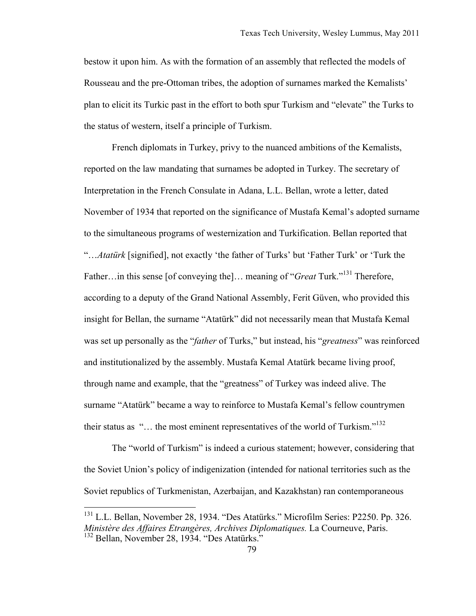bestow it upon him. As with the formation of an assembly that reflected the models of Rousseau and the pre-Ottoman tribes, the adoption of surnames marked the Kemalists' plan to elicit its Turkic past in the effort to both spur Turkism and "elevate" the Turks to the status of western, itself a principle of Turkism.

French diplomats in Turkey, privy to the nuanced ambitions of the Kemalists, reported on the law mandating that surnames be adopted in Turkey. The secretary of Interpretation in the French Consulate in Adana, L.L. Bellan, wrote a letter, dated November of 1934 that reported on the significance of Mustafa Kemal's adopted surname to the simultaneous programs of westernization and Turkification. Bellan reported that "…*Atatürk* [signified], not exactly 'the father of Turks' but 'Father Turk' or 'Turk the Father…in this sense [of conveying the]… meaning of "*Great* Turk."<sup>131</sup> Therefore, according to a deputy of the Grand National Assembly, Ferit Güven, who provided this insight for Bellan, the surname "Atatürk" did not necessarily mean that Mustafa Kemal was set up personally as the "*father* of Turks," but instead, his "*greatness*" was reinforced and institutionalized by the assembly. Mustafa Kemal Atatürk became living proof, through name and example, that the "greatness" of Turkey was indeed alive. The surname "Atatürk" became a way to reinforce to Mustafa Kemal's fellow countrymen their status as " $\ldots$  the most eminent representatives of the world of Turkism."<sup>132</sup>

The "world of Turkism" is indeed a curious statement; however, considering that the Soviet Union's policy of indigenization (intended for national territories such as the Soviet republics of Turkmenistan, Azerbaijan, and Kazakhstan) ran contemporaneous

 <sup>131</sup> L.L. Bellan, November 28, 1934. "Des Atatürks." Microfilm Series: P2250. Pp. 326. *Ministère des Affaires Etrangères, Archives Diplomatiques.* La Courneuve, Paris. <sup>132</sup> Bellan, November 28, 1934. "Des Atatürks."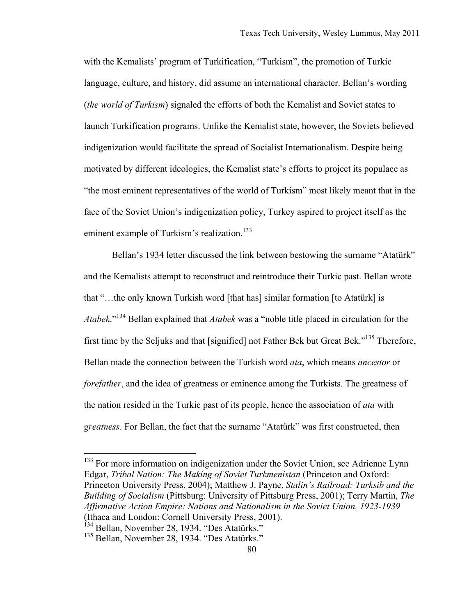with the Kemalists' program of Turkification, "Turkism", the promotion of Turkic language, culture, and history, did assume an international character. Bellan's wording (*the world of Turkism*) signaled the efforts of both the Kemalist and Soviet states to launch Turkification programs. Unlike the Kemalist state, however, the Soviets believed indigenization would facilitate the spread of Socialist Internationalism. Despite being motivated by different ideologies, the Kemalist state's efforts to project its populace as "the most eminent representatives of the world of Turkism" most likely meant that in the face of the Soviet Union's indigenization policy, Turkey aspired to project itself as the eminent example of Turkism's realization.<sup>133</sup>

Bellan's 1934 letter discussed the link between bestowing the surname "Atatürk" and the Kemalists attempt to reconstruct and reintroduce their Turkic past. Bellan wrote that "…the only known Turkish word [that has] similar formation [to Atatürk] is *Atabek*."134 Bellan explained that *Atabek* was a "noble title placed in circulation for the first time by the Seljuks and that [signified] not Father Bek but Great Bek."135 Therefore, Bellan made the connection between the Turkish word *ata*, which means *ancestor* or *forefather*, and the idea of greatness or eminence among the Turkists. The greatness of the nation resided in the Turkic past of its people, hence the association of *ata* with *greatness*. For Bellan, the fact that the surname "Atatürk" was first constructed, then

 $133$  For more information on indigenization under the Soviet Union, see Adrienne Lynn Edgar, *Tribal Nation: The Making of Soviet Turkmenistan* (Princeton and Oxford: Princeton University Press, 2004); Matthew J. Payne, *Stalin's Railroad: Turksib and the Building of Socialism* (Pittsburg: University of Pittsburg Press, 2001); Terry Martin, *The Affirmative Action Empire: Nations and Nationalism in the Soviet Union, 1923-1939* (Ithaca and London: Cornell University Press, 2001).

<sup>&</sup>lt;sup>134</sup> Bellan, November 28, 1934. "Des Atatürks."

<sup>&</sup>lt;sup>135</sup> Bellan, November 28, 1934. "Des Atatürks."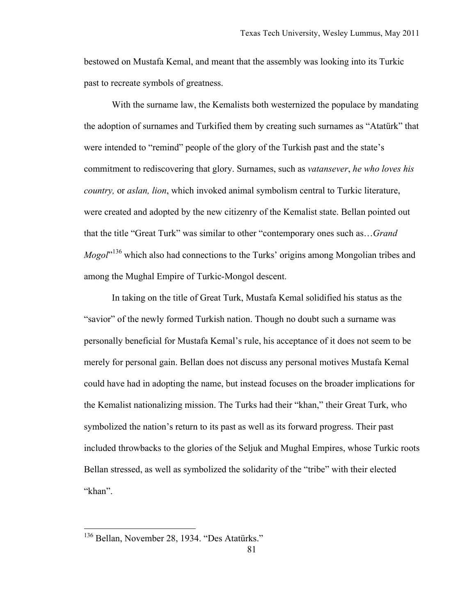bestowed on Mustafa Kemal, and meant that the assembly was looking into its Turkic past to recreate symbols of greatness.

With the surname law, the Kemalists both westernized the populace by mandating the adoption of surnames and Turkified them by creating such surnames as "Atatürk" that were intended to "remind" people of the glory of the Turkish past and the state's commitment to rediscovering that glory. Surnames, such as *vatansever*, *he who loves his country,* or *aslan, lion*, which invoked animal symbolism central to Turkic literature, were created and adopted by the new citizenry of the Kemalist state. Bellan pointed out that the title "Great Turk" was similar to other "contemporary ones such as…*Grand*  Mogol<sup>"136</sup> which also had connections to the Turks' origins among Mongolian tribes and among the Mughal Empire of Turkic-Mongol descent.

In taking on the title of Great Turk, Mustafa Kemal solidified his status as the "savior" of the newly formed Turkish nation. Though no doubt such a surname was personally beneficial for Mustafa Kemal's rule, his acceptance of it does not seem to be merely for personal gain. Bellan does not discuss any personal motives Mustafa Kemal could have had in adopting the name, but instead focuses on the broader implications for the Kemalist nationalizing mission. The Turks had their "khan," their Great Turk, who symbolized the nation's return to its past as well as its forward progress. Their past included throwbacks to the glories of the Seljuk and Mughal Empires, whose Turkic roots Bellan stressed, as well as symbolized the solidarity of the "tribe" with their elected "khan".

<sup>&</sup>lt;sup>136</sup> Bellan, November 28, 1934. "Des Atatürks."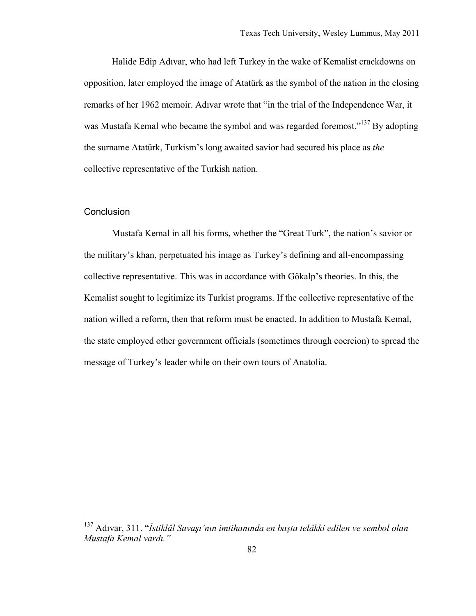Halide Edip Adıvar, who had left Turkey in the wake of Kemalist crackdowns on opposition, later employed the image of Atatürk as the symbol of the nation in the closing remarks of her 1962 memoir. Adıvar wrote that "in the trial of the Independence War, it was Mustafa Kemal who became the symbol and was regarded foremost."<sup>137</sup> By adopting the surname Atatürk, Turkism's long awaited savior had secured his place as *the* collective representative of the Turkish nation.

# **Conclusion**

Mustafa Kemal in all his forms, whether the "Great Turk", the nation's savior or the military's khan, perpetuated his image as Turkey's defining and all-encompassing collective representative. This was in accordance with Gökalp's theories. In this, the Kemalist sought to legitimize its Turkist programs. If the collective representative of the nation willed a reform, then that reform must be enacted. In addition to Mustafa Kemal, the state employed other government officials (sometimes through coercion) to spread the message of Turkey's leader while on their own tours of Anatolia.

 <sup>137</sup> Adıvar, 311. "*İstiklâl Savaşı'nın imtihanında en başta telâkki edilen ve sembol olan Mustafa Kemal vardı."*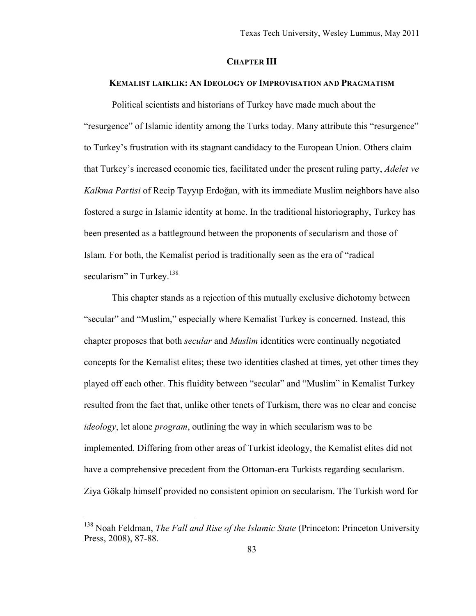## **CHAPTER III**

# **KEMALIST LAIKLIK: AN IDEOLOGY OF IMPROVISATION AND PRAGMATISM**

Political scientists and historians of Turkey have made much about the "resurgence" of Islamic identity among the Turks today. Many attribute this "resurgence" to Turkey's frustration with its stagnant candidacy to the European Union. Others claim that Turkey's increased economic ties, facilitated under the present ruling party, *Adelet ve Kalkma Partisi* of Recip Tayyıp Erdoğan, with its immediate Muslim neighbors have also fostered a surge in Islamic identity at home. In the traditional historiography, Turkey has been presented as a battleground between the proponents of secularism and those of Islam. For both, the Kemalist period is traditionally seen as the era of "radical secularism" in Turkey. $138$ 

This chapter stands as a rejection of this mutually exclusive dichotomy between "secular" and "Muslim," especially where Kemalist Turkey is concerned. Instead, this chapter proposes that both *secular* and *Muslim* identities were continually negotiated concepts for the Kemalist elites; these two identities clashed at times, yet other times they played off each other. This fluidity between "secular" and "Muslim" in Kemalist Turkey resulted from the fact that, unlike other tenets of Turkism, there was no clear and concise *ideology*, let alone *program*, outlining the way in which secularism was to be implemented. Differing from other areas of Turkist ideology, the Kemalist elites did not have a comprehensive precedent from the Ottoman-era Turkists regarding secularism. Ziya Gökalp himself provided no consistent opinion on secularism. The Turkish word for

 <sup>138</sup> Noah Feldman, *The Fall and Rise of the Islamic State* (Princeton: Princeton University Press, 2008), 87-88.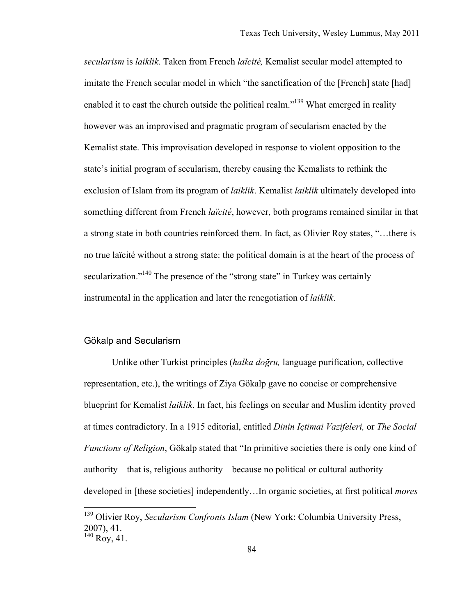*secularism* is *laiklik*. Taken from French *laïcité,* Kemalist secular model attempted to imitate the French secular model in which "the sanctification of the [French] state [had] enabled it to cast the church outside the political realm."<sup>139</sup> What emerged in reality however was an improvised and pragmatic program of secularism enacted by the Kemalist state. This improvisation developed in response to violent opposition to the state's initial program of secularism, thereby causing the Kemalists to rethink the exclusion of Islam from its program of *laiklik*. Kemalist *laiklik* ultimately developed into something different from French *laïcité*, however, both programs remained similar in that a strong state in both countries reinforced them. In fact, as Olivier Roy states, "…there is no true laïcité without a strong state: the political domain is at the heart of the process of secularization."<sup>140</sup> The presence of the "strong state" in Turkey was certainly instrumental in the application and later the renegotiation of *laiklik*.

#### Gökalp and Secularism

Unlike other Turkist principles (*halka doğru,* language purification, collective representation, etc.), the writings of Ziya Gökalp gave no concise or comprehensive blueprint for Kemalist *laiklik*. In fact, his feelings on secular and Muslim identity proved at times contradictory. In a 1915 editorial, entitled *Dinin Içtimai Vazifeleri,* or *The Social Functions of Religion*, Gökalp stated that "In primitive societies there is only one kind of authority—that is, religious authority—because no political or cultural authority developed in [these societies] independently…In organic societies, at first political *mores*

 <sup>139</sup> Olivier Roy, *Secularism Confronts Islam* (New York: Columbia University Press, 2007), 41.  $^{140}$  Roy, 41.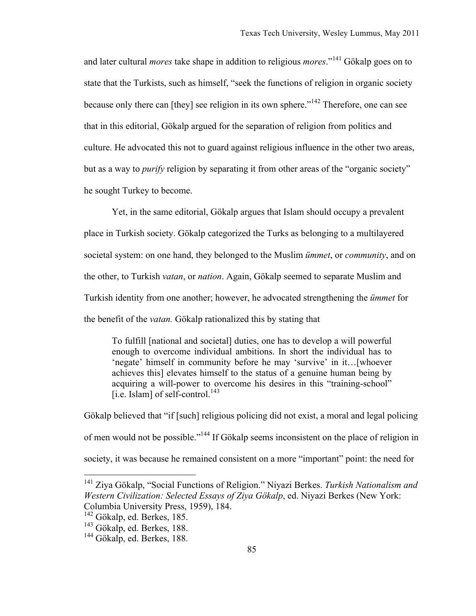and later cultural *mores* take shape in addition to religious *mores*."141 Gökalp goes on to state that the Turkists, such as himself, "seek the functions of religion in organic society because only there can [they] see religion in its own sphere.<sup>"142</sup> Therefore, one can see that in this editorial, Gökalp argued for the separation of religion from politics and culture. He advocated this not to guard against religious influence in the other two areas, but as a way to *purify* religion by separating it from other areas of the "organic society" he sought Turkey to become.

Yet, in the same editorial, Gökalp argues that Islam should occupy a prevalent place in Turkish society. Gökalp categorized the Turks as belonging to a multilayered societal system: on one hand, they belonged to the Muslim *ümmet*, or *community*, and on the other, to Turkish *vatan*, or *nation*. Again, Gökalp seemed to separate Muslim and Turkish identity from one another; however, he advocated strengthening the *ümmet* for the benefit of the *vatan.* Gökalp rationalized this by stating that

To fulfill [national and societal] duties, one has to develop a will powerful enough to overcome individual ambitions. In short the individual has to 'negate' himself in community before he may 'survive' in it…[whoever achieves this] elevates himself to the status of a genuine human being by acquiring a will-power to overcome his desires in this "training-school" [i.e. Islam] of self-control.<sup>143</sup>

Gökalp believed that "if [such] religious policing did not exist, a moral and legal policing of men would not be possible."144 If Gökalp seems inconsistent on the place of religion in society, it was because he remained consistent on a more "important" point: the need for

 <sup>141</sup> Ziya Gökalp, "Social Functions of Religion." Niyazi Berkes. *Turkish Nationalism and Western Civilization: Selected Essays of Ziya Gökalp*, ed. Niyazi Berkes (New York: Columbia University Press, 1959), 184.

<sup>&</sup>lt;sup>142</sup> Gökalp, ed. Berkes, 185.

<sup>&</sup>lt;sup>143</sup> Gökalp, ed. Berkes, 188.

<sup>&</sup>lt;sup>144</sup> Gökalp, ed. Berkes, 188.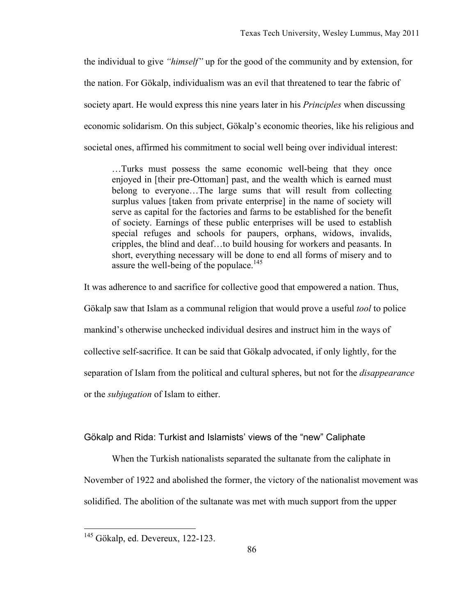the individual to give *"himself"* up for the good of the community and by extension, for the nation. For Gökalp, individualism was an evil that threatened to tear the fabric of society apart. He would express this nine years later in his *Principles* when discussing economic solidarism. On this subject, Gökalp's economic theories, like his religious and societal ones, affirmed his commitment to social well being over individual interest:

…Turks must possess the same economic well-being that they once enjoyed in [their pre-Ottoman] past, and the wealth which is earned must belong to everyone…The large sums that will result from collecting surplus values [taken from private enterprise] in the name of society will serve as capital for the factories and farms to be established for the benefit of society. Earnings of these public enterprises will be used to establish special refuges and schools for paupers, orphans, widows, invalids, cripples, the blind and deaf…to build housing for workers and peasants. In short, everything necessary will be done to end all forms of misery and to assure the well-being of the populace.<sup>145</sup>

It was adherence to and sacrifice for collective good that empowered a nation. Thus, Gökalp saw that Islam as a communal religion that would prove a useful *tool* to police mankind's otherwise unchecked individual desires and instruct him in the ways of collective self-sacrifice. It can be said that Gökalp advocated, if only lightly, for the separation of Islam from the political and cultural spheres, but not for the *disappearance* or the *subjugation* of Islam to either.

# Gökalp and Rida: Turkist and Islamists' views of the "new" Caliphate

When the Turkish nationalists separated the sultanate from the caliphate in November of 1922 and abolished the former, the victory of the nationalist movement was solidified. The abolition of the sultanate was met with much support from the upper

 <sup>145</sup> Gökalp, ed. Devereux, 122-123.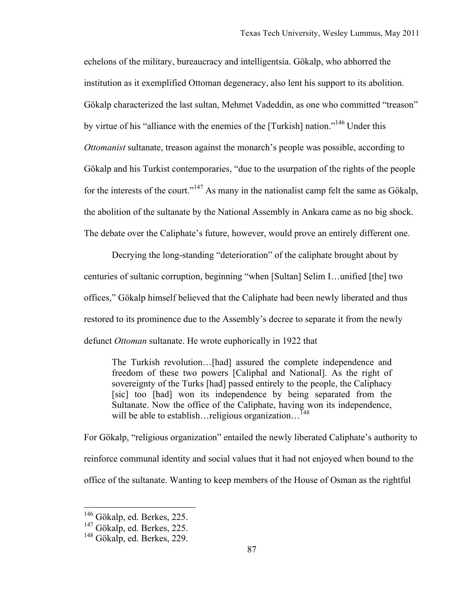echelons of the military, bureaucracy and intelligentsia. Gökalp, who abhorred the institution as it exemplified Ottoman degeneracy, also lent his support to its abolition. Gökalp characterized the last sultan, Mehmet Vadeddin, as one who committed "treason" by virtue of his "alliance with the enemies of the [Turkish] nation."146 Under this *Ottomanist* sultanate, treason against the monarch's people was possible, according to Gökalp and his Turkist contemporaries, "due to the usurpation of the rights of the people for the interests of the court."<sup>147</sup> As many in the nationalist camp felt the same as Gökalp, the abolition of the sultanate by the National Assembly in Ankara came as no big shock. The debate over the Caliphate's future, however, would prove an entirely different one.

Decrying the long-standing "deterioration" of the caliphate brought about by centuries of sultanic corruption, beginning "when [Sultan] Selim I…unified [the] two offices," Gökalp himself believed that the Caliphate had been newly liberated and thus restored to its prominence due to the Assembly's decree to separate it from the newly defunct *Ottoman* sultanate. He wrote euphorically in 1922 that

The Turkish revolution…[had] assured the complete independence and freedom of these two powers [Caliphal and National]. As the right of sovereignty of the Turks [had] passed entirely to the people, the Caliphacy [sic] too [had] won its independence by being separated from the Sultanate. Now the office of the Caliphate, having won its independence, will be able to establish…religious organization…<sup>148</sup>

For Gökalp, "religious organization" entailed the newly liberated Caliphate's authority to reinforce communal identity and social values that it had not enjoyed when bound to the office of the sultanate. Wanting to keep members of the House of Osman as the rightful

 <sup>146</sup> Gökalp, ed. Berkes, 225.

<sup>&</sup>lt;sup>147</sup> Gökalp, ed. Berkes, 225.

<sup>&</sup>lt;sup>148</sup> Gökalp, ed. Berkes, 229.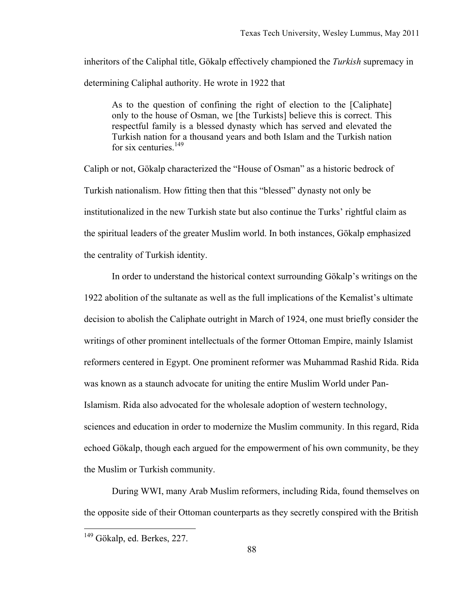inheritors of the Caliphal title, Gökalp effectively championed the *Turkish* supremacy in determining Caliphal authority. He wrote in 1922 that

As to the question of confining the right of election to the [Caliphate] only to the house of Osman, we [the Turkists] believe this is correct. This respectful family is a blessed dynasty which has served and elevated the Turkish nation for a thousand years and both Islam and the Turkish nation for six centuries.<sup>149</sup>

Caliph or not, Gökalp characterized the "House of Osman" as a historic bedrock of Turkish nationalism. How fitting then that this "blessed" dynasty not only be institutionalized in the new Turkish state but also continue the Turks' rightful claim as the spiritual leaders of the greater Muslim world. In both instances, Gökalp emphasized the centrality of Turkish identity.

In order to understand the historical context surrounding Gökalp's writings on the 1922 abolition of the sultanate as well as the full implications of the Kemalist's ultimate decision to abolish the Caliphate outright in March of 1924, one must briefly consider the writings of other prominent intellectuals of the former Ottoman Empire, mainly Islamist reformers centered in Egypt. One prominent reformer was Muhammad Rashid Rida. Rida was known as a staunch advocate for uniting the entire Muslim World under Pan-Islamism. Rida also advocated for the wholesale adoption of western technology, sciences and education in order to modernize the Muslim community. In this regard, Rida echoed Gökalp, though each argued for the empowerment of his own community, be they the Muslim or Turkish community.

During WWI, many Arab Muslim reformers, including Rida, found themselves on the opposite side of their Ottoman counterparts as they secretly conspired with the British

<sup>&</sup>lt;sup>149</sup> Gökalp, ed. Berkes, 227.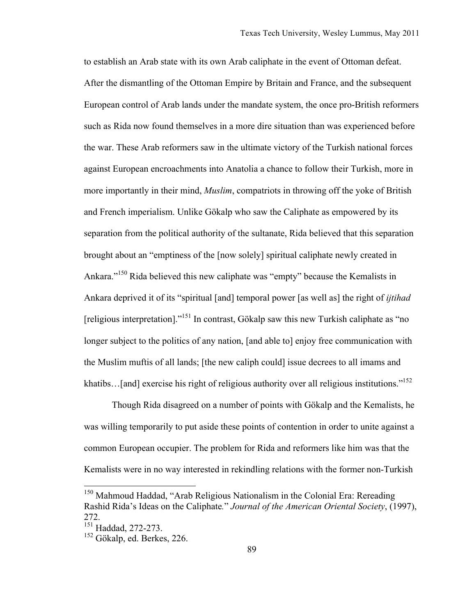to establish an Arab state with its own Arab caliphate in the event of Ottoman defeat. After the dismantling of the Ottoman Empire by Britain and France, and the subsequent European control of Arab lands under the mandate system, the once pro-British reformers such as Rida now found themselves in a more dire situation than was experienced before the war. These Arab reformers saw in the ultimate victory of the Turkish national forces against European encroachments into Anatolia a chance to follow their Turkish, more in more importantly in their mind, *Muslim*, compatriots in throwing off the yoke of British and French imperialism. Unlike Gökalp who saw the Caliphate as empowered by its separation from the political authority of the sultanate, Rida believed that this separation brought about an "emptiness of the [now solely] spiritual caliphate newly created in Ankara."150 Rida believed this new caliphate was "empty" because the Kemalists in Ankara deprived it of its "spiritual [and] temporal power [as well as] the right of *ijtihad* [religious interpretation]."151 In contrast, Gökalp saw this new Turkish caliphate as "no longer subject to the politics of any nation, [and able to] enjoy free communication with the Muslim muftis of all lands; [the new caliph could] issue decrees to all imams and khatibs...[and] exercise his right of religious authority over all religious institutions."<sup>152</sup>

Though Rida disagreed on a number of points with Gökalp and the Kemalists, he was willing temporarily to put aside these points of contention in order to unite against a common European occupier. The problem for Rida and reformers like him was that the Kemalists were in no way interested in rekindling relations with the former non-Turkish

<sup>&</sup>lt;sup>150</sup> Mahmoud Haddad, "Arab Religious Nationalism in the Colonial Era: Rereading Rashid Rida's Ideas on the Caliphate*.*" *Journal of the American Oriental Society*, (1997), 272.

 $^{151}$  Haddad, 272-273.

<sup>&</sup>lt;sup>152</sup> Gökalp, ed. Berkes, 226.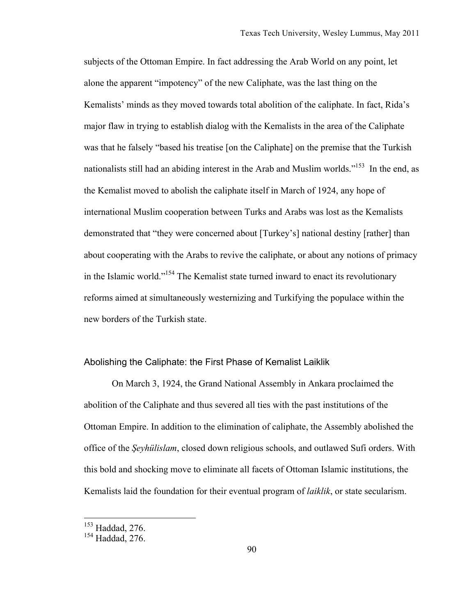subjects of the Ottoman Empire. In fact addressing the Arab World on any point, let alone the apparent "impotency" of the new Caliphate, was the last thing on the Kemalists' minds as they moved towards total abolition of the caliphate. In fact, Rida's major flaw in trying to establish dialog with the Kemalists in the area of the Caliphate was that he falsely "based his treatise [on the Caliphate] on the premise that the Turkish nationalists still had an abiding interest in the Arab and Muslim worlds.<sup>"153</sup> In the end, as the Kemalist moved to abolish the caliphate itself in March of 1924, any hope of international Muslim cooperation between Turks and Arabs was lost as the Kemalists demonstrated that "they were concerned about [Turkey's] national destiny [rather] than about cooperating with the Arabs to revive the caliphate, or about any notions of primacy in the Islamic world."154 The Kemalist state turned inward to enact its revolutionary reforms aimed at simultaneously westernizing and Turkifying the populace within the new borders of the Turkish state.

#### Abolishing the Caliphate: the First Phase of Kemalist Laiklik

On March 3, 1924, the Grand National Assembly in Ankara proclaimed the abolition of the Caliphate and thus severed all ties with the past institutions of the Ottoman Empire. In addition to the elimination of caliphate, the Assembly abolished the office of the *Şeyhülislam*, closed down religious schools, and outlawed Sufi orders. With this bold and shocking move to eliminate all facets of Ottoman Islamic institutions, the Kemalists laid the foundation for their eventual program of *laiklik*, or state secularism.

 $\frac{153}{153}$  Haddad, 276.

<sup>&</sup>lt;sup>154</sup> Haddad, 276.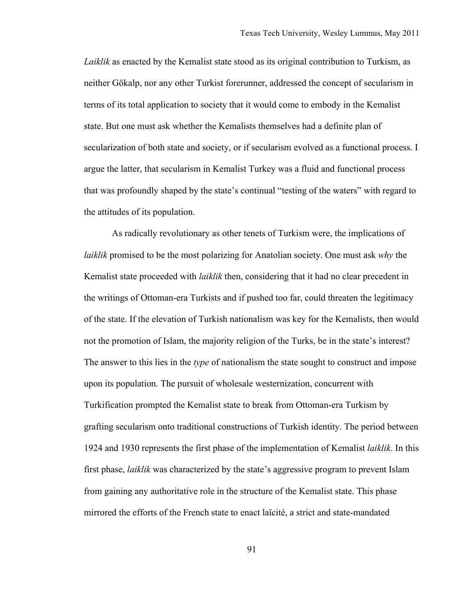*Laiklik* as enacted by the Kemalist state stood as its original contribution to Turkism, as neither Gökalp, nor any other Turkist forerunner, addressed the concept of secularism in terms of its total application to society that it would come to embody in the Kemalist state. But one must ask whether the Kemalists themselves had a definite plan of secularization of both state and society, or if secularism evolved as a functional process. I argue the latter, that secularism in Kemalist Turkey was a fluid and functional process that was profoundly shaped by the state's continual "testing of the waters" with regard to the attitudes of its population.

As radically revolutionary as other tenets of Turkism were, the implications of *laiklik* promised to be the most polarizing for Anatolian society. One must ask *why* the Kemalist state proceeded with *laiklik* then, considering that it had no clear precedent in the writings of Ottoman-era Turkists and if pushed too far, could threaten the legitimacy of the state. If the elevation of Turkish nationalism was key for the Kemalists, then would not the promotion of Islam, the majority religion of the Turks, be in the state's interest? The answer to this lies in the *type* of nationalism the state sought to construct and impose upon its population. The pursuit of wholesale westernization, concurrent with Turkification prompted the Kemalist state to break from Ottoman-era Turkism by grafting secularism onto traditional constructions of Turkish identity. The period between 1924 and 1930 represents the first phase of the implementation of Kemalist *laiklik*. In this first phase, *laiklik* was characterized by the state's aggressive program to prevent Islam from gaining any authoritative role in the structure of the Kemalist state. This phase mirrored the efforts of the French state to enact laïcité, a strict and state-mandated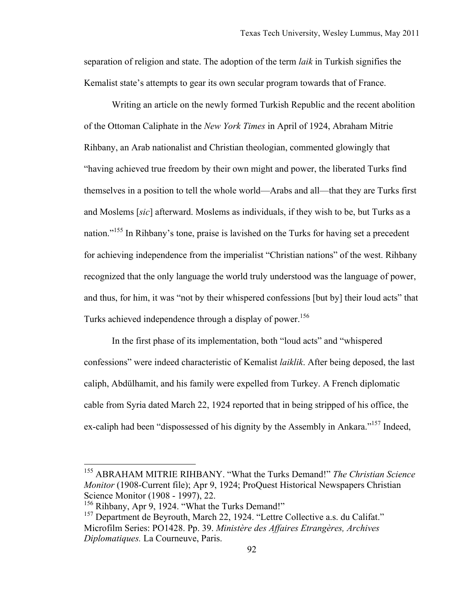separation of religion and state. The adoption of the term *laik* in Turkish signifies the Kemalist state's attempts to gear its own secular program towards that of France.

Writing an article on the newly formed Turkish Republic and the recent abolition of the Ottoman Caliphate in the *New York Times* in April of 1924, Abraham Mitrie Rihbany, an Arab nationalist and Christian theologian, commented glowingly that "having achieved true freedom by their own might and power, the liberated Turks find themselves in a position to tell the whole world—Arabs and all—that they are Turks first and Moslems [*sic*] afterward. Moslems as individuals, if they wish to be, but Turks as a nation."<sup>155</sup> In Rihbany's tone, praise is lavished on the Turks for having set a precedent for achieving independence from the imperialist "Christian nations" of the west. Rihbany recognized that the only language the world truly understood was the language of power, and thus, for him, it was "not by their whispered confessions [but by] their loud acts" that Turks achieved independence through a display of power.<sup>156</sup>

In the first phase of its implementation, both "loud acts" and "whispered confessions" were indeed characteristic of Kemalist *laiklik*. After being deposed, the last caliph, Abdülhamit, and his family were expelled from Turkey. A French diplomatic cable from Syria dated March 22, 1924 reported that in being stripped of his office, the ex-caliph had been "dispossessed of his dignity by the Assembly in Ankara."<sup>157</sup> Indeed,

 <sup>155</sup> ABRAHAM MITRIE RIHBANY. "What the Turks Demand!" *The Christian Science Monitor* (1908-Current file); Apr 9, 1924; ProQuest Historical Newspapers Christian Science Monitor (1908 - 1997), 22.

<sup>&</sup>lt;sup>156</sup> Rihbany, Apr 9, 1924. "What the Turks Demand!"

<sup>&</sup>lt;sup>157</sup> Department de Beyrouth, March 22, 1924. "Lettre Collective a.s. du Califat." Microfilm Series: PO1428. Pp. 39. *Ministère des Affaires Etrangères, Archives Diplomatiques.* La Courneuve, Paris.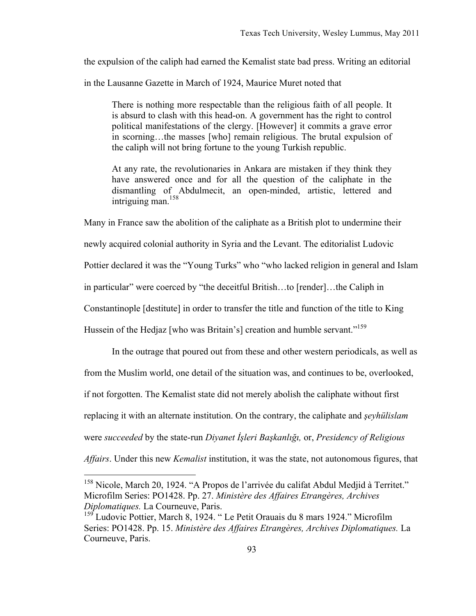the expulsion of the caliph had earned the Kemalist state bad press. Writing an editorial

in the Lausanne Gazette in March of 1924, Maurice Muret noted that

There is nothing more respectable than the religious faith of all people. It is absurd to clash with this head-on. A government has the right to control political manifestations of the clergy. [However] it commits a grave error in scorning…the masses [who] remain religious. The brutal expulsion of the caliph will not bring fortune to the young Turkish republic.

At any rate, the revolutionaries in Ankara are mistaken if they think they have answered once and for all the question of the caliphate in the dismantling of Abdulmecit, an open-minded, artistic, lettered and  $intriquine$  man.<sup>158</sup>

Many in France saw the abolition of the caliphate as a British plot to undermine their newly acquired colonial authority in Syria and the Levant. The editorialist Ludovic Pottier declared it was the "Young Turks" who "who lacked religion in general and Islam in particular" were coerced by "the deceitful British…to [render]…the Caliph in Constantinople [destitute] in order to transfer the title and function of the title to King Hussein of the Hedjaz [who was Britain's] creation and humble servant."<sup>159</sup>

In the outrage that poured out from these and other western periodicals, as well as from the Muslim world, one detail of the situation was, and continues to be, overlooked, if not forgotten. The Kemalist state did not merely abolish the caliphate without first replacing it with an alternate institution. On the contrary, the caliphate and *şeyhülislam* were *succeeded* by the state-run *Diyanet İşleri Başkanlığı,* or, *Presidency of Religious Affairs*. Under this new *Kemalist* institution, it was the state, not autonomous figures, that

 <sup>158</sup> Nicole, March 20, 1924. "A Propos de l'arrivée du califat Abdul Medjid à Territet." Microfilm Series: PO1428. Pp. 27. *Ministère des Affaires Etrangères, Archives Diplomatiques.* La Courneuve, Paris.

Ludovic Pottier, March 8, 1924. " Le Petit Orauais du 8 mars 1924." Microfilm Series: PO1428. Pp. 15. *Ministère des Affaires Etrangères, Archives Diplomatiques.* La Courneuve, Paris.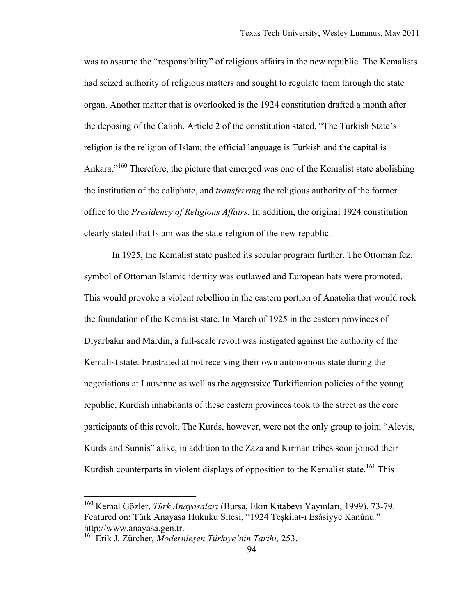was to assume the "responsibility" of religious affairs in the new republic. The Kemalists had seized authority of religious matters and sought to regulate them through the state organ. Another matter that is overlooked is the 1924 constitution drafted a month after the deposing of the Caliph. Article 2 of the constitution stated, "The Turkish State's religion is the religion of Islam; the official language is Turkish and the capital is Ankara."<sup>160</sup> Therefore, the picture that emerged was one of the Kemalist state abolishing the institution of the caliphate, and *transferring* the religious authority of the former office to the *Presidency of Religious Affairs*. In addition, the original 1924 constitution clearly stated that Islam was the state religion of the new republic.

In 1925, the Kemalist state pushed its secular program further. The Ottoman fez, symbol of Ottoman Islamic identity was outlawed and European hats were promoted. This would provoke a violent rebellion in the eastern portion of Anatolia that would rock the foundation of the Kemalist state. In March of 1925 in the eastern provinces of Diyarbakır and Mardin, a full-scale revolt was instigated against the authority of the Kemalist state. Frustrated at not receiving their own autonomous state during the negotiations at Lausanne as well as the aggressive Turkification policies of the young republic, Kurdish inhabitants of these eastern provinces took to the street as the core participants of this revolt. The Kurds, however, were not the only group to join; "Alevis, Kurds and Sunnis" alike, in addition to the Zaza and Kırman tribes soon joined their Kurdish counterparts in violent displays of opposition to the Kemalist state.<sup>161</sup> This

 <sup>160</sup> Kemal Gözler, *Türk Anayasaları* (Bursa, Ekin Kitabevi Yayınları, 1999), 73-79. Featured on: Türk Anayasa Hukuku Sitesi, "1924 Teşkilat-ı Esâsiyye Kanûnu." http://www.anayasa.gen.tr. 161 Erik J. Zürcher, *Modernleşen Türkiye'nin Tarihi,* 253.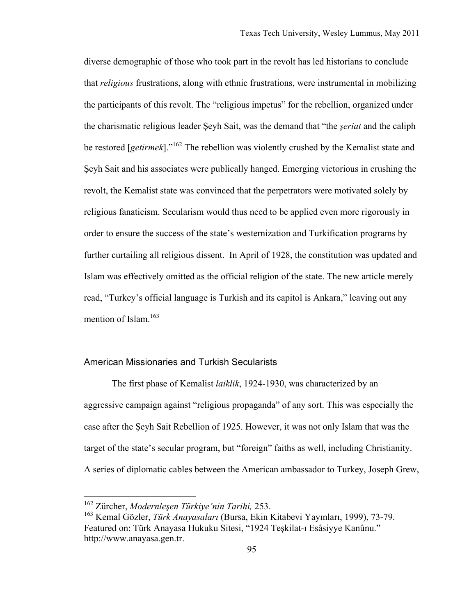diverse demographic of those who took part in the revolt has led historians to conclude that *religious* frustrations, along with ethnic frustrations, were instrumental in mobilizing the participants of this revolt. The "religious impetus" for the rebellion, organized under the charismatic religious leader Şeyh Sait, was the demand that "the *şeriat* and the caliph be restored [*getirmek*]."162 The rebellion was violently crushed by the Kemalist state and Şeyh Sait and his associates were publically hanged. Emerging victorious in crushing the revolt, the Kemalist state was convinced that the perpetrators were motivated solely by religious fanaticism. Secularism would thus need to be applied even more rigorously in order to ensure the success of the state's westernization and Turkification programs by further curtailing all religious dissent. In April of 1928, the constitution was updated and Islam was effectively omitted as the official religion of the state. The new article merely read, "Turkey's official language is Turkish and its capitol is Ankara," leaving out any mention of Islam. $163$ 

### American Missionaries and Turkish Secularists

The first phase of Kemalist *laiklik*, 1924-1930, was characterized by an aggressive campaign against "religious propaganda" of any sort. This was especially the case after the Şeyh Sait Rebellion of 1925. However, it was not only Islam that was the target of the state's secular program, but "foreign" faiths as well, including Christianity. A series of diplomatic cables between the American ambassador to Turkey, Joseph Grew,

 <sup>162</sup> Zürcher, *Modernleşen Türkiye'nin Tarihi,* 253.

<sup>163</sup> Kemal Gözler, *Türk Anayasaları* (Bursa, Ekin Kitabevi Yayınları, 1999), 73-79. Featured on: Türk Anayasa Hukuku Sitesi, "1924 Teşkilat-ı Esâsiyye Kanûnu." http://www.anayasa.gen.tr.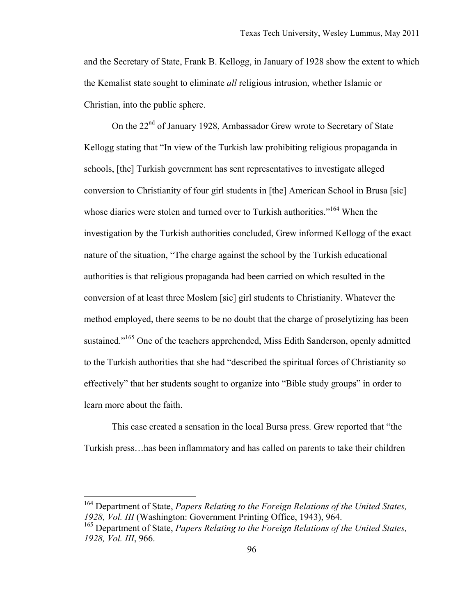and the Secretary of State, Frank B. Kellogg, in January of 1928 show the extent to which the Kemalist state sought to eliminate *all* religious intrusion, whether Islamic or Christian, into the public sphere.

On the 22<sup>nd</sup> of January 1928, Ambassador Grew wrote to Secretary of State Kellogg stating that "In view of the Turkish law prohibiting religious propaganda in schools, [the] Turkish government has sent representatives to investigate alleged conversion to Christianity of four girl students in [the] American School in Brusa [sic] whose diaries were stolen and turned over to Turkish authorities."<sup>164</sup> When the investigation by the Turkish authorities concluded, Grew informed Kellogg of the exact nature of the situation, "The charge against the school by the Turkish educational authorities is that religious propaganda had been carried on which resulted in the conversion of at least three Moslem [sic] girl students to Christianity. Whatever the method employed, there seems to be no doubt that the charge of proselytizing has been sustained."<sup>165</sup> One of the teachers apprehended, Miss Edith Sanderson, openly admitted to the Turkish authorities that she had "described the spiritual forces of Christianity so effectively" that her students sought to organize into "Bible study groups" in order to learn more about the faith.

This case created a sensation in the local Bursa press. Grew reported that "the Turkish press…has been inflammatory and has called on parents to take their children

 <sup>164</sup> Department of State, *Papers Relating to the Foreign Relations of the United States, 1928, Vol. III* (Washington: Government Printing Office, 1943), 964.

<sup>165</sup> Department of State, *Papers Relating to the Foreign Relations of the United States, 1928, Vol. III*, 966.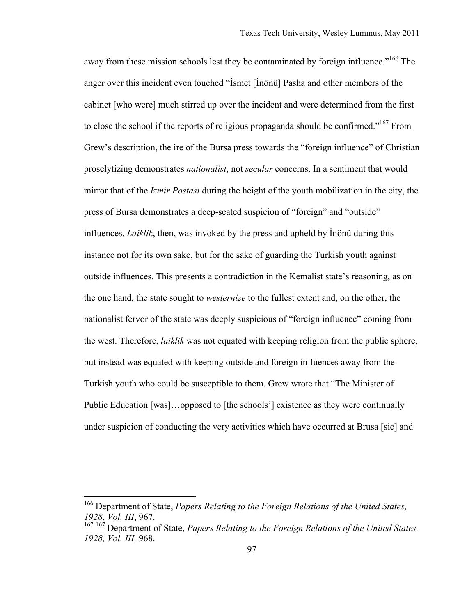away from these mission schools lest they be contaminated by foreign influence."<sup>166</sup> The anger over this incident even touched "İsmet [İnönü] Pasha and other members of the cabinet [who were] much stirred up over the incident and were determined from the first to close the school if the reports of religious propaganda should be confirmed."167 From Grew's description, the ire of the Bursa press towards the "foreign influence" of Christian proselytizing demonstrates *nationalist*, not *secular* concerns. In a sentiment that would mirror that of the *İzmir Postası* during the height of the youth mobilization in the city, the press of Bursa demonstrates a deep-seated suspicion of "foreign" and "outside" influences. *Laiklik*, then, was invoked by the press and upheld by İnönü during this instance not for its own sake, but for the sake of guarding the Turkish youth against outside influences. This presents a contradiction in the Kemalist state's reasoning, as on the one hand, the state sought to *westernize* to the fullest extent and, on the other, the nationalist fervor of the state was deeply suspicious of "foreign influence" coming from the west. Therefore, *laiklik* was not equated with keeping religion from the public sphere, but instead was equated with keeping outside and foreign influences away from the Turkish youth who could be susceptible to them. Grew wrote that "The Minister of Public Education [was]…opposed to [the schools'] existence as they were continually under suspicion of conducting the very activities which have occurred at Brusa [sic] and

 <sup>166</sup> Department of State, *Papers Relating to the Foreign Relations of the United States, 1928, Vol. III*, 967.

<sup>167</sup> 167 Department of State, *Papers Relating to the Foreign Relations of the United States, 1928, Vol. III,* 968.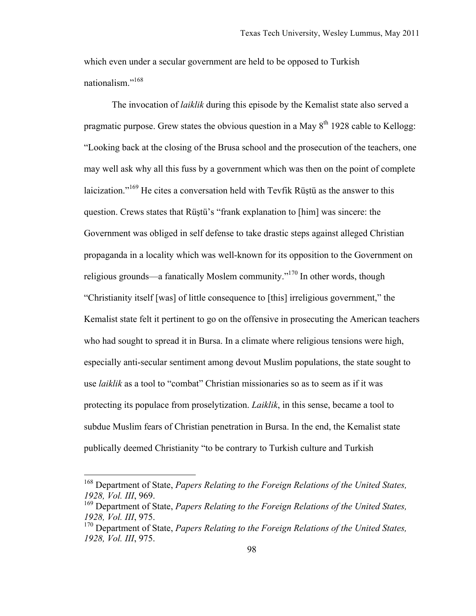which even under a secular government are held to be opposed to Turkish nationalism."168

The invocation of *laiklik* during this episode by the Kemalist state also served a pragmatic purpose. Grew states the obvious question in a May  $8<sup>th</sup>$  1928 cable to Kellogg: "Looking back at the closing of the Brusa school and the prosecution of the teachers, one may well ask why all this fuss by a government which was then on the point of complete laicization."169 He cites a conversation held with Tevfik Rüştü as the answer to this question. Crews states that Rüştü's "frank explanation to [him] was sincere: the Government was obliged in self defense to take drastic steps against alleged Christian propaganda in a locality which was well-known for its opposition to the Government on religious grounds—a fanatically Moslem community. $170 \text{ In other words, though}$ "Christianity itself [was] of little consequence to [this] irreligious government," the Kemalist state felt it pertinent to go on the offensive in prosecuting the American teachers who had sought to spread it in Bursa. In a climate where religious tensions were high, especially anti-secular sentiment among devout Muslim populations, the state sought to use *laiklik* as a tool to "combat" Christian missionaries so as to seem as if it was protecting its populace from proselytization. *Laiklik*, in this sense, became a tool to subdue Muslim fears of Christian penetration in Bursa. In the end, the Kemalist state publically deemed Christianity "to be contrary to Turkish culture and Turkish

 <sup>168</sup> Department of State, *Papers Relating to the Foreign Relations of the United States, 1928, Vol. III*, 969.

<sup>169</sup> Department of State, *Papers Relating to the Foreign Relations of the United States, 1928, Vol. III*, 975.

<sup>170</sup> Department of State, *Papers Relating to the Foreign Relations of the United States, 1928, Vol. III*, 975.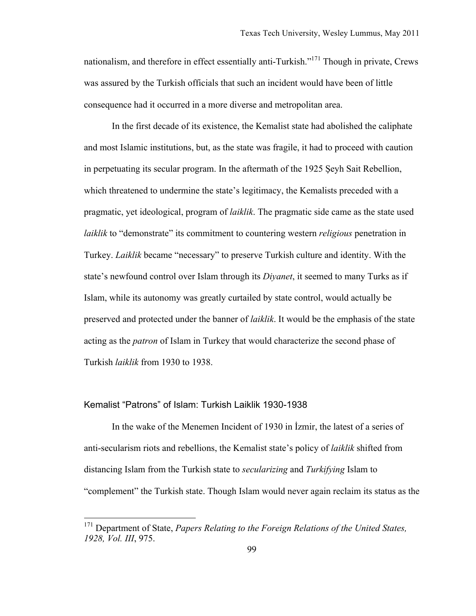nationalism, and therefore in effect essentially anti-Turkish."<sup>171</sup> Though in private, Crews was assured by the Turkish officials that such an incident would have been of little consequence had it occurred in a more diverse and metropolitan area.

In the first decade of its existence, the Kemalist state had abolished the caliphate and most Islamic institutions, but, as the state was fragile, it had to proceed with caution in perpetuating its secular program. In the aftermath of the 1925 Şeyh Sait Rebellion, which threatened to undermine the state's legitimacy, the Kemalists preceded with a pragmatic, yet ideological, program of *laiklik*. The pragmatic side came as the state used *laiklik* to "demonstrate" its commitment to countering western *religious* penetration in Turkey. *Laiklik* became "necessary" to preserve Turkish culture and identity. With the state's newfound control over Islam through its *Diyanet*, it seemed to many Turks as if Islam, while its autonomy was greatly curtailed by state control, would actually be preserved and protected under the banner of *laiklik*. It would be the emphasis of the state acting as the *patron* of Islam in Turkey that would characterize the second phase of Turkish *laiklik* from 1930 to 1938.

#### Kemalist "Patrons" of Islam: Turkish Laiklik 1930-1938

In the wake of the Menemen Incident of 1930 in İzmir, the latest of a series of anti-secularism riots and rebellions, the Kemalist state's policy of *laiklik* shifted from distancing Islam from the Turkish state to *secularizing* and *Turkifying* Islam to "complement" the Turkish state. Though Islam would never again reclaim its status as the

<sup>&</sup>lt;sup>171</sup> Department of State, *Papers Relating to the Foreign Relations of the United States, 1928, Vol. III*, 975.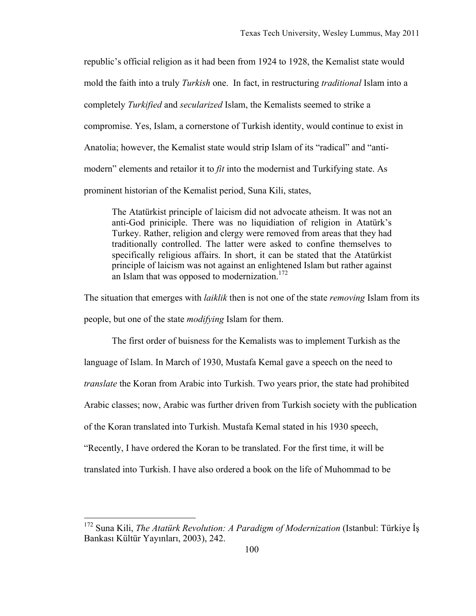republic's official religion as it had been from 1924 to 1928, the Kemalist state would mold the faith into a truly *Turkish* one. In fact, in restructuring *traditional* Islam into a completely *Turkified* and *secularized* Islam, the Kemalists seemed to strike a compromise. Yes, Islam, a cornerstone of Turkish identity, would continue to exist in Anatolia; however, the Kemalist state would strip Islam of its "radical" and "antimodern" elements and retailor it to *fit* into the modernist and Turkifying state. As prominent historian of the Kemalist period, Suna Kili, states,

The Atatürkist principle of laicism did not advocate atheism. It was not an anti-God priniciple. There was no liquidiation of religion in Atatürk's Turkey. Rather, religion and clergy were removed from areas that they had traditionally controlled. The latter were asked to confine themselves to specifically religious affairs. In short, it can be stated that the Atatürkist principle of laicism was not against an enlightened Islam but rather against an Islam that was opposed to modernization.<sup>172</sup>

The situation that emerges with *laiklik* then is not one of the state *removing* Islam from its people, but one of the state *modifying* Islam for them.

The first order of buisness for the Kemalists was to implement Turkish as the language of Islam. In March of 1930, Mustafa Kemal gave a speech on the need to *translate* the Koran from Arabic into Turkish. Two years prior, the state had prohibited Arabic classes; now, Arabic was further driven from Turkish society with the publication of the Koran translated into Turkish. Mustafa Kemal stated in his 1930 speech, "Recently, I have ordered the Koran to be translated. For the first time, it will be translated into Turkish. I have also ordered a book on the life of Muhommad to be

<sup>&</sup>lt;sup>172</sup> Suna Kili, *The Atatürk Revolution: A Paradigm of Modernization* (Istanbul: Türkiye İs Bankası Kültür Yayınları, 2003), 242.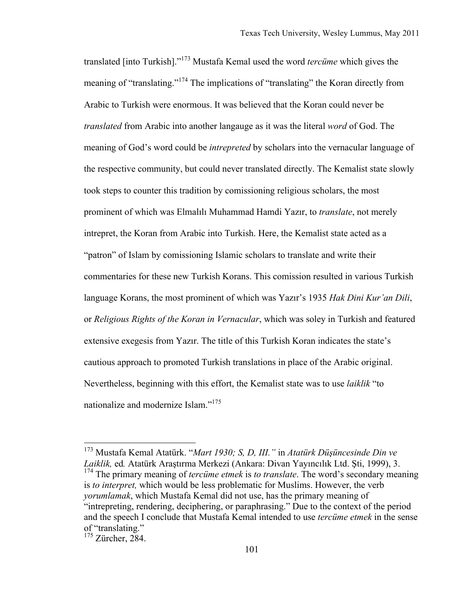translated [into Turkish]."173 Mustafa Kemal used the word *tercüme* which gives the meaning of "translating."174 The implications of "translating" the Koran directly from Arabic to Turkish were enormous. It was believed that the Koran could never be *translated* from Arabic into another langauge as it was the literal *word* of God. The meaning of God's word could be *intrepreted* by scholars into the vernacular language of the respective community, but could never translated directly. The Kemalist state slowly took steps to counter this tradition by comissioning religious scholars, the most prominent of which was Elmalılı Muhammad Hamdi Yazır, to *translate*, not merely intrepret, the Koran from Arabic into Turkish. Here, the Kemalist state acted as a "patron" of Islam by comissioning Islamic scholars to translate and write their commentaries for these new Turkish Korans. This comission resulted in various Turkish language Korans, the most prominent of which was Yazır's 1935 *Hak Dini Kur'an Dili*, or *Religious Rights of the Koran in Vernacular*, which was soley in Turkish and featured extensive exegesis from Yazır. The title of this Turkish Koran indicates the state's cautious approach to promoted Turkish translations in place of the Arabic original. Nevertheless, beginning with this effort, the Kemalist state was to use *laiklik* "to nationalize and modernize Islam."<sup>175</sup>

 <sup>173</sup> Mustafa Kemal Atatürk. "*Mart 1930; S, D, III."* in *Atatürk Düşüncesinde Din ve Laiklik,* ed*.* Atatürk Araştırma Merkezi (Ankara: Divan Yayıncılık Ltd. Şti, 1999), 3. <sup>174</sup> The primary meaning of *tercüme etmek* is *to translate*. The word's secondary meaning is *to interpret,* which would be less problematic for Muslims. However, the verb *yorumlamak*, which Mustafa Kemal did not use, has the primary meaning of "intrepreting, rendering, deciphering, or paraphrasing." Due to the context of the period and the speech I conclude that Mustafa Kemal intended to use *tercüme etmek* in the sense of "translating."

 $175$  Zürcher, 284.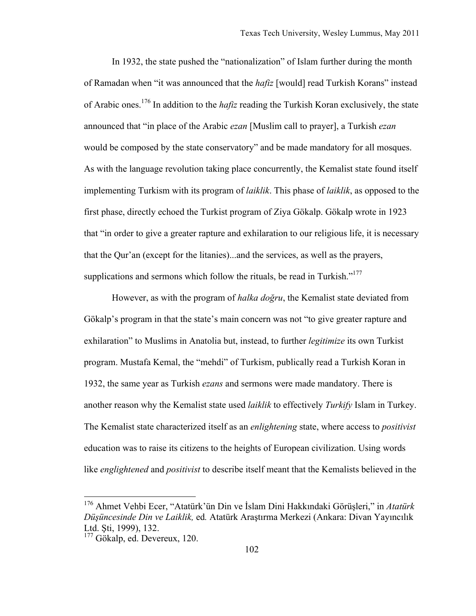In 1932, the state pushed the "nationalization" of Islam further during the month of Ramadan when "it was announced that the *hafiz* [would] read Turkish Korans" instead of Arabic ones.176 In addition to the *hafiz* reading the Turkish Koran exclusively, the state announced that "in place of the Arabic *ezan* [Muslim call to prayer], a Turkish *ezan* would be composed by the state conservatory" and be made mandatory for all mosques. As with the language revolution taking place concurrently, the Kemalist state found itself implementing Turkism with its program of *laiklik*. This phase of *laiklik*, as opposed to the first phase, directly echoed the Turkist program of Ziya Gökalp. Gökalp wrote in 1923 that "in order to give a greater rapture and exhilaration to our religious life, it is necessary that the Qur'an (except for the litanies)...and the services, as well as the prayers, supplications and sermons which follow the rituals, be read in Turkish."<sup>177</sup>

However, as with the program of *halka doğru*, the Kemalist state deviated from Gökalp's program in that the state's main concern was not "to give greater rapture and exhilaration" to Muslims in Anatolia but, instead, to further *legitimize* its own Turkist program. Mustafa Kemal, the "mehdi" of Turkism, publically read a Turkish Koran in 1932, the same year as Turkish *ezans* and sermons were made mandatory. There is another reason why the Kemalist state used *laiklik* to effectively *Turkify* Islam in Turkey. The Kemalist state characterized itself as an *enlightening* state, where access to *positivist* education was to raise its citizens to the heights of European civilization. Using words like *englightened* and *positivist* to describe itself meant that the Kemalists believed in the

 <sup>176</sup> Ahmet Vehbi Ecer, "Atatürk'ün Din ve İslam Dini Hakkındaki Görüşleri," in *Atatürk Düşüncesinde Din ve Laiklik,* ed*.* Atatürk Araştırma Merkezi (Ankara: Divan Yayıncılık Ltd. Şti, 1999), 132.

<sup>&</sup>lt;sup>177</sup> Gökalp, ed. Devereux, 120.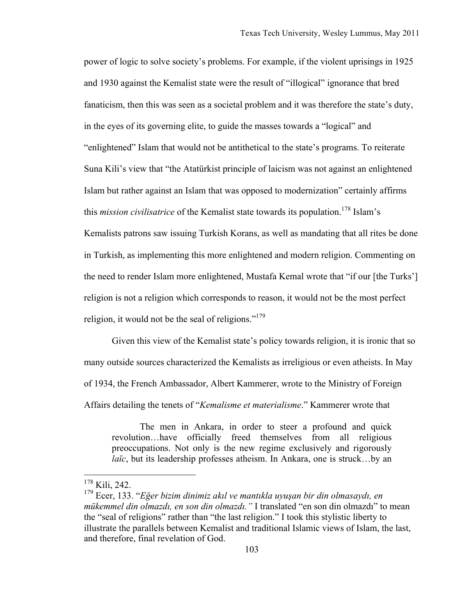power of logic to solve society's problems. For example, if the violent uprisings in 1925 and 1930 against the Kemalist state were the result of "illogical" ignorance that bred fanaticism, then this was seen as a societal problem and it was therefore the state's duty, in the eyes of its governing elite, to guide the masses towards a "logical" and "enlightened" Islam that would not be antithetical to the state's programs. To reiterate Suna Kili's view that "the Atatürkist principle of laicism was not against an enlightened Islam but rather against an Islam that was opposed to modernization" certainly affirms this *mission civilisatrice* of the Kemalist state towards its population.<sup>178</sup> Islam's Kemalists patrons saw issuing Turkish Korans, as well as mandating that all rites be done in Turkish, as implementing this more enlightened and modern religion. Commenting on the need to render Islam more enlightened, Mustafa Kemal wrote that "if our [the Turks'] religion is not a religion which corresponds to reason, it would not be the most perfect religion, it would not be the seal of religions."<sup>179</sup>

Given this view of the Kemalist state's policy towards religion, it is ironic that so many outside sources characterized the Kemalists as irreligious or even atheists. In May of 1934, the French Ambassador, Albert Kammerer, wrote to the Ministry of Foreign Affairs detailing the tenets of "*Kemalisme et materialisme*." Kammerer wrote that

The men in Ankara, in order to steer a profound and quick revolution…have officially freed themselves from all religious preoccupations. Not only is the new regime exclusively and rigorously *laïc*, but its leadership professes atheism. In Ankara, one is struck...by an

 <sup>178</sup> Kili, 242.

<sup>179</sup> Ecer, 133. "*Eğer bizim dinimiz akıl ve mantıkla uyuşan bir din olmasaydı, en mükemmel din olmazdı, en son din olmazdı."* I translated "en son din olmazdı" to mean the "seal of religions" rather than "the last religion." I took this stylistic liberty to illustrate the parallels between Kemalist and traditional Islamic views of Islam, the last, and therefore, final revelation of God.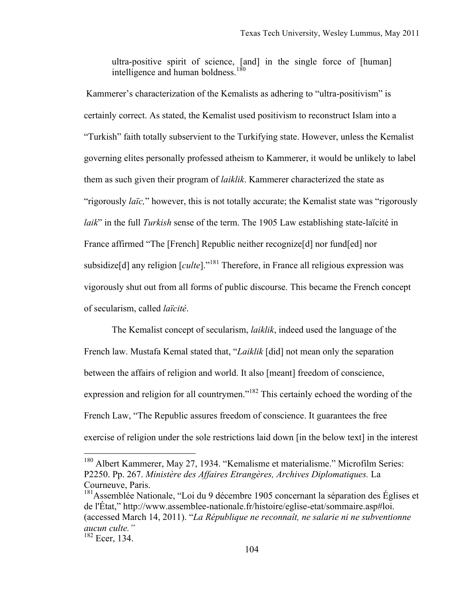ultra-positive spirit of science, [and] in the single force of [human] intelligence and human boldness.<sup>180</sup>

Kammerer's characterization of the Kemalists as adhering to "ultra-positivism" is certainly correct. As stated, the Kemalist used positivism to reconstruct Islam into a "Turkish" faith totally subservient to the Turkifying state. However, unless the Kemalist governing elites personally professed atheism to Kammerer, it would be unlikely to label them as such given their program of *laiklik*. Kammerer characterized the state as "rigorously *laïc,*" however, this is not totally accurate; the Kemalist state was "rigorously *laik*" in the full *Turkish* sense of the term. The 1905 Law establishing state-laïcité in France affirmed "The [French] Republic neither recognize[d] nor fund[ed] nor subsidize<sup>[d]</sup> any religion  $\lceil \text{cult}e \rceil$ .<sup>181</sup> Therefore, in France all religious expression was vigorously shut out from all forms of public discourse. This became the French concept of secularism, called *laïcité*.

The Kemalist concept of secularism, *laiklik*, indeed used the language of the French law. Mustafa Kemal stated that, "*Laiklik* [did] not mean only the separation between the affairs of religion and world. It also [meant] freedom of conscience, expression and religion for all countrymen."<sup>182</sup> This certainly echoed the wording of the French Law, "The Republic assures freedom of conscience. It guarantees the free exercise of religion under the sole restrictions laid down [in the below text] in the interest

 <sup>180</sup> Albert Kammerer, May 27, 1934. "Kemalisme et materialisme." Microfilm Series: P2250. Pp. 267. *Ministère des Affaires Etrangères, Archives Diplomatiques.* La Courneuve, Paris.

<sup>&</sup>lt;sup>181</sup>Assemblée Nationale, "Loi du 9 décembre 1905 concernant la séparation des Églises et de l'État," http://www.assemblee-nationale.fr/histoire/eglise-etat/sommaire.asp#loi. (accessed March 14, 2011). "*La République ne reconnaît, ne salarie ni ne subventionne aucun culte."* 

<sup>182</sup> Ecer, 134.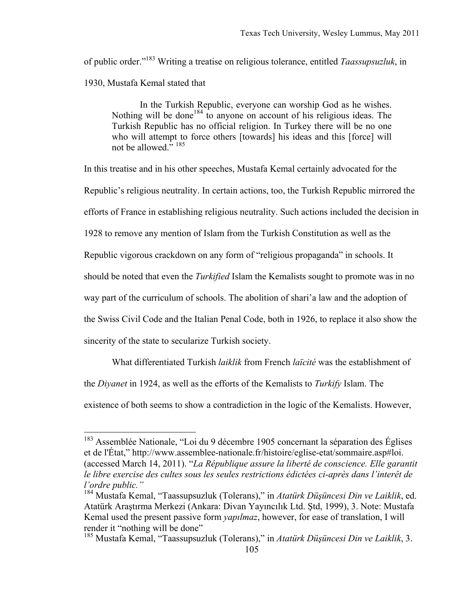of public order."183 Writing a treatise on religious tolerance, entitled *Taassupsuzluk*, in 1930, Mustafa Kemal stated that

In the Turkish Republic, everyone can worship God as he wishes. Nothing will be done<sup>184</sup> to anyone on account of his religious ideas. The Turkish Republic has no official religion. In Turkey there will be no one who will attempt to force others [towards] his ideas and this [force] will not be allowed." 185

In this treatise and in his other speeches, Mustafa Kemal certainly advocated for the Republic's religious neutrality. In certain actions, too, the Turkish Republic mirrored the efforts of France in establishing religious neutrality. Such actions included the decision in 1928 to remove any mention of Islam from the Turkish Constitution as well as the Republic vigorous crackdown on any form of "religious propaganda" in schools. It should be noted that even the *Turkified* Islam the Kemalists sought to promote was in no way part of the curriculum of schools. The abolition of shari'a law and the adoption of the Swiss Civil Code and the Italian Penal Code, both in 1926, to replace it also show the sincerity of the state to secularize Turkish society.

What differentiated Turkish *laiklik* from French *laïcité* was the establishment of

the *Diyanet* in 1924, as well as the efforts of the Kemalists to *Turkify* Islam. The

existence of both seems to show a contradiction in the logic of the Kemalists. However,

<sup>&</sup>lt;sup>183</sup> Assemblée Nationale, "Loi du 9 décembre 1905 concernant la séparation des Églises et de l'État," http://www.assemblee-nationale.fr/histoire/eglise-etat/sommaire.asp#loi. (accessed March 14, 2011). "*La République assure la liberté de conscience. Elle garantit le libre exercise des cultes sous les seules restrictions édictées ci-après dans l'interêt de l'ordre public."*

<sup>184</sup> Mustafa Kemal, "Taassupsuzluk (Tolerans)," in *Atatürk Düşüncesi Din ve Laiklik*, ed. Atatürk Araştırma Merkezi (Ankara: Divan Yayıncılık Ltd. Ştd, 1999), 3. Note: Mustafa Kemal used the present passive form *yapılmaz*, however, for ease of translation, I will render it "nothing will be done"

<sup>185</sup> Mustafa Kemal, "Taassupsuzluk (Tolerans)," in *Atatürk Düşüncesi Din ve Laiklik*, 3.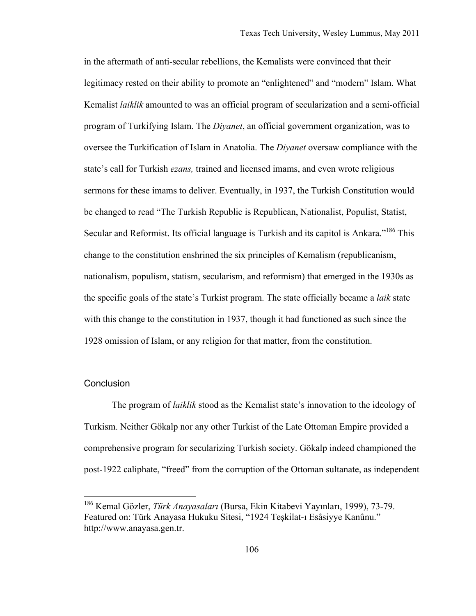in the aftermath of anti-secular rebellions, the Kemalists were convinced that their legitimacy rested on their ability to promote an "enlightened" and "modern" Islam. What Kemalist *laiklik* amounted to was an official program of secularization and a semi-official program of Turkifying Islam. The *Diyanet*, an official government organization, was to oversee the Turkification of Islam in Anatolia. The *Diyanet* oversaw compliance with the state's call for Turkish *ezans,* trained and licensed imams, and even wrote religious sermons for these imams to deliver. Eventually, in 1937, the Turkish Constitution would be changed to read "The Turkish Republic is Republican, Nationalist, Populist, Statist, Secular and Reformist. Its official language is Turkish and its capitol is Ankara."<sup>186</sup> This change to the constitution enshrined the six principles of Kemalism (republicanism, nationalism, populism, statism, secularism, and reformism) that emerged in the 1930s as the specific goals of the state's Turkist program. The state officially became a *laik* state with this change to the constitution in 1937, though it had functioned as such since the 1928 omission of Islam, or any religion for that matter, from the constitution.

## **Conclusion**

The program of *laiklik* stood as the Kemalist state's innovation to the ideology of Turkism. Neither Gökalp nor any other Turkist of the Late Ottoman Empire provided a comprehensive program for secularizing Turkish society. Gökalp indeed championed the post-1922 caliphate, "freed" from the corruption of the Ottoman sultanate, as independent

 <sup>186</sup> Kemal Gözler, *Türk Anayasaları* (Bursa, Ekin Kitabevi Yayınları, 1999), 73-79. Featured on: Türk Anayasa Hukuku Sitesi, "1924 Teşkilat-ı Esâsiyye Kanûnu." http://www.anayasa.gen.tr.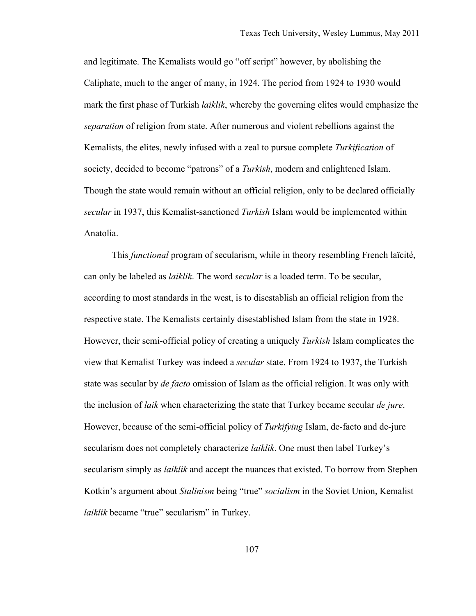and legitimate. The Kemalists would go "off script" however, by abolishing the Caliphate, much to the anger of many, in 1924. The period from 1924 to 1930 would mark the first phase of Turkish *laiklik*, whereby the governing elites would emphasize the *separation* of religion from state. After numerous and violent rebellions against the Kemalists, the elites, newly infused with a zeal to pursue complete *Turkification* of society, decided to become "patrons" of a *Turkish*, modern and enlightened Islam. Though the state would remain without an official religion, only to be declared officially *secular* in 1937, this Kemalist-sanctioned *Turkish* Islam would be implemented within Anatolia.

This *functional* program of secularism, while in theory resembling French laïcité, can only be labeled as *laiklik*. The word *secular* is a loaded term. To be secular, according to most standards in the west, is to disestablish an official religion from the respective state. The Kemalists certainly disestablished Islam from the state in 1928. However, their semi-official policy of creating a uniquely *Turkish* Islam complicates the view that Kemalist Turkey was indeed a *secular* state. From 1924 to 1937, the Turkish state was secular by *de facto* omission of Islam as the official religion. It was only with the inclusion of *laik* when characterizing the state that Turkey became secular *de jure*. However, because of the semi-official policy of *Turkifying* Islam, de-facto and de-jure secularism does not completely characterize *laiklik*. One must then label Turkey's secularism simply as *laiklik* and accept the nuances that existed. To borrow from Stephen Kotkin's argument about *Stalinism* being "true" *socialism* in the Soviet Union, Kemalist *laiklik* became "true" secularism" in Turkey.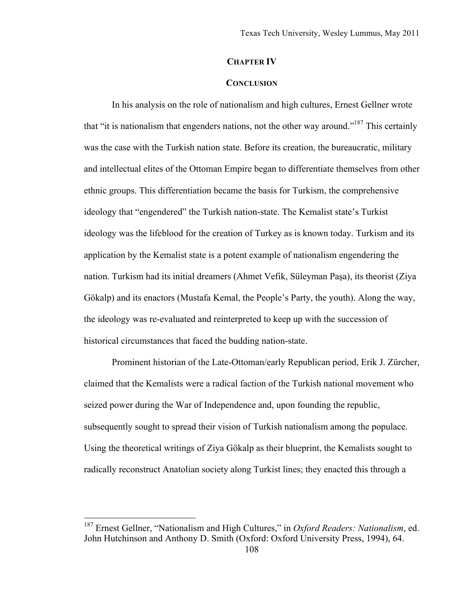# **CHAPTER IV**

## **CONCLUSION**

In his analysis on the role of nationalism and high cultures, Ernest Gellner wrote that "it is nationalism that engenders nations, not the other way around."187 This certainly was the case with the Turkish nation state. Before its creation, the bureaucratic, military and intellectual elites of the Ottoman Empire began to differentiate themselves from other ethnic groups. This differentiation became the basis for Turkism, the comprehensive ideology that "engendered" the Turkish nation-state. The Kemalist state's Turkist ideology was the lifeblood for the creation of Turkey as is known today. Turkism and its application by the Kemalist state is a potent example of nationalism engendering the nation. Turkism had its initial dreamers (Ahmet Vefik, Süleyman Paşa), its theorist (Ziya Gökalp) and its enactors (Mustafa Kemal, the People's Party, the youth). Along the way, the ideology was re-evaluated and reinterpreted to keep up with the succession of historical circumstances that faced the budding nation-state.

Prominent historian of the Late-Ottoman/early Republican period, Erik J. Zürcher, claimed that the Kemalists were a radical faction of the Turkish national movement who seized power during the War of Independence and, upon founding the republic, subsequently sought to spread their vision of Turkish nationalism among the populace. Using the theoretical writings of Ziya Gökalp as their blueprint, the Kemalists sought to radically reconstruct Anatolian society along Turkist lines; they enacted this through a

 <sup>187</sup> Ernest Gellner, "Nationalism and High Cultures," in *Oxford Readers: Nationalism*, ed. John Hutchinson and Anthony D. Smith (Oxford: Oxford University Press, 1994), 64.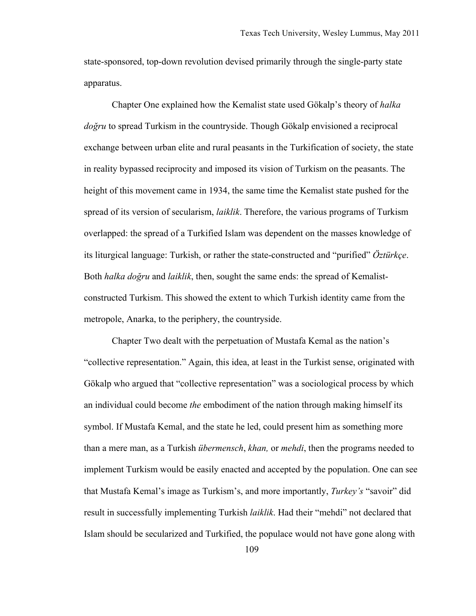state-sponsored, top-down revolution devised primarily through the single-party state apparatus.

Chapter One explained how the Kemalist state used Gökalp's theory of *halka doğru* to spread Turkism in the countryside. Though Gökalp envisioned a reciprocal exchange between urban elite and rural peasants in the Turkification of society, the state in reality bypassed reciprocity and imposed its vision of Turkism on the peasants. The height of this movement came in 1934, the same time the Kemalist state pushed for the spread of its version of secularism, *laiklik*. Therefore, the various programs of Turkism overlapped: the spread of a Turkified Islam was dependent on the masses knowledge of its liturgical language: Turkish, or rather the state-constructed and "purified" *Öztürkçe*. Both *halka doğru* and *laiklik*, then, sought the same ends: the spread of Kemalistconstructed Turkism. This showed the extent to which Turkish identity came from the metropole, Anarka, to the periphery, the countryside.

Chapter Two dealt with the perpetuation of Mustafa Kemal as the nation's "collective representation." Again, this idea, at least in the Turkist sense, originated with Gökalp who argued that "collective representation" was a sociological process by which an individual could become *the* embodiment of the nation through making himself its symbol. If Mustafa Kemal, and the state he led, could present him as something more than a mere man, as a Turkish *übermensch*, *khan,* or *mehdi*, then the programs needed to implement Turkism would be easily enacted and accepted by the population. One can see that Mustafa Kemal's image as Turkism's, and more importantly, *Turkey's* "savoir" did result in successfully implementing Turkish *laiklik*. Had their "mehdi" not declared that Islam should be secularized and Turkified, the populace would not have gone along with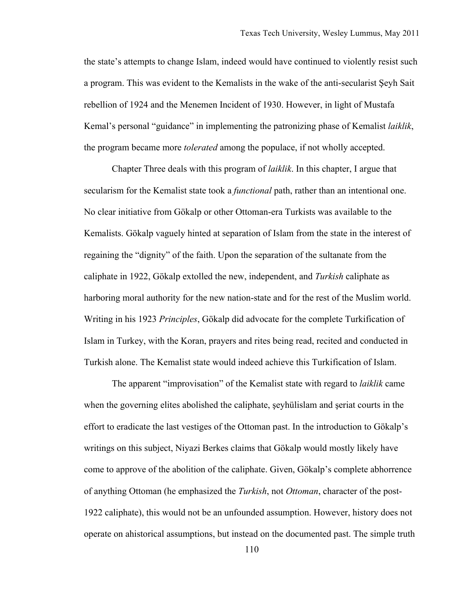the state's attempts to change Islam, indeed would have continued to violently resist such a program. This was evident to the Kemalists in the wake of the anti-secularist Şeyh Sait rebellion of 1924 and the Menemen Incident of 1930. However, in light of Mustafa Kemal's personal "guidance" in implementing the patronizing phase of Kemalist *laiklik*, the program became more *tolerated* among the populace, if not wholly accepted.

Chapter Three deals with this program of *laiklik*. In this chapter, I argue that secularism for the Kemalist state took a *functional* path, rather than an intentional one. No clear initiative from Gökalp or other Ottoman-era Turkists was available to the Kemalists. Gökalp vaguely hinted at separation of Islam from the state in the interest of regaining the "dignity" of the faith. Upon the separation of the sultanate from the caliphate in 1922, Gökalp extolled the new, independent, and *Turkish* caliphate as harboring moral authority for the new nation-state and for the rest of the Muslim world. Writing in his 1923 *Principles*, Gökalp did advocate for the complete Turkification of Islam in Turkey, with the Koran, prayers and rites being read, recited and conducted in Turkish alone. The Kemalist state would indeed achieve this Turkification of Islam.

The apparent "improvisation" of the Kemalist state with regard to *laiklik* came when the governing elites abolished the caliphate, şeyhülislam and şeriat courts in the effort to eradicate the last vestiges of the Ottoman past. In the introduction to Gökalp's writings on this subject, Niyazi Berkes claims that Gökalp would mostly likely have come to approve of the abolition of the caliphate. Given, Gökalp's complete abhorrence of anything Ottoman (he emphasized the *Turkish*, not *Ottoman*, character of the post-1922 caliphate), this would not be an unfounded assumption. However, history does not operate on ahistorical assumptions, but instead on the documented past. The simple truth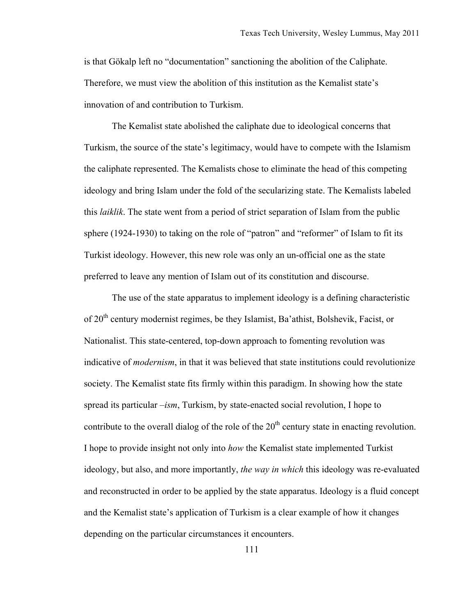is that Gökalp left no "documentation" sanctioning the abolition of the Caliphate. Therefore, we must view the abolition of this institution as the Kemalist state's innovation of and contribution to Turkism.

The Kemalist state abolished the caliphate due to ideological concerns that Turkism, the source of the state's legitimacy, would have to compete with the Islamism the caliphate represented. The Kemalists chose to eliminate the head of this competing ideology and bring Islam under the fold of the secularizing state. The Kemalists labeled this *laiklik*. The state went from a period of strict separation of Islam from the public sphere (1924-1930) to taking on the role of "patron" and "reformer" of Islam to fit its Turkist ideology. However, this new role was only an un-official one as the state preferred to leave any mention of Islam out of its constitution and discourse.

The use of the state apparatus to implement ideology is a defining characteristic of 20<sup>th</sup> century modernist regimes, be they Islamist, Ba'athist, Bolshevik, Facist, or Nationalist. This state-centered, top-down approach to fomenting revolution was indicative of *modernism*, in that it was believed that state institutions could revolutionize society. The Kemalist state fits firmly within this paradigm. In showing how the state spread its particular *–ism*, Turkism, by state-enacted social revolution, I hope to contribute to the overall dialog of the role of the  $20<sup>th</sup>$  century state in enacting revolution. I hope to provide insight not only into *how* the Kemalist state implemented Turkist ideology, but also, and more importantly, *the way in which* this ideology was re-evaluated and reconstructed in order to be applied by the state apparatus. Ideology is a fluid concept and the Kemalist state's application of Turkism is a clear example of how it changes depending on the particular circumstances it encounters.

111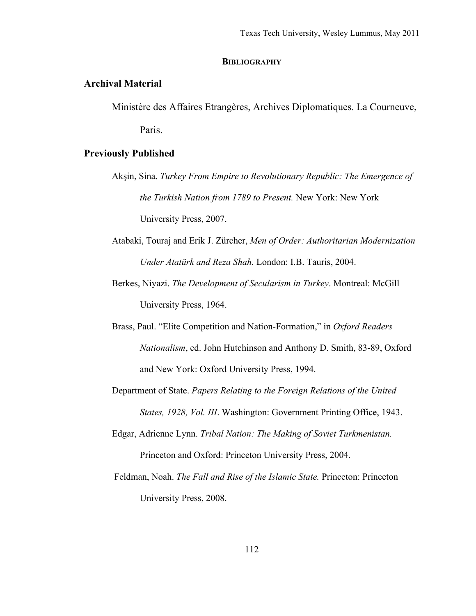### **BIBLIOGRAPHY**

# **Archival Material**

Ministère des Affaires Etrangères, Archives Diplomatiques. La Courneuve, Paris.

# **Previously Published**

- Akşin, Sina. *Turkey From Empire to Revolutionary Republic: The Emergence of the Turkish Nation from 1789 to Present.* New York: New York University Press, 2007.
- Atabaki, Touraj and Erik J. Zürcher, *Men of Order: Authoritarian Modernization Under Atatürk and Reza Shah.* London: I.B. Tauris, 2004.
- Berkes, Niyazi. *The Development of Secularism in Turkey*. Montreal: McGill University Press, 1964.
- Brass, Paul. "Elite Competition and Nation-Formation," in *Oxford Readers Nationalism*, ed. John Hutchinson and Anthony D. Smith, 83-89, Oxford and New York: Oxford University Press, 1994.
- Department of State. *Papers Relating to the Foreign Relations of the United States, 1928, Vol. III*. Washington: Government Printing Office, 1943.
- Edgar, Adrienne Lynn. *Tribal Nation: The Making of Soviet Turkmenistan.* Princeton and Oxford: Princeton University Press, 2004.
- Feldman, Noah. *The Fall and Rise of the Islamic State.* Princeton: Princeton University Press, 2008.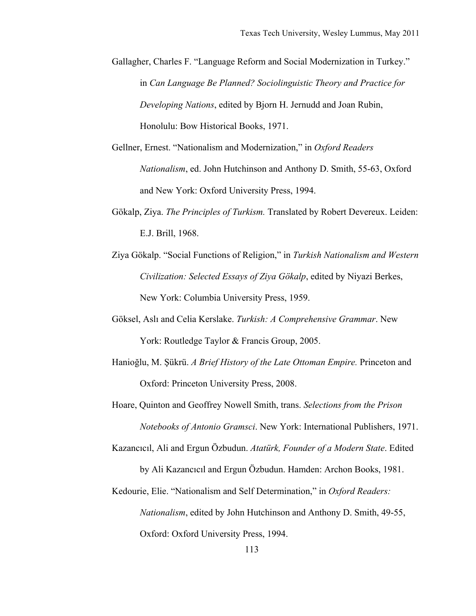- Gallagher, Charles F. "Language Reform and Social Modernization in Turkey." in *Can Language Be Planned? Sociolinguistic Theory and Practice for Developing Nations*, edited by Bjorn H. Jernudd and Joan Rubin, Honolulu: Bow Historical Books, 1971.
- Gellner, Ernest. "Nationalism and Modernization," in *Oxford Readers Nationalism*, ed. John Hutchinson and Anthony D. Smith, 55-63, Oxford and New York: Oxford University Press, 1994.
- Gökalp, Ziya. *The Principles of Turkism.* Translated by Robert Devereux. Leiden: E.J. Brill, 1968.
- Ziya Gökalp. "Social Functions of Religion," in *Turkish Nationalism and Western Civilization: Selected Essays of Ziya Gökalp*, edited by Niyazi Berkes, New York: Columbia University Press, 1959.
- Göksel, Aslı and Celia Kerslake. *Turkish: A Comprehensive Grammar*. New York: Routledge Taylor & Francis Group, 2005.
- Hanioğlu, M. Şükrü. *A Brief History of the Late Ottoman Empire.* Princeton and Oxford: Princeton University Press, 2008.
- Hoare, Quinton and Geoffrey Nowell Smith, trans. *Selections from the Prison Notebooks of Antonio Gramsci*. New York: International Publishers, 1971.
- Kazancıcıl, Ali and Ergun Özbudun. *Atatürk, Founder of a Modern State*. Edited by Ali Kazancıcıl and Ergun Özbudun. Hamden: Archon Books, 1981.
- Kedourie, Elie. "Nationalism and Self Determination," in *Oxford Readers: Nationalism*, edited by John Hutchinson and Anthony D. Smith, 49-55, Oxford: Oxford University Press, 1994.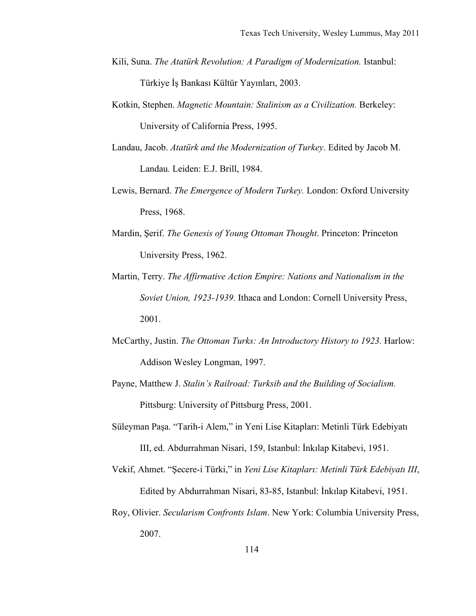- Kili, Suna. *The Atatürk Revolution: A Paradigm of Modernization*. Istanbul: Türkiye İş Bankası Kültür Yayınları, 2003.
- Kotkin, Stephen. *Magnetic Mountain: Stalinism as a Civilization.* Berkeley: University of California Press, 1995.
- Landau, Jacob. *Atatürk and the Modernization of Turkey*. Edited by Jacob M. Landau*.* Leiden: E.J. Brill, 1984.
- Lewis, Bernard. *The Emergence of Modern Turkey.* London: Oxford University Press, 1968.
- Mardin, Şerif. *The Genesis of Young Ottoman Thought*. Princeton: Princeton University Press, 1962.
- Martin, Terry. *The Affirmative Action Empire: Nations and Nationalism in the Soviet Union, 1923-1939.* Ithaca and London: Cornell University Press, 2001.
- McCarthy, Justin. *The Ottoman Turks: An Introductory History to 1923.* Harlow: Addison Wesley Longman, 1997.
- Payne, Matthew J. *Stalin's Railroad: Turksib and the Building of Socialism.* Pittsburg: University of Pittsburg Press, 2001.
- Süleyman Paşa. "Tarih-i Alem," in Yeni Lise Kitapları: Metinli Türk Edebiyatı III, ed. Abdurrahman Nisari, 159, Istanbul: İnkılap Kitabevi, 1951.
- Vekif, Ahmet. "Şecere-i Türki," in *Yeni Lise Kitapları: Metinli Türk Edebiyatı III*, Edited by Abdurrahman Nisari, 83-85, Istanbul: İnkılap Kitabevi, 1951.
- Roy, Olivier. *Secularism Confronts Islam*. New York: Columbia University Press, 2007.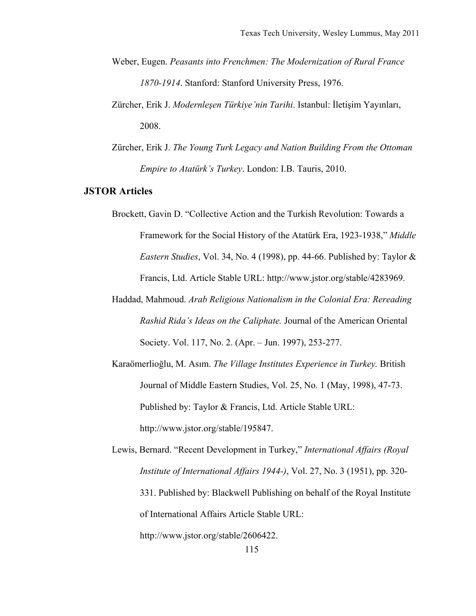- Weber, Eugen. *Peasants into Frenchmen: The Modernization of Rural France 1870-1914*. Stanford: Stanford University Press, 1976.
- Zürcher, Erik J. *Modernleşen Türkiye'nin Tarihi*. Istanbul: İletişim Yayınları, 2008.
- Zürcher, Erik J. *The Young Turk Legacy and Nation Building From the Ottoman Empire to Atatürk's Turkey*. London: I.B. Tauris, 2010.

## **JSTOR Articles**

- Brockett, Gavin D. "Collective Action and the Turkish Revolution: Towards a Framework for the Social History of the Atatürk Era, 1923-1938," *Middle Eastern Studies*, Vol. 34, No. 4 (1998), pp. 44-66. Published by: Taylor & Francis, Ltd. Article Stable URL: http://www.jstor.org/stable/4283969.
- Haddad, Mahmoud. *Arab Religious Nationalism in the Colonial Era: Rereading Rashid Rida's Ideas on the Caliphate.* Journal of the American Oriental Society. Vol. 117, No. 2. (Apr. – Jun. 1997), 253-277.
- Karaömerlioğlu, M. Asım. *The Village Institutes Experience in Turkey.* British Journal of Middle Eastern Studies, Vol. 25, No. 1 (May, 1998), 47-73. Published by: Taylor & Francis, Ltd. Article Stable URL: http://www.jstor.org/stable/195847.

Lewis, Bernard. "Recent Development in Turkey," *International Affairs (Royal Institute of International Affairs 1944-)*, Vol. 27, No. 3 (1951), pp. 320- 331. Published by: Blackwell Publishing on behalf of the Royal Institute of International Affairs Article Stable URL: http://www.jstor.org/stable/2606422.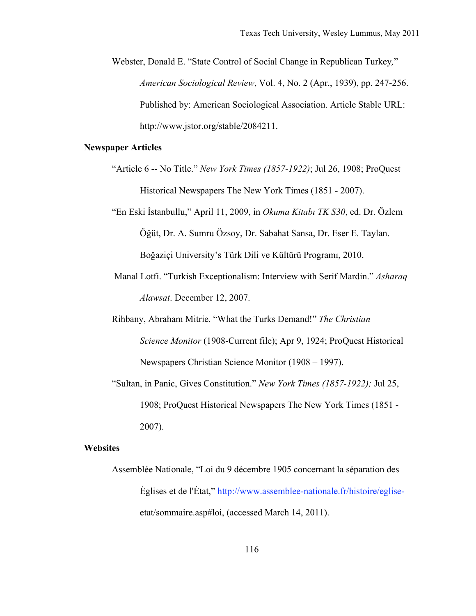Webster, Donald E. "State Control of Social Change in Republican Turkey*,*" *American Sociological Review*, Vol. 4, No. 2 (Apr., 1939), pp. 247-256. Published by: American Sociological Association. Article Stable URL: http://www.jstor.org/stable/2084211.

# **Newspaper Articles**

- "Article 6 -- No Title." *New York Times (1857-1922)*; Jul 26, 1908; ProQuest Historical Newspapers The New York Times (1851 - 2007).
- "En Eski İstanbullu," April 11, 2009, in *Okuma Kitabı TK S30*, ed. Dr. Özlem Öğüt, Dr. A. Sumru Özsoy, Dr. Sabahat Sansa, Dr. Eser E. Taylan. Boğaziçi University's Türk Dili ve Kültürü Programı, 2010.
- Manal Lotfi. "Turkish Exceptionalism: Interview with Serif Mardin." *Asharaq Alawsat*. December 12, 2007.
- Rihbany, Abraham Mitrie. "What the Turks Demand!" *The Christian Science Monitor* (1908-Current file); Apr 9, 1924; ProQuest Historical Newspapers Christian Science Monitor (1908 – 1997).
- "Sultan, in Panic, Gives Constitution." *New York Times (1857-1922);* Jul 25, 1908; ProQuest Historical Newspapers The New York Times (1851 - 2007).

#### **Websites**

Assemblée Nationale, "Loi du 9 décembre 1905 concernant la séparation des Églises et de l'État," http://www.assemblee-nationale.fr/histoire/egliseetat/sommaire.asp#loi, (accessed March 14, 2011).